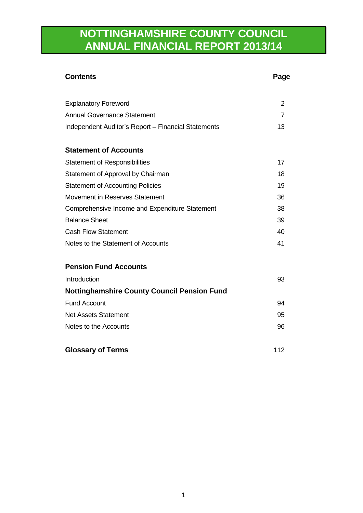# **NOTTINGHAMSHIRE COUNTY COUNCIL ANNUAL FINANCIAL REPORT 2013/14**

| <b>Contents</b>                                     | Page           |
|-----------------------------------------------------|----------------|
| <b>Explanatory Foreword</b>                         | $\overline{2}$ |
| <b>Annual Governance Statement</b>                  | $\overline{7}$ |
| Independent Auditor's Report - Financial Statements | 13             |
| <b>Statement of Accounts</b>                        |                |
| <b>Statement of Responsibilities</b>                | 17             |
| Statement of Approval by Chairman                   | 18             |
| <b>Statement of Accounting Policies</b>             | 19             |
| Movement in Reserves Statement                      | 36             |
| Comprehensive Income and Expenditure Statement      | 38             |
| <b>Balance Sheet</b>                                | 39             |
| <b>Cash Flow Statement</b>                          | 40             |
| Notes to the Statement of Accounts                  | 41             |
| <b>Pension Fund Accounts</b>                        |                |
| Introduction                                        | 93             |
| <b>Nottinghamshire County Council Pension Fund</b>  |                |
| <b>Fund Account</b>                                 | 94             |
| <b>Net Assets Statement</b>                         | 95             |
| Notes to the Accounts                               | 96             |
| <b>Glossary of Terms</b>                            | 112            |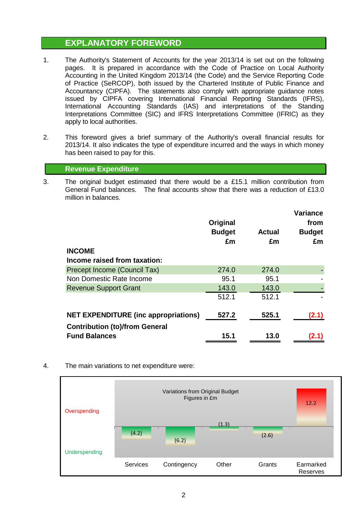### **EXPLANATORY FOREWORD**

- 1. The Authority's Statement of Accounts for the year 2013/14 is set out on the following pages. It is prepared in accordance with the Code of Practice on Local Authority Accounting in the United Kingdom 2013/14 (the Code) and the Service Reporting Code of Practice (SeRCOP), both issued by the Chartered Institute of Public Finance and Accountancy (CIPFA). The statements also comply with appropriate guidance notes issued by CIPFA covering International Financial Reporting Standards (IFRS), International Accounting Standards (IAS) and interpretations of the Standing Interpretations Committee (SIC) and IFRS Interpretations Committee (IFRIC) as they apply to local authorities.
- 2. This foreword gives a brief summary of the Authority's overall financial results for 2013/14. It also indicates the type of expenditure incurred and the ways in which money has been raised to pay for this.

#### **Revenue Expenditure**

3. The original budget estimated that there would be a £15.1 million contribution from General Fund balances. The final accounts show that there was a reduction of £13.0 million in balances.

|                                             | Original<br><b>Budget</b><br>£m | <b>Actual</b><br>£m | <b>Variance</b><br>from<br><b>Budget</b><br>£m |
|---------------------------------------------|---------------------------------|---------------------|------------------------------------------------|
| <b>INCOME</b>                               |                                 |                     |                                                |
| Income raised from taxation:                |                                 |                     |                                                |
| Precept Income (Council Tax)                | 274.0                           | 274.0               |                                                |
| Non Domestic Rate Income                    | 95.1                            | 95.1                |                                                |
| <b>Revenue Support Grant</b>                | 143.0                           | 143.0               |                                                |
|                                             | 512.1                           | 512.1               |                                                |
| <b>NET EXPENDITURE (inc appropriations)</b> | 527.2                           | 525.1               | (2.1)                                          |
| <b>Contribution (to)/from General</b>       |                                 |                     |                                                |
| <b>Fund Balances</b>                        | 15.1                            | 13.0                | (2.1                                           |

4. The main variations to net expenditure were:

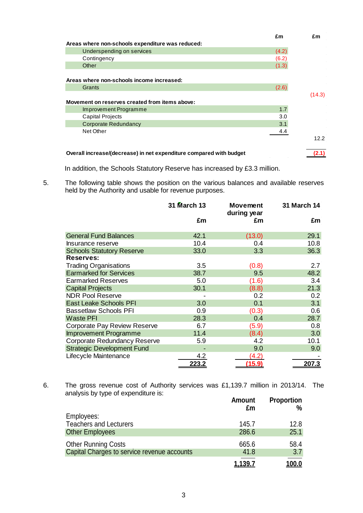|                                                  | £m    | £m                |
|--------------------------------------------------|-------|-------------------|
| Areas where non-schools expenditure was reduced: |       |                   |
| Underspending on services                        | (4.2) |                   |
| Contingency                                      | (6.2) |                   |
| Other                                            | (1.3) |                   |
|                                                  |       |                   |
| Areas where non-schools income increased:        |       |                   |
| Grants                                           | (2.6) |                   |
|                                                  |       | (14.3)            |
|                                                  |       |                   |
| Movement on reserves created from items above:   |       |                   |
| Improvement Programme                            | 1.7   |                   |
| Capital Projects                                 | 3.0   |                   |
| <b>Corporate Redundancy</b>                      | 3.1   |                   |
| Net Other                                        | 4.4   |                   |
|                                                  |       | 12.2 <sub>2</sub> |
|                                                  |       |                   |

In addition, the Schools Statutory Reserve has increased by £3.3 million.

5. The following table shows the position on the various balances and available reserves held by the Authority and usable for revenue purposes.

|                                   | 31 March 13 | <b>Movement</b><br>during year | <b>31 March 14</b> |
|-----------------------------------|-------------|--------------------------------|--------------------|
|                                   | £m          | £m                             | £m                 |
| <b>General Fund Balances</b>      | 42.1        | (13.0)                         | 29.1               |
| Insurance reserve                 | 10.4        | 0.4                            | 10.8               |
| <b>Schools Statutory Reserve</b>  | 33.0        | 3.3                            | 36.3               |
| Reserves:                         |             |                                |                    |
| <b>Trading Organisations</b>      | 3.5         | (0.8)                          | 2.7                |
| <b>Earmarked for Services</b>     | 38.7        | 9.5                            | 48.2               |
| <b>Earmarked Reserves</b>         | 5.0         | (1.6)                          | 3.4                |
| <b>Capital Projects</b>           | 30.1        | (8.8)                          | 21.3               |
| <b>NDR Pool Reserve</b>           |             | 0.2                            | 0.2                |
| <b>East Leake Schools PFI</b>     | 3.0         | 0.1                            | 3.1                |
| <b>Bassetlaw Schools PFI</b>      | 0.9         | (0.3)                          | 0.6                |
| <b>Waste PFI</b>                  | 28.3        | 0.4                            | 28.7               |
| Corporate Pay Review Reserve      | 6.7         | (5.9)                          | 0.8                |
| <b>Improvement Programme</b>      | 11.4        | (8.4)                          | 3.0                |
| Corporate Redundancy Reserve      | 5.9         | 4.2                            | 10.1               |
| <b>Strategic Development Fund</b> |             | 9.0                            | 9.0                |
| Lifecycle Maintenance             | 4.2         | (4.2)                          |                    |
|                                   | 223.2       | (15.9)                         | 207.3              |

6. The gross revenue cost of Authority services was £1,139.7 million in 2013/14. The analysis by type of expenditure is:

|                                             | Amount<br>£m   | <b>Proportion</b><br>$\%$ |
|---------------------------------------------|----------------|---------------------------|
| Employees:                                  |                |                           |
| <b>Teachers and Lecturers</b>               | 145.7          | 12.8                      |
| <b>Other Employees</b>                      | 286.6          | 25.1                      |
| Other Running Costs                         | 665.6          | 58.4                      |
| Capital Charges to service revenue accounts | 41.8           | 3.7                       |
|                                             | <u>1.139.7</u> | <u>100.0</u>              |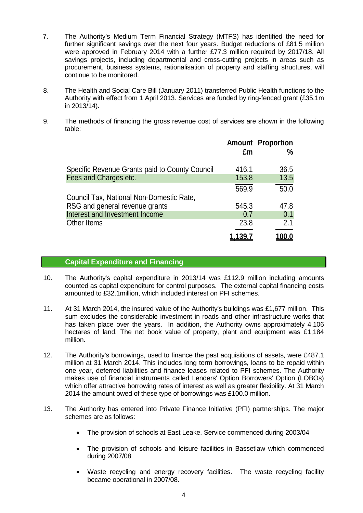- 7. The Authority's Medium Term Financial Strategy (MTFS) has identified the need for further significant savings over the next four years. Budget reductions of £81.5 million were approved in February 2014 with a further £77.3 million required by 2017/18. All savings projects, including departmental and cross-cutting projects in areas such as procurement, business systems, rationalisation of property and staffing structures, will continue to be monitored.
- 8. The Health and Social Care Bill (January 2011) transferred Public Health functions to the Authority with effect from 1 April 2013. Services are funded by ring-fenced grant (£35.1m in 2013/14).
- 9. The methods of financing the gross revenue cost of services are shown in the following table:

|                                                | £m    | <b>Amount Proportion</b><br>$\%$ |
|------------------------------------------------|-------|----------------------------------|
| Specific Revenue Grants paid to County Council | 416.1 | 36.5                             |
| Fees and Charges etc.                          | 153.8 | 13.5                             |
|                                                | 569.9 | 50.0                             |
| Council Tax, National Non-Domestic Rate,       |       |                                  |
| RSG and general revenue grants                 | 545.3 | 47.8                             |
| Interest and Investment Income                 | 0.7   | 0.1                              |
| Other Items                                    | 23.8  | 2.1                              |
|                                                |       |                                  |

#### **Capital Expenditure and Financing**

- 10. The Authority's capital expenditure in 2013/14 was £112.9 million including amounts counted as capital expenditure for control purposes. The external capital financing costs amounted to £32.1million, which included interest on PFI schemes.
- 11. At 31 March 2014, the insured value of the Authority's buildings was £1,677 million. This sum excludes the considerable investment in roads and other infrastructure works that has taken place over the years. In addition, the Authority owns approximately 4,106 hectares of land. The net book value of property, plant and equipment was £1,184 million.
- 12. The Authority's borrowings, used to finance the past acquisitions of assets, were £487.1 million at 31 March 2014. This includes long term borrowings, loans to be repaid within one year, deferred liabilities and finance leases related to PFI schemes. The Authority makes use of financial instruments called Lenders' Option Borrowers' Option (LOBOs) which offer attractive borrowing rates of interest as well as greater flexibility. At 31 March 2014 the amount owed of these type of borrowings was £100.0 million.
- 13. The Authority has entered into Private Finance Initiative (PFI) partnerships. The major schemes are as follows:
	- The provision of schools at East Leake. Service commenced during 2003/04
	- The provision of schools and leisure facilities in Bassetlaw which commenced during 2007/08
	- Waste recycling and energy recovery facilities. The waste recycling facility became operational in 2007/08.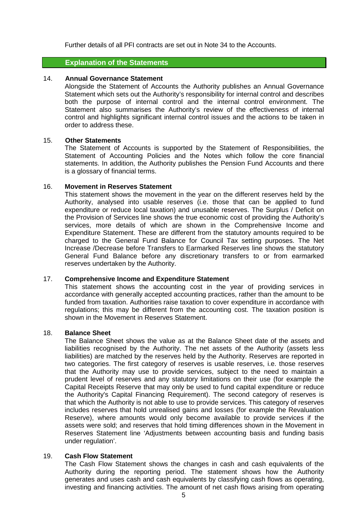Further details of all PFI contracts are set out in Note 34 to the Accounts.

#### **Explanation of the Statements**

#### 14. **Annual Governance Statement**

Alongside the Statement of Accounts the Authority publishes an Annual Governance Statement which sets out the Authority's responsibility for internal control and describes both the purpose of internal control and the internal control environment. The Statement also summarises the Authority's review of the effectiveness of internal control and highlights significant internal control issues and the actions to be taken in order to address these.

#### 15. **Other Statements**

The Statement of Accounts is supported by the Statement of Responsibilities, the Statement of Accounting Policies and the Notes which follow the core financial statements. In addition, the Authority publishes the Pension Fund Accounts and there is a glossary of financial terms.

#### 16. **Movement in Reserves Statement**

This statement shows the movement in the year on the different reserves held by the Authority, analysed into usable reserves (i.e. those that can be applied to fund expenditure or reduce local taxation) and unusable reserves. The Surplus / Deficit on the Provision of Services line shows the true economic cost of providing the Authority's services, more details of which are shown in the Comprehensive Income and Expenditure Statement. These are different from the statutory amounts required to be charged to the General Fund Balance for Council Tax setting purposes. The Net Increase /Decrease before Transfers to Earmarked Reserves line shows the statutory General Fund Balance before any discretionary transfers to or from earmarked reserves undertaken by the Authority.

#### 17. **Comprehensive Income and Expenditure Statement**

This statement shows the accounting cost in the year of providing services in accordance with generally accepted accounting practices, rather than the amount to be funded from taxation. Authorities raise taxation to cover expenditure in accordance with regulations; this may be different from the accounting cost. The taxation position is shown in the Movement in Reserves Statement.

#### 18. **Balance Sheet**

The Balance Sheet shows the value as at the Balance Sheet date of the assets and liabilities recognised by the Authority. The net assets of the Authority (assets less liabilities) are matched by the reserves held by the Authority. Reserves are reported in two categories. The first category of reserves is usable reserves, i.e. those reserves that the Authority may use to provide services, subject to the need to maintain a prudent level of reserves and any statutory limitations on their use (for example the Capital Receipts Reserve that may only be used to fund capital expenditure or reduce the Authority's Capital Financing Requirement). The second category of reserves is that which the Authority is not able to use to provide services. This category of reserves includes reserves that hold unrealised gains and losses (for example the Revaluation Reserve), where amounts would only become available to provide services if the assets were sold; and reserves that hold timing differences shown in the Movement in Reserves Statement line 'Adjustments between accounting basis and funding basis under regulation'.

#### 19. **Cash Flow Statement**

The Cash Flow Statement shows the changes in cash and cash equivalents of the Authority during the reporting period. The statement shows how the Authority generates and uses cash and cash equivalents by classifying cash flows as operating, investing and financing activities. The amount of net cash flows arising from operating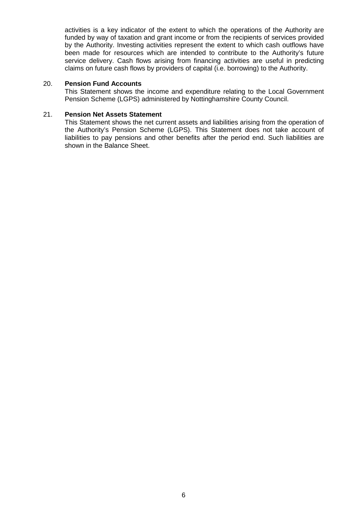activities is a key indicator of the extent to which the operations of the Authority are funded by way of taxation and grant income or from the recipients of services provided by the Authority. Investing activities represent the extent to which cash outflows have been made for resources which are intended to contribute to the Authority's future service delivery. Cash flows arising from financing activities are useful in predicting claims on future cash flows by providers of capital (i.e. borrowing) to the Authority.

#### 20. **Pension Fund Accounts**

This Statement shows the income and expenditure relating to the Local Government Pension Scheme (LGPS) administered by Nottinghamshire County Council.

#### 21. **Pension Net Assets Statement**

This Statement shows the net current assets and liabilities arising from the operation of the Authority's Pension Scheme (LGPS). This Statement does not take account of liabilities to pay pensions and other benefits after the period end. Such liabilities are shown in the Balance Sheet.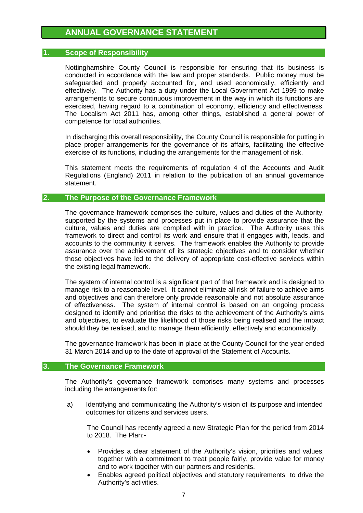### **ANNUAL GOVERNANCE STATEMENT**

#### **1. Scope of Responsibility**

Nottinghamshire County Council is responsible for ensuring that its business is conducted in accordance with the law and proper standards. Public money must be safeguarded and properly accounted for, and used economically, efficiently and effectively. The Authority has a duty under the Local Government Act 1999 to make arrangements to secure continuous improvement in the way in which its functions are exercised, having regard to a combination of economy, efficiency and effectiveness. The Localism Act 2011 has, among other things, established a general power of competence for local authorities.

In discharging this overall responsibility, the County Council is responsible for putting in place proper arrangements for the governance of its affairs, facilitating the effective exercise of its functions, including the arrangements for the management of risk.

This statement meets the requirements of regulation 4 of the Accounts and Audit Regulations (England) 2011 in relation to the publication of an annual governance statement.

#### **2. The Purpose of the Governance Framework**

The governance framework comprises the culture, values and duties of the Authority, supported by the systems and processes put in place to provide assurance that the culture, values and duties are complied with in practice. The Authority uses this framework to direct and control its work and ensure that it engages with, leads, and accounts to the community it serves. The framework enables the Authority to provide assurance over the achievement of its strategic objectives and to consider whether those objectives have led to the delivery of appropriate cost-effective services within the existing legal framework.

The system of internal control is a significant part of that framework and is designed to manage risk to a reasonable level. It cannot eliminate all risk of failure to achieve aims and objectives and can therefore only provide reasonable and not absolute assurance of effectiveness. The system of internal control is based on an ongoing process designed to identify and prioritise the risks to the achievement of the Authority's aims and objectives, to evaluate the likelihood of those risks being realised and the impact should they be realised, and to manage them efficiently, effectively and economically.

The governance framework has been in place at the County Council for the year ended 31 March 2014 and up to the date of approval of the Statement of Accounts.

#### **3. The Governance Framework**

The Authority's governance framework comprises many systems and processes including the arrangements for:

a) Identifying and communicating the Authority's vision of its purpose and intended outcomes for citizens and services users.

The Council has recently agreed a new Strategic Plan for the period from 2014 to 2018. The Plan:-

- Provides a clear statement of the Authority's vision, priorities and values, together with a commitment to treat people fairly, provide value for money and to work together with our partners and residents.
- Enables agreed political objectives and statutory requirements to drive the Authority's activities.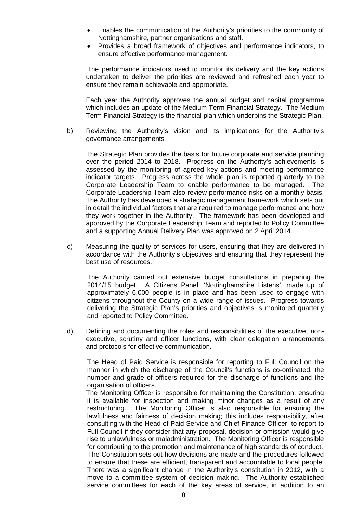- Enables the communication of the Authority's priorities to the community of Nottinghamshire, partner organisations and staff.
- Provides a broad framework of objectives and performance indicators, to ensure effective performance management.

The performance indicators used to monitor its delivery and the key actions undertaken to deliver the priorities are reviewed and refreshed each year to ensure they remain achievable and appropriate.

Each year the Authority approves the annual budget and capital programme which includes an update of the Medium Term Financial Strategy. The Medium Term Financial Strategy is the financial plan which underpins the Strategic Plan.

b) Reviewing the Authority's vision and its implications for the Authority's governance arrangements

The Strategic Plan provides the basis for future corporate and service planning over the period 2014 to 2018. Progress on the Authority's achievements is assessed by the monitoring of agreed key actions and meeting performance indicator targets. Progress across the whole plan is reported quarterly to the Corporate Leadership Team to enable performance to be managed. The Corporate Leadership Team also review performance risks on a monthly basis. The Authority has developed a strategic management framework which sets out in detail the individual factors that are required to manage performance and how they work together in the Authority. The framework has been developed and approved by the Corporate Leadership Team and reported to Policy Committee and a supporting Annual Delivery Plan was approved on 2 April 2014.

c) Measuring the quality of services for users, ensuring that they are delivered in accordance with the Authority's objectives and ensuring that they represent the best use of resources.

The Authority carried out extensive budget consultations in preparing the 2014/15 budget. A Citizens Panel, 'Nottinghamshire Listens', made up of approximately 6,000 people is in place and has been used to engage with citizens throughout the County on a wide range of issues. Progress towards delivering the Strategic Plan's priorities and objectives is monitored quarterly and reported to Policy Committee.

d) Defining and documenting the roles and responsibilities of the executive, nonexecutive, scrutiny and officer functions, with clear delegation arrangements and protocols for effective communication.

The Head of Paid Service is responsible for reporting to Full Council on the manner in which the discharge of the Council's functions is co-ordinated, the number and grade of officers required for the discharge of functions and the organisation of officers.

The Monitoring Officer is responsible for maintaining the Constitution, ensuring it is available for inspection and making minor changes as a result of any restructuring. The Monitoring Officer is also responsible for ensuring the lawfulness and fairness of decision making; this includes responsibility, after consulting with the Head of Paid Service and Chief Finance Officer, to report to Full Council if they consider that any proposal, decision or omission would give rise to unlawfulness or maladministration. The Monitoring Officer is responsible for contributing to the promotion and maintenance of high standards of conduct. The Constitution sets out how decisions are made and the procedures followed to ensure that these are efficient, transparent and accountable to local people. There was a significant change in the Authority's constitution in 2012, with a move to a committee system of decision making. The Authority established service committees for each of the key areas of service, in addition to an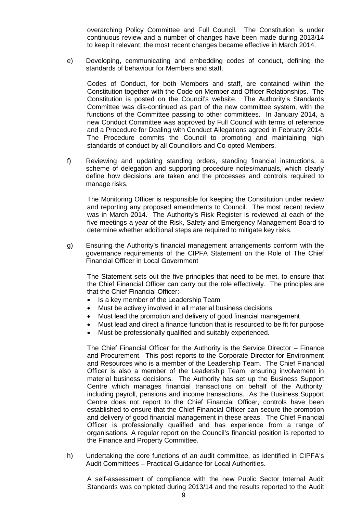overarching Policy Committee and Full Council. The Constitution is under continuous review and a number of changes have been made during 2013/14 to keep it relevant; the most recent changes became effective in March 2014.

e) Developing, communicating and embedding codes of conduct, defining the standards of behaviour for Members and staff.

Codes of Conduct, for both Members and staff, are contained within the Constitution together with the Code on Member and Officer Relationships. The Constitution is posted on the Council's website. The Authority's Standards Committee was dis-continued as part of the new committee system, with the functions of the Committee passing to other committees. In January 2014, a new Conduct Committee was approved by Full Council with terms of reference and a Procedure for Dealing with Conduct Allegations agreed in February 2014. The Procedure commits the Council to promoting and maintaining high standards of conduct by all Councillors and Co-opted Members.

f) Reviewing and updating standing orders, standing financial instructions, a scheme of delegation and supporting procedure notes/manuals, which clearly define how decisions are taken and the processes and controls required to manage risks.

The Monitoring Officer is responsible for keeping the Constitution under review and reporting any proposed amendments to Council. The most recent review was in March 2014. The Authority's Risk Register is reviewed at each of the five meetings a year of the Risk, Safety and Emergency Management Board to determine whether additional steps are required to mitigate key risks.

g) Ensuring the Authority's financial management arrangements conform with the governance requirements of the CIPFA Statement on the Role of The Chief Financial Officer in Local Government

The Statement sets out the five principles that need to be met, to ensure that the Chief Financial Officer can carry out the role effectively. The principles are that the Chief Financial Officer:-

- Is a key member of the Leadership Team
- Must be actively involved in all material business decisions
- Must lead the promotion and delivery of good financial management
- Must lead and direct a finance function that is resourced to be fit for purpose
- Must be professionally qualified and suitably experienced.

The Chief Financial Officer for the Authority is the Service Director – Finance and Procurement. This post reports to the Corporate Director for Environment and Resources who is a member of the Leadership Team. The Chief Financial Officer is also a member of the Leadership Team, ensuring involvement in material business decisions. The Authority has set up the Business Support Centre which manages financial transactions on behalf of the Authority, including payroll, pensions and income transactions. As the Business Support Centre does not report to the Chief Financial Officer, controls have been established to ensure that the Chief Financial Officer can secure the promotion and delivery of good financial management in these areas. The Chief Financial Officer is professionally qualified and has experience from a range of organisations. A regular report on the Council's financial position is reported to the Finance and Property Committee.

h) Undertaking the core functions of an audit committee, as identified in CIPFA's Audit Committees – Practical Guidance for Local Authorities.

A self-assessment of compliance with the new Public Sector Internal Audit Standards was completed during 2013/14 and the results reported to the Audit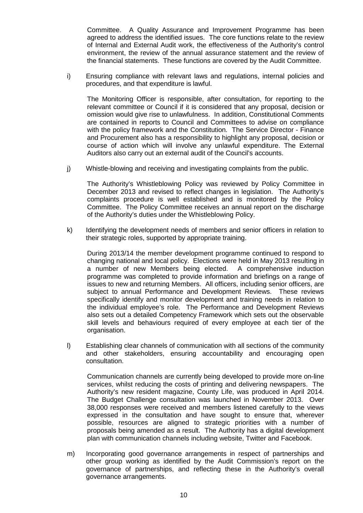Committee. A Quality Assurance and Improvement Programme has been agreed to address the identified issues. The core functions relate to the review of Internal and External Audit work, the effectiveness of the Authority's control environment, the review of the annual assurance statement and the review of the financial statements. These functions are covered by the Audit Committee.

i) Ensuring compliance with relevant laws and regulations, internal policies and procedures, and that expenditure is lawful.

The Monitoring Officer is responsible, after consultation, for reporting to the relevant committee or Council if it is considered that any proposal, decision or omission would give rise to unlawfulness. In addition, Constitutional Comments are contained in reports to Council and Committees to advise on compliance with the policy framework and the Constitution. The Service Director - Finance and Procurement also has a responsibility to highlight any proposal, decision or course of action which will involve any unlawful expenditure. The External Auditors also carry out an external audit of the Council's accounts.

j) Whistle-blowing and receiving and investigating complaints from the public.

The Authority's Whistleblowing Policy was reviewed by Policy Committee in December 2013 and revised to reflect changes in legislation. The Authority's complaints procedure is well established and is monitored by the Policy Committee. The Policy Committee receives an annual report on the discharge of the Authority's duties under the Whistleblowing Policy.

k) Identifying the development needs of members and senior officers in relation to their strategic roles, supported by appropriate training.

During 2013/14 the member development programme continued to respond to changing national and local policy. Elections were held in May 2013 resulting in a number of new Members being elected. A comprehensive induction programme was completed to provide information and briefings on a range of issues to new and returning Members. All officers, including senior officers, are subject to annual Performance and Development Reviews. These reviews specifically identify and monitor development and training needs in relation to the individual employee's role. The Performance and Development Reviews also sets out a detailed Competency Framework which sets out the observable skill levels and behaviours required of every employee at each tier of the organisation.

l) Establishing clear channels of communication with all sections of the community and other stakeholders, ensuring accountability and encouraging open consultation.

Communication channels are currently being developed to provide more on-line services, whilst reducing the costs of printing and delivering newspapers. The Authority's new resident magazine, County Life, was produced in April 2014. The Budget Challenge consultation was launched in November 2013. Over 38,000 responses were received and members listened carefully to the views expressed in the consultation and have sought to ensure that, wherever possible, resources are aligned to strategic priorities with a number of proposals being amended as a result. The Authority has a digital development plan with communication channels including website, Twitter and Facebook.

m) Incorporating good governance arrangements in respect of partnerships and other group working as identified by the Audit Commission's report on the governance of partnerships, and reflecting these in the Authority's overall governance arrangements.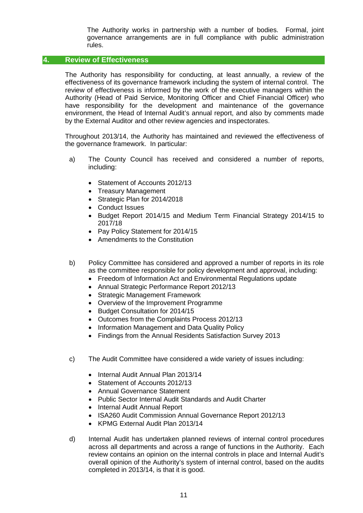The Authority works in partnership with a number of bodies. Formal, joint governance arrangements are in full compliance with public administration rules.

#### **4. Review of Effectiveness**

The Authority has responsibility for conducting, at least annually, a review of the effectiveness of its governance framework including the system of internal control. The review of effectiveness is informed by the work of the executive managers within the Authority (Head of Paid Service, Monitoring Officer and Chief Financial Officer) who have responsibility for the development and maintenance of the governance environment, the Head of Internal Audit's annual report, and also by comments made by the External Auditor and other review agencies and inspectorates.

Throughout 2013/14, the Authority has maintained and reviewed the effectiveness of the governance framework. In particular:

- a) The County Council has received and considered a number of reports, including:
	- Statement of Accounts 2012/13
	- Treasury Management
	- Strategic Plan for 2014/2018
	- Conduct Issues
	- Budget Report 2014/15 and Medium Term Financial Strategy 2014/15 to 2017/18
	- Pay Policy Statement for 2014/15
	- Amendments to the Constitution
- b) Policy Committee has considered and approved a number of reports in its role as the committee responsible for policy development and approval, including:
	- Freedom of Information Act and Environmental Regulations update
	- Annual Strategic Performance Report 2012/13
	- Strategic Management Framework
	- Overview of the Improvement Programme
	- Budget Consultation for 2014/15
	- Outcomes from the Complaints Process 2012/13
	- Information Management and Data Quality Policy
	- Findings from the Annual Residents Satisfaction Survey 2013
- c) The Audit Committee have considered a wide variety of issues including:
	- Internal Audit Annual Plan 2013/14
	- Statement of Accounts 2012/13
	- Annual Governance Statement
	- Public Sector Internal Audit Standards and Audit Charter
	- Internal Audit Annual Report
	- ISA260 Audit Commission Annual Governance Report 2012/13
	- KPMG External Audit Plan 2013/14
- d) Internal Audit has undertaken planned reviews of internal control procedures across all departments and across a range of functions in the Authority. Each review contains an opinion on the internal controls in place and Internal Audit's overall opinion of the Authority's system of internal control, based on the audits completed in 2013/14, is that it is good.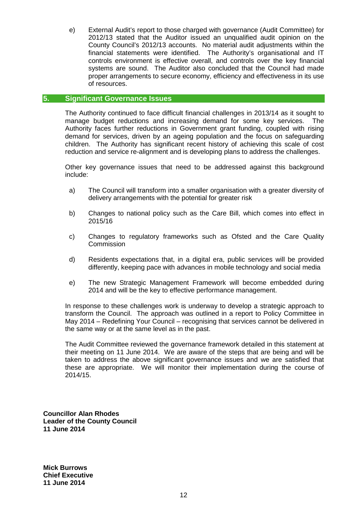e) External Audit's report to those charged with governance (Audit Committee) for 2012/13 stated that the Auditor issued an unqualified audit opinion on the County Council's 2012/13 accounts. No material audit adjustments within the financial statements were identified. The Authority's organisational and IT controls environment is effective overall, and controls over the key financial systems are sound. The Auditor also concluded that the Council had made proper arrangements to secure economy, efficiency and effectiveness in its use of resources.

#### **5. Significant Governance Issues**

The Authority continued to face difficult financial challenges in 2013/14 as it sought to manage budget reductions and increasing demand for some key services. The Authority faces further reductions in Government grant funding, coupled with rising demand for services, driven by an ageing population and the focus on safeguarding children. The Authority has significant recent history of achieving this scale of cost reduction and service re-alignment and is developing plans to address the challenges.

Other key governance issues that need to be addressed against this background include:

- a) The Council will transform into a smaller organisation with a greater diversity of delivery arrangements with the potential for greater risk
- b) Changes to national policy such as the Care Bill, which comes into effect in 2015/16
- c) Changes to regulatory frameworks such as Ofsted and the Care Quality **Commission**
- d) Residents expectations that, in a digital era, public services will be provided differently, keeping pace with advances in mobile technology and social media
- e) The new Strategic Management Framework will become embedded during 2014 and will be the key to effective performance management.

In response to these challenges work is underway to develop a strategic approach to transform the Council. The approach was outlined in a report to Policy Committee in May 2014 – Redefining Your Council – recognising that services cannot be delivered in the same way or at the same level as in the past.

The Audit Committee reviewed the governance framework detailed in this statement at their meeting on 11 June 2014. We are aware of the steps that are being and will be taken to address the above significant governance issues and we are satisfied that these are appropriate. We will monitor their implementation during the course of 2014/15.

**Councillor Alan Rhodes Leader of the County Council 11 June 2014**

**Mick Burrows Chief Executive 11 June 2014**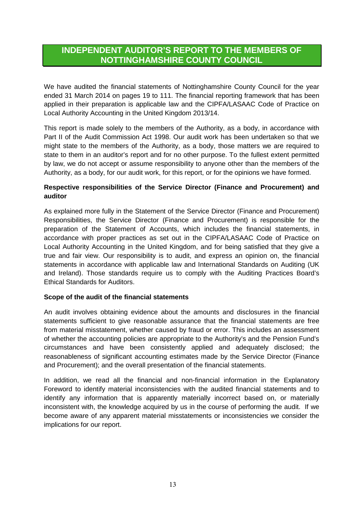### **INDEPENDENT AUDITOR'S REPORT TO THE MEMBERS OF NOTTINGHAMSHIRE COUNTY COUNCIL**

We have audited the financial statements of Nottinghamshire County Council for the year ended 31 March 2014 on pages 19 to 111. The financial reporting framework that has been applied in their preparation is applicable law and the CIPFA/LASAAC Code of Practice on Local Authority Accounting in the United Kingdom 2013/14.

This report is made solely to the members of the Authority, as a body, in accordance with Part II of the Audit Commission Act 1998. Our audit work has been undertaken so that we might state to the members of the Authority, as a body, those matters we are required to state to them in an auditor's report and for no other purpose. To the fullest extent permitted by law, we do not accept or assume responsibility to anyone other than the members of the Authority, as a body, for our audit work, for this report, or for the opinions we have formed.

### **Respective responsibilities of the Service Director (Finance and Procurement) and auditor**

As explained more fully in the Statement of the Service Director (Finance and Procurement) Responsibilities, the Service Director (Finance and Procurement) is responsible for the preparation of the Statement of Accounts, which includes the financial statements, in accordance with proper practices as set out in the CIPFA/LASAAC Code of Practice on Local Authority Accounting in the United Kingdom, and for being satisfied that they give a true and fair view. Our responsibility is to audit, and express an opinion on, the financial statements in accordance with applicable law and International Standards on Auditing (UK and Ireland). Those standards require us to comply with the Auditing Practices Board's Ethical Standards for Auditors.

#### **Scope of the audit of the financial statements**

An audit involves obtaining evidence about the amounts and disclosures in the financial statements sufficient to give reasonable assurance that the financial statements are free from material misstatement, whether caused by fraud or error. This includes an assessment of whether the accounting policies are appropriate to the Authority's and the Pension Fund's circumstances and have been consistently applied and adequately disclosed; the reasonableness of significant accounting estimates made by the Service Director (Finance and Procurement); and the overall presentation of the financial statements.

In addition, we read all the financial and non-financial information in the Explanatory Foreword to identify material inconsistencies with the audited financial statements and to identify any information that is apparently materially incorrect based on, or materially inconsistent with, the knowledge acquired by us in the course of performing the audit. If we become aware of any apparent material misstatements or inconsistencies we consider the implications for our report.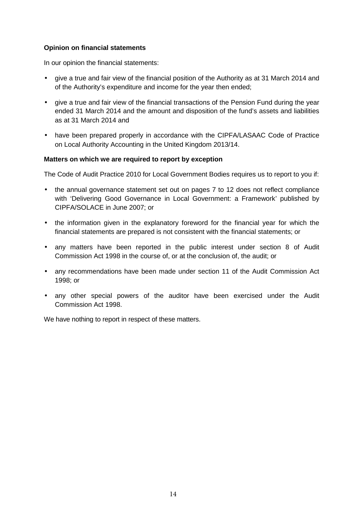#### **Opinion on financial statements**

In our opinion the financial statements:

- give a true and fair view of the financial position of the Authority as at 31 March 2014 and of the Authority's expenditure and income for the year then ended;
- give a true and fair view of the financial transactions of the Pension Fund during the year ended 31 March 2014 and the amount and disposition of the fund's assets and liabilities as at 31 March 2014 and
- have been prepared properly in accordance with the CIPFA/LASAAC Code of Practice on Local Authority Accounting in the United Kingdom 2013/14.

#### **Matters on which we are required to report by exception**

The Code of Audit Practice 2010 for Local Government Bodies requires us to report to you if:

- the annual governance statement set out on pages 7 to 12 does not reflect compliance with 'Delivering Good Governance in Local Government: a Framework' published by CIPFA/SOLACE in June 2007; or
- the information given in the explanatory foreword for the financial year for which the financial statements are prepared is not consistent with the financial statements; or
- any matters have been reported in the public interest under section 8 of Audit Commission Act 1998 in the course of, or at the conclusion of, the audit; or
- any recommendations have been made under section 11 of the Audit Commission Act 1998; or
- any other special powers of the auditor have been exercised under the Audit Commission Act 1998.

We have nothing to report in respect of these matters.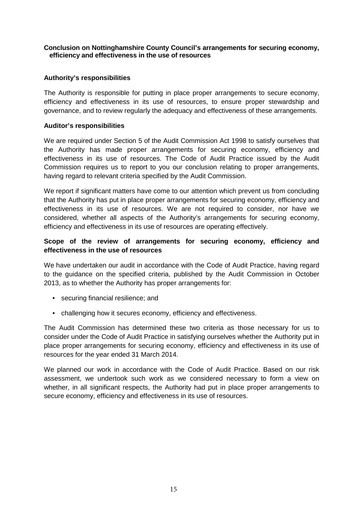#### **Conclusion on Nottinghamshire County Council's arrangements for securing economy, efficiency and effectiveness in the use of resources**

#### **Authority's responsibilities**

The Authority is responsible for putting in place proper arrangements to secure economy, efficiency and effectiveness in its use of resources, to ensure proper stewardship and governance, and to review regularly the adequacy and effectiveness of these arrangements.

#### **Auditor's responsibilities**

We are required under Section 5 of the Audit Commission Act 1998 to satisfy ourselves that the Authority has made proper arrangements for securing economy, efficiency and effectiveness in its use of resources. The Code of Audit Practice issued by the Audit Commission requires us to report to you our conclusion relating to proper arrangements, having regard to relevant criteria specified by the Audit Commission.

We report if significant matters have come to our attention which prevent us from concluding that the Authority has put in place proper arrangements for securing economy, efficiency and effectiveness in its use of resources. We are not required to consider, nor have we considered, whether all aspects of the Authority's arrangements for securing economy, efficiency and effectiveness in its use of resources are operating effectively.

#### **Scope of the review of arrangements for securing economy, efficiency and effectiveness in the use of resources**

We have undertaken our audit in accordance with the Code of Audit Practice, having regard to the guidance on the specified criteria, published by the Audit Commission in October 2013, as to whether the Authority has proper arrangements for:

- securing financial resilience; and
- challenging how it secures economy, efficiency and effectiveness.

The Audit Commission has determined these two criteria as those necessary for us to consider under the Code of Audit Practice in satisfying ourselves whether the Authority put in place proper arrangements for securing economy, efficiency and effectiveness in its use of resources for the year ended 31 March 2014.

We planned our work in accordance with the Code of Audit Practice. Based on our risk assessment, we undertook such work as we considered necessary to form a view on whether, in all significant respects, the Authority had put in place proper arrangements to secure economy, efficiency and effectiveness in its use of resources.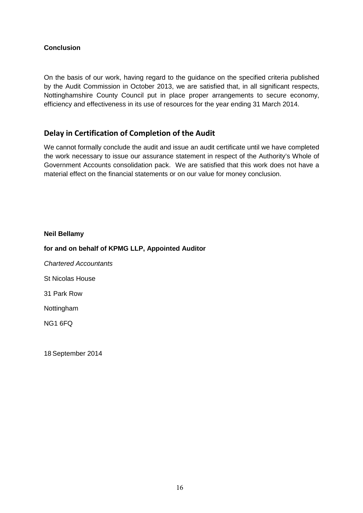### **Conclusion**

On the basis of our work, having regard to the guidance on the specified criteria published by the Audit Commission in October 2013, we are satisfied that, in all significant respects, Nottinghamshire County Council put in place proper arrangements to secure economy, efficiency and effectiveness in its use of resources for the year ending 31 March 2014.

### **Delay in Certification of Completion of the Audit**

We cannot formally conclude the audit and issue an audit certificate until we have completed the work necessary to issue our assurance statement in respect of the Authority's Whole of Government Accounts consolidation pack. We are satisfied that this work does not have a material effect on the financial statements or on our value for money conclusion.

**Neil Bellamy for and on behalf of KPMG LLP, Appointed Auditor** Chartered Accountants St Nicolas House 31 Park Row Nottingham NG1 6FQ

18 September 2014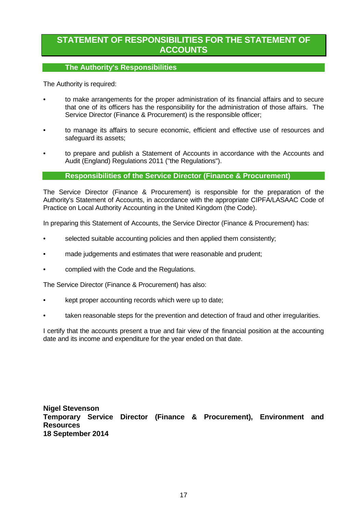### **STATEMENT OF RESPONSIBILITIES FOR THE STATEMENT OF ACCOUNTS**

#### **The Authority's Responsibilities**

The Authority is required:

- to make arrangements for the proper administration of its financial affairs and to secure that one of its officers has the responsibility for the administration of those affairs. The Service Director (Finance & Procurement) is the responsible officer;
- to manage its affairs to secure economic, efficient and effective use of resources and safeguard its assets;
- to prepare and publish a Statement of Accounts in accordance with the Accounts and Audit (England) Regulations 2011 ("the Regulations").

#### **Responsibilities of the Service Director (Finance & Procurement)**

The Service Director (Finance & Procurement) is responsible for the preparation of the Authority's Statement of Accounts, in accordance with the appropriate CIPFA/LASAAC Code of Practice on Local Authority Accounting in the United Kingdom (the Code).

In preparing this Statement of Accounts, the Service Director (Finance & Procurement) has:

- selected suitable accounting policies and then applied them consistently;
- made judgements and estimates that were reasonable and prudent;
- complied with the Code and the Regulations.

The Service Director (Finance & Procurement) has also:

- kept proper accounting records which were up to date;
- taken reasonable steps for the prevention and detection of fraud and other irregularities.

I certify that the accounts present a true and fair view of the financial position at the accounting date and its income and expenditure for the year ended on that date.

**Nigel Stevenson Temporary Service Director (Finance & Procurement), Environment and Resources 18 September 2014**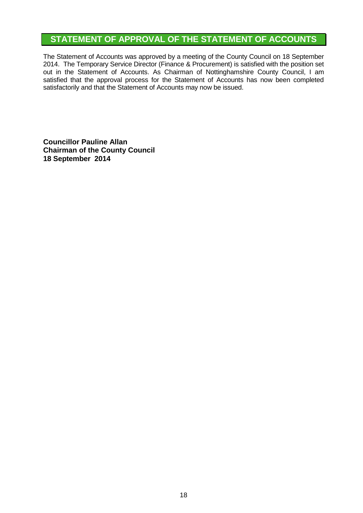## **STATEMENT OF APPROVAL OF THE STATEMENT OF ACCOUNTS**

The Statement of Accounts was approved by a meeting of the County Council on 18 September 2014. The Temporary Service Director (Finance & Procurement) is satisfied with the position set out in the Statement of Accounts. As Chairman of Nottinghamshire County Council, I am satisfied that the approval process for the Statement of Accounts has now been completed satisfactorily and that the Statement of Accounts may now be issued.

**Councillor Pauline Allan Chairman of the County Council 18 September 2014**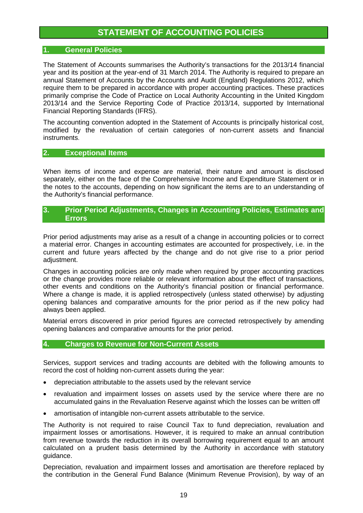### **STATEMENT OF ACCOUNTING POLICIES**

#### **1. General Policies**

The Statement of Accounts summarises the Authority's transactions for the 2013/14 financial year and its position at the year-end of 31 March 2014. The Authority is required to prepare an annual Statement of Accounts by the Accounts and Audit (England) Regulations 2012, which require them to be prepared in accordance with proper accounting practices. These practices primarily comprise the Code of Practice on Local Authority Accounting in the United Kingdom 2013/14 and the Service Reporting Code of Practice 2013/14, supported by International Financial Reporting Standards (IFRS).

The accounting convention adopted in the Statement of Accounts is principally historical cost, modified by the revaluation of certain categories of non-current assets and financial instruments.

#### **2. Exceptional Items**

When items of income and expense are material, their nature and amount is disclosed separately, either on the face of the Comprehensive Income and Expenditure Statement or in the notes to the accounts, depending on how significant the items are to an understanding of the Authority's financial performance.

#### **3. Prior Period Adjustments, Changes in Accounting Policies, Estimates and Errors**

Prior period adjustments may arise as a result of a change in accounting policies or to correct a material error. Changes in accounting estimates are accounted for prospectively, i.e. in the current and future years affected by the change and do not give rise to a prior period adjustment.

Changes in accounting policies are only made when required by proper accounting practices or the change provides more reliable or relevant information about the effect of transactions, other events and conditions on the Authority's financial position or financial performance. Where a change is made, it is applied retrospectively (unless stated otherwise) by adjusting opening balances and comparative amounts for the prior period as if the new policy had always been applied.

Material errors discovered in prior period figures are corrected retrospectively by amending opening balances and comparative amounts for the prior period.

#### **4. Charges to Revenue for Non-Current Assets**

Services, support services and trading accounts are debited with the following amounts to record the cost of holding non-current assets during the year:

- depreciation attributable to the assets used by the relevant service
- revaluation and impairment losses on assets used by the service where there are no accumulated gains in the Revaluation Reserve against which the losses can be written off
- amortisation of intangible non-current assets attributable to the service.

The Authority is not required to raise Council Tax to fund depreciation, revaluation and impairment losses or amortisations. However, it is required to make an annual contribution from revenue towards the reduction in its overall borrowing requirement equal to an amount calculated on a prudent basis determined by the Authority in accordance with statutory guidance.

Depreciation, revaluation and impairment losses and amortisation are therefore replaced by the contribution in the General Fund Balance (Minimum Revenue Provision), by way of an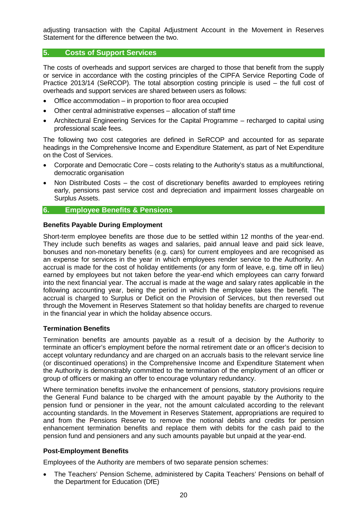adjusting transaction with the Capital Adjustment Account in the Movement in Reserves Statement for the difference between the two.

#### **5. Costs of Support Services**

The costs of overheads and support services are charged to those that benefit from the supply or service in accordance with the costing principles of the CIPFA Service Reporting Code of Practice 2013/14 (SeRCOP). The total absorption costing principle is used – the full cost of overheads and support services are shared between users as follows:

- Office accommodation in proportion to floor area occupied
- Other central administrative expenses allocation of staff time
- Architectural Engineering Services for the Capital Programme recharged to capital using professional scale fees.

The following two cost categories are defined in SeRCOP and accounted for as separate headings in the Comprehensive Income and Expenditure Statement, as part of Net Expenditure on the Cost of Services.

- Corporate and Democratic Core costs relating to the Authority's status as a multifunctional, democratic organisation
- Non Distributed Costs the cost of discretionary benefits awarded to employees retiring early, pensions past service cost and depreciation and impairment losses chargeable on Surplus Assets.

#### **6. Employee Benefits & Pensions**

#### **Benefits Payable During Employment**

Short-term employee benefits are those due to be settled within 12 months of the year-end. They include such benefits as wages and salaries, paid annual leave and paid sick leave, bonuses and non-monetary benefits (e.g. cars) for current employees and are recognised as an expense for services in the year in which employees render service to the Authority. An accrual is made for the cost of holiday entitlements (or any form of leave, e.g. time off in lieu) earned by employees but not taken before the year-end which employees can carry forward into the next financial year. The accrual is made at the wage and salary rates applicable in the following accounting year, being the period in which the employee takes the benefit. The accrual is charged to Surplus or Deficit on the Provision of Services, but then reversed out through the Movement in Reserves Statement so that holiday benefits are charged to revenue in the financial year in which the holiday absence occurs.

#### **Termination Benefits**

Termination benefits are amounts payable as a result of a decision by the Authority to terminate an officer's employment before the normal retirement date or an officer's decision to accept voluntary redundancy and are charged on an accruals basis to the relevant service line (or discontinued operations) in the Comprehensive Income and Expenditure Statement when the Authority is demonstrably committed to the termination of the employment of an officer or group of officers or making an offer to encourage voluntary redundancy.

Where termination benefits involve the enhancement of pensions, statutory provisions require the General Fund balance to be charged with the amount payable by the Authority to the pension fund or pensioner in the year, not the amount calculated according to the relevant accounting standards. In the Movement in Reserves Statement, appropriations are required to and from the Pensions Reserve to remove the notional debits and credits for pension enhancement termination benefits and replace them with debits for the cash paid to the pension fund and pensioners and any such amounts payable but unpaid at the year-end.

#### **Post-Employment Benefits**

Employees of the Authority are members of two separate pension schemes:

• The Teachers' Pension Scheme, administered by Capita Teachers' Pensions on behalf of the Department for Education (DfE)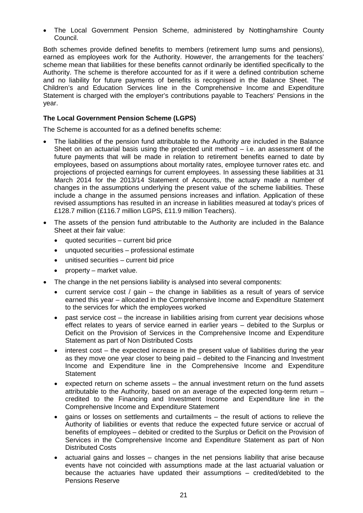• The Local Government Pension Scheme, administered by Nottinghamshire County Council.

Both schemes provide defined benefits to members (retirement lump sums and pensions), earned as employees work for the Authority. However, the arrangements for the teachers' scheme mean that liabilities for these benefits cannot ordinarily be identified specifically to the Authority. The scheme is therefore accounted for as if it were a defined contribution scheme and no liability for future payments of benefits is recognised in the Balance Sheet. The Children's and Education Services line in the Comprehensive Income and Expenditure Statement is charged with the employer's contributions payable to Teachers' Pensions in the year.

#### **The Local Government Pension Scheme (LGPS)**

The Scheme is accounted for as a defined benefits scheme:

- The liabilities of the pension fund attributable to the Authority are included in the Balance Sheet on an actuarial basis using the projected unit method  $-$  i.e. an assessment of the future payments that will be made in relation to retirement benefits earned to date by employees, based on assumptions about mortality rates, employee turnover rates etc. and projections of projected earnings for current employees. In assessing these liabilities at 31 March 2014 for the 2013/14 Statement of Accounts, the actuary made a number of changes in the assumptions underlying the present value of the scheme liabilities. These include a change in the assumed pensions increases and inflation. Application of these revised assumptions has resulted in an increase in liabilities measured at today's prices of £128.7 million (£116.7 million LGPS, £11.9 million Teachers).
- The assets of the pension fund attributable to the Authority are included in the Balance Sheet at their fair value:
	- quoted securities current bid price
	- unquoted securities professional estimate
	- unitised securities current bid price
	- property market value.
- The change in the net pensions liability is analysed into several components:
	- current service cost / gain the change in liabilities as a result of years of service earned this year – allocated in the Comprehensive Income and Expenditure Statement to the services for which the employees worked
	- past service cost the increase in liabilities arising from current year decisions whose effect relates to years of service earned in earlier years – debited to the Surplus or Deficit on the Provision of Services in the Comprehensive Income and Expenditure Statement as part of Non Distributed Costs
	- interest cost the expected increase in the present value of liabilities during the year as they move one year closer to being paid – debited to the Financing and Investment Income and Expenditure line in the Comprehensive Income and Expenditure **Statement**
	- expected return on scheme assets the annual investment return on the fund assets attributable to the Authority, based on an average of the expected long-term return – credited to the Financing and Investment Income and Expenditure line in the Comprehensive Income and Expenditure Statement
	- gains or losses on settlements and curtailments the result of actions to relieve the Authority of liabilities or events that reduce the expected future service or accrual of benefits of employees – debited or credited to the Surplus or Deficit on the Provision of Services in the Comprehensive Income and Expenditure Statement as part of Non Distributed Costs
	- actuarial gains and losses changes in the net pensions liability that arise because events have not coincided with assumptions made at the last actuarial valuation or because the actuaries have updated their assumptions – credited/debited to the Pensions Reserve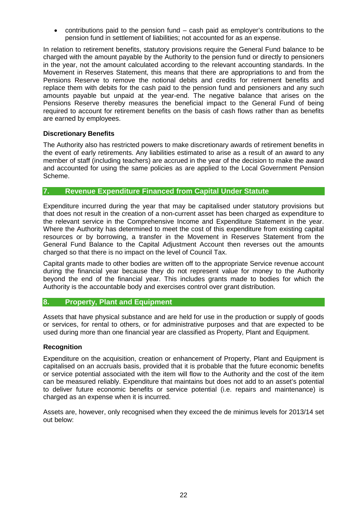• contributions paid to the pension fund – cash paid as employer's contributions to the pension fund in settlement of liabilities; not accounted for as an expense.

In relation to retirement benefits, statutory provisions require the General Fund balance to be charged with the amount payable by the Authority to the pension fund or directly to pensioners in the year, not the amount calculated according to the relevant accounting standards. In the Movement in Reserves Statement, this means that there are appropriations to and from the Pensions Reserve to remove the notional debits and credits for retirement benefits and replace them with debits for the cash paid to the pension fund and pensioners and any such amounts payable but unpaid at the year-end. The negative balance that arises on the Pensions Reserve thereby measures the beneficial impact to the General Fund of being required to account for retirement benefits on the basis of cash flows rather than as benefits are earned by employees.

#### **Discretionary Benefits**

The Authority also has restricted powers to make discretionary awards of retirement benefits in the event of early retirements. Any liabilities estimated to arise as a result of an award to any member of staff (including teachers) are accrued in the year of the decision to make the award and accounted for using the same policies as are applied to the Local Government Pension Scheme.

#### **7. Revenue Expenditure Financed from Capital Under Statute**

Expenditure incurred during the year that may be capitalised under statutory provisions but that does not result in the creation of a non-current asset has been charged as expenditure to the relevant service in the Comprehensive Income and Expenditure Statement in the year. Where the Authority has determined to meet the cost of this expenditure from existing capital resources or by borrowing, a transfer in the Movement in Reserves Statement from the General Fund Balance to the Capital Adjustment Account then reverses out the amounts charged so that there is no impact on the level of Council Tax.

Capital grants made to other bodies are written off to the appropriate Service revenue account during the financial year because they do not represent value for money to the Authority beyond the end of the financial year. This includes grants made to bodies for which the Authority is the accountable body and exercises control over grant distribution.

#### **8. Property, Plant and Equipment**

Assets that have physical substance and are held for use in the production or supply of goods or services, for rental to others, or for administrative purposes and that are expected to be used during more than one financial year are classified as Property, Plant and Equipment.

#### **Recognition**

Expenditure on the acquisition, creation or enhancement of Property, Plant and Equipment is capitalised on an accruals basis, provided that it is probable that the future economic benefits or service potential associated with the item will flow to the Authority and the cost of the item can be measured reliably. Expenditure that maintains but does not add to an asset's potential to deliver future economic benefits or service potential (i.e. repairs and maintenance) is charged as an expense when it is incurred.

Assets are, however, only recognised when they exceed the de minimus levels for 2013/14 set out below: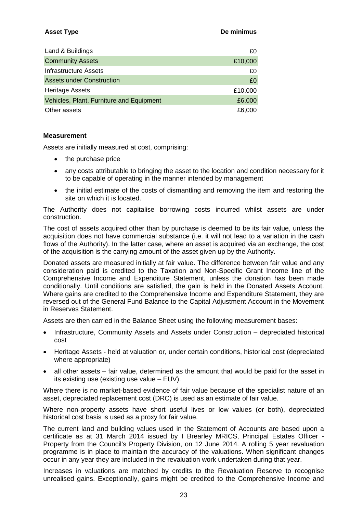#### **Asset Type De minimus**

| Land & Buildings                         | £0      |
|------------------------------------------|---------|
| <b>Community Assets</b>                  | £10,000 |
| <b>Infrastructure Assets</b>             | £0      |
| Assets under Construction                | £0      |
| <b>Heritage Assets</b>                   | £10,000 |
| Vehicles, Plant, Furniture and Equipment | £6,000  |
| Other assets                             | £6,000  |

#### **Measurement**

Assets are initially measured at cost, comprising:

- the purchase price
- any costs attributable to bringing the asset to the location and condition necessary for it to be capable of operating in the manner intended by management
- the initial estimate of the costs of dismantling and removing the item and restoring the site on which it is located.

The Authority does not capitalise borrowing costs incurred whilst assets are under construction.

The cost of assets acquired other than by purchase is deemed to be its fair value, unless the acquisition does not have commercial substance (i.e. it will not lead to a variation in the cash flows of the Authority). In the latter case, where an asset is acquired via an exchange, the cost of the acquisition is the carrying amount of the asset given up by the Authority.

Donated assets are measured initially at fair value. The difference between fair value and any consideration paid is credited to the Taxation and Non-Specific Grant Income line of the Comprehensive Income and Expenditure Statement, unless the donation has been made conditionally. Until conditions are satisfied, the gain is held in the Donated Assets Account. Where gains are credited to the Comprehensive Income and Expenditure Statement, they are reversed out of the General Fund Balance to the Capital Adjustment Account in the Movement in Reserves Statement.

Assets are then carried in the Balance Sheet using the following measurement bases:

- Infrastructure, Community Assets and Assets under Construction depreciated historical cost
- Heritage Assets held at valuation or, under certain conditions, historical cost (depreciated where appropriate)
- all other assets fair value, determined as the amount that would be paid for the asset in its existing use (existing use value – EUV).

Where there is no market-based evidence of fair value because of the specialist nature of an asset, depreciated replacement cost (DRC) is used as an estimate of fair value.

Where non-property assets have short useful lives or low values (or both), depreciated historical cost basis is used as a proxy for fair value.

The current land and building values used in the Statement of Accounts are based upon a certificate as at 31 March 2014 issued by I Brearley MRICS, Principal Estates Officer - Property from the Council's Property Division, on 12 June 2014. A rolling 5 year revaluation programme is in place to maintain the accuracy of the valuations. When significant changes occur in any year they are included in the revaluation work undertaken during that year.

Increases in valuations are matched by credits to the Revaluation Reserve to recognise unrealised gains. Exceptionally, gains might be credited to the Comprehensive Income and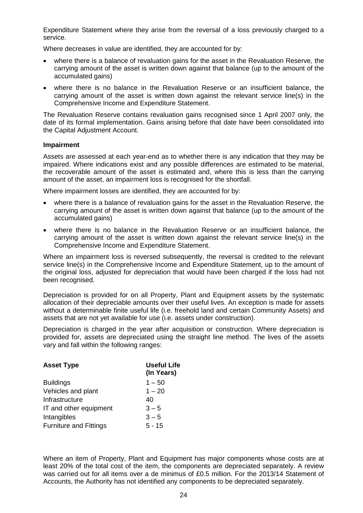Expenditure Statement where they arise from the reversal of a loss previously charged to a service.

Where decreases in value are identified, they are accounted for by:

- where there is a balance of revaluation gains for the asset in the Revaluation Reserve, the carrying amount of the asset is written down against that balance (up to the amount of the accumulated gains)
- where there is no balance in the Revaluation Reserve or an insufficient balance, the carrying amount of the asset is written down against the relevant service line(s) in the Comprehensive Income and Expenditure Statement.

The Revaluation Reserve contains revaluation gains recognised since 1 April 2007 only, the date of its formal implementation. Gains arising before that date have been consolidated into the Capital Adjustment Account.

#### **Impairment**

Assets are assessed at each year-end as to whether there is any indication that they may be impaired. Where indications exist and any possible differences are estimated to be material, the recoverable amount of the asset is estimated and, where this is less than the carrying amount of the asset, an impairment loss is recognised for the shortfall.

Where impairment losses are identified, they are accounted for by:

- where there is a balance of revaluation gains for the asset in the Revaluation Reserve, the carrying amount of the asset is written down against that balance (up to the amount of the accumulated gains)
- where there is no balance in the Revaluation Reserve or an insufficient balance, the carrying amount of the asset is written down against the relevant service line(s) in the Comprehensive Income and Expenditure Statement.

Where an impairment loss is reversed subsequently, the reversal is credited to the relevant service line(s) in the Comprehensive Income and Expenditure Statement, up to the amount of the original loss, adjusted for depreciation that would have been charged if the loss had not been recognised.

Depreciation is provided for on all Property, Plant and Equipment assets by the systematic allocation of their depreciable amounts over their useful lives. An exception is made for assets without a determinable finite useful life (i.e. freehold land and certain Community Assets) and assets that are not yet available for use (i.e. assets under construction).

Depreciation is charged in the year after acquisition or construction. Where depreciation is provided for, assets are depreciated using the straight line method. The lives of the assets vary and fall within the following ranges:

| <b>Useful Life</b><br>(In Years) |
|----------------------------------|
| $1 - 50$                         |
| $1 - 20$                         |
| 40                               |
| $3 - 5$                          |
| $3 - 5$                          |
| $5 - 15$                         |
|                                  |

Where an item of Property, Plant and Equipment has major components whose costs are at least 20% of the total cost of the item, the components are depreciated separately. A review was carried out for all items over a de minimus of £0.5 million. For the 2013/14 Statement of Accounts, the Authority has not identified any components to be depreciated separately.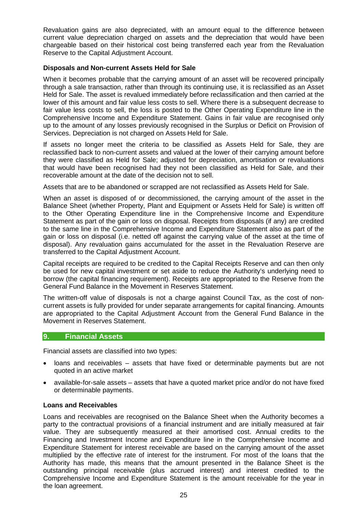Revaluation gains are also depreciated, with an amount equal to the difference between current value depreciation charged on assets and the depreciation that would have been chargeable based on their historical cost being transferred each year from the Revaluation Reserve to the Capital Adjustment Account.

#### **Disposals and Non-current Assets Held for Sale**

When it becomes probable that the carrying amount of an asset will be recovered principally through a sale transaction, rather than through its continuing use, it is reclassified as an Asset Held for Sale. The asset is revalued immediately before reclassification and then carried at the lower of this amount and fair value less costs to sell. Where there is a subsequent decrease to fair value less costs to sell, the loss is posted to the Other Operating Expenditure line in the Comprehensive Income and Expenditure Statement. Gains in fair value are recognised only up to the amount of any losses previously recognised in the Surplus or Deficit on Provision of Services. Depreciation is not charged on Assets Held for Sale.

If assets no longer meet the criteria to be classified as Assets Held for Sale, they are reclassified back to non-current assets and valued at the lower of their carrying amount before they were classified as Held for Sale; adjusted for depreciation, amortisation or revaluations that would have been recognised had they not been classified as Held for Sale, and their recoverable amount at the date of the decision not to sell.

Assets that are to be abandoned or scrapped are not reclassified as Assets Held for Sale.

When an asset is disposed of or decommissioned, the carrying amount of the asset in the Balance Sheet (whether Property, Plant and Equipment or Assets Held for Sale) is written off to the Other Operating Expenditure line in the Comprehensive Income and Expenditure Statement as part of the gain or loss on disposal. Receipts from disposals (if any) are credited to the same line in the Comprehensive Income and Expenditure Statement also as part of the gain or loss on disposal (i.e. netted off against the carrying value of the asset at the time of disposal). Any revaluation gains accumulated for the asset in the Revaluation Reserve are transferred to the Capital Adjustment Account.

Capital receipts are required to be credited to the Capital Receipts Reserve and can then only be used for new capital investment or set aside to reduce the Authority's underlying need to borrow (the capital financing requirement). Receipts are appropriated to the Reserve from the General Fund Balance in the Movement in Reserves Statement.

The written-off value of disposals is not a charge against Council Tax, as the cost of noncurrent assets is fully provided for under separate arrangements for capital financing. Amounts are appropriated to the Capital Adjustment Account from the General Fund Balance in the Movement in Reserves Statement.

#### **9. Financial Assets**

Financial assets are classified into two types:

- loans and receivables assets that have fixed or determinable payments but are not quoted in an active market
- available-for-sale assets assets that have a quoted market price and/or do not have fixed or determinable payments.

#### **Loans and Receivables**

Loans and receivables are recognised on the Balance Sheet when the Authority becomes a party to the contractual provisions of a financial instrument and are initially measured at fair value. They are subsequently measured at their amortised cost. Annual credits to the Financing and Investment Income and Expenditure line in the Comprehensive Income and Expenditure Statement for interest receivable are based on the carrying amount of the asset multiplied by the effective rate of interest for the instrument. For most of the loans that the Authority has made, this means that the amount presented in the Balance Sheet is the outstanding principal receivable (plus accrued interest) and interest credited to the Comprehensive Income and Expenditure Statement is the amount receivable for the year in the loan agreement.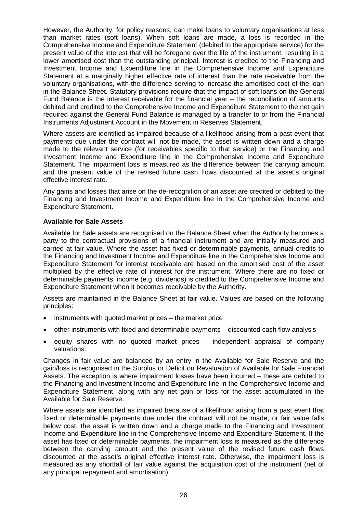However, the Authority, for policy reasons, can make loans to voluntary organisations at less than market rates (soft loans). When soft loans are made, a loss is recorded in the Comprehensive Income and Expenditure Statement (debited to the appropriate service) for the present value of the interest that will be foregone over the life of the instrument, resulting in a lower amortised cost than the outstanding principal. Interest is credited to the Financing and Investment Income and Expenditure line in the Comprehensive Income and Expenditure Statement at a marginally higher effective rate of interest than the rate receivable from the voluntary organisations, with the difference serving to increase the amortised cost of the loan in the Balance Sheet. Statutory provisions require that the impact of soft loans on the General Fund Balance is the interest receivable for the financial year – the reconciliation of amounts debited and credited to the Comprehensive Income and Expenditure Statement to the net gain required against the General Fund Balance is managed by a transfer to or from the Financial Instruments Adjustment Account in the Movement in Reserves Statement.

Where assets are identified as impaired because of a likelihood arising from a past event that payments due under the contract will not be made, the asset is written down and a charge made to the relevant service (for receivables specific to that service) or the Financing and Investment Income and Expenditure line in the Comprehensive Income and Expenditure Statement. The impairment loss is measured as the difference between the carrying amount and the present value of the revised future cash flows discounted at the asset's original effective interest rate.

Any gains and losses that arise on the de-recognition of an asset are credited or debited to the Financing and Investment Income and Expenditure line in the Comprehensive Income and Expenditure Statement.

#### **Available for Sale Assets**

Available for Sale assets are recognised on the Balance Sheet when the Authority becomes a party to the contractual provisions of a financial instrument and are initially measured and carried at fair value. Where the asset has fixed or determinable payments, annual credits to the Financing and Investment Income and Expenditure line in the Comprehensive Income and Expenditure Statement for interest receivable are based on the amortised cost of the asset multiplied by the effective rate of interest for the instrument. Where there are no fixed or determinable payments, income (e.g. dividends) is credited to the Comprehensive Income and Expenditure Statement when it becomes receivable by the Authority.

Assets are maintained in the Balance Sheet at fair value. Values are based on the following principles:

- instruments with quoted market prices the market price
- other instruments with fixed and determinable payments discounted cash flow analysis
- equity shares with no quoted market prices independent appraisal of company valuations.

Changes in fair value are balanced by an entry in the Available for Sale Reserve and the gain/loss is recognised in the Surplus or Deficit on Revaluation of Available for Sale Financial Assets. The exception is where impairment losses have been incurred – these are debited to the Financing and Investment Income and Expenditure line in the Comprehensive Income and Expenditure Statement, along with any net gain or loss for the asset accumulated in the Available for Sale Reserve.

Where assets are identified as impaired because of a likelihood arising from a past event that fixed or determinable payments due under the contract will not be made, or fair value falls below cost, the asset is written down and a charge made to the Financing and Investment Income and Expenditure line in the Comprehensive Income and Expenditure Statement. If the asset has fixed or determinable payments, the impairment loss is measured as the difference between the carrying amount and the present value of the revised future cash flows discounted at the asset's original effective interest rate. Otherwise, the impairment loss is measured as any shortfall of fair value against the acquisition cost of the instrument (net of any principal repayment and amortisation).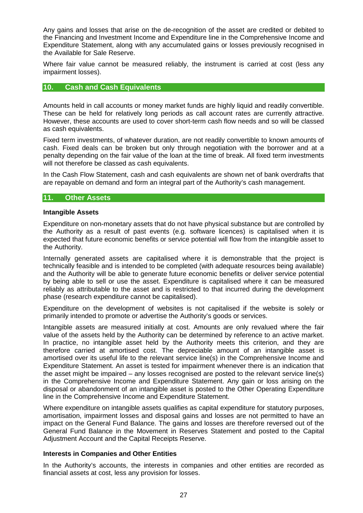Any gains and losses that arise on the de-recognition of the asset are credited or debited to the Financing and Investment Income and Expenditure line in the Comprehensive Income and Expenditure Statement, along with any accumulated gains or losses previously recognised in the Available for Sale Reserve.

Where fair value cannot be measured reliably, the instrument is carried at cost (less any impairment losses).

#### **10. Cash and Cash Equivalents**

Amounts held in call accounts or money market funds are highly liquid and readily convertible. These can be held for relatively long periods as call account rates are currently attractive. However, these accounts are used to cover short-term cash flow needs and so will be classed as cash equivalents.

Fixed term investments, of whatever duration, are not readily convertible to known amounts of cash. Fixed deals can be broken but only through negotiation with the borrower and at a penalty depending on the fair value of the loan at the time of break. All fixed term investments will not therefore be classed as cash equivalents.

In the Cash Flow Statement, cash and cash equivalents are shown net of bank overdrafts that are repayable on demand and form an integral part of the Authority's cash management.

#### **11. Other Assets**

#### **Intangible Assets**

Expenditure on non-monetary assets that do not have physical substance but are controlled by the Authority as a result of past events (e.g. software licences) is capitalised when it is expected that future economic benefits or service potential will flow from the intangible asset to the Authority.

Internally generated assets are capitalised where it is demonstrable that the project is technically feasible and is intended to be completed (with adequate resources being available) and the Authority will be able to generate future economic benefits or deliver service potential by being able to sell or use the asset. Expenditure is capitalised where it can be measured reliably as attributable to the asset and is restricted to that incurred during the development phase (research expenditure cannot be capitalised).

Expenditure on the development of websites is not capitalised if the website is solely or primarily intended to promote or advertise the Authority's goods or services.

Intangible assets are measured initially at cost. Amounts are only revalued where the fair value of the assets held by the Authority can be determined by reference to an active market. In practice, no intangible asset held by the Authority meets this criterion, and they are therefore carried at amortised cost. The depreciable amount of an intangible asset is amortised over its useful life to the relevant service line(s) in the Comprehensive Income and Expenditure Statement. An asset is tested for impairment whenever there is an indication that the asset might be impaired – any losses recognised are posted to the relevant service line(s) in the Comprehensive Income and Expenditure Statement. Any gain or loss arising on the disposal or abandonment of an intangible asset is posted to the Other Operating Expenditure line in the Comprehensive Income and Expenditure Statement.

Where expenditure on intangible assets qualifies as capital expenditure for statutory purposes, amortisation, impairment losses and disposal gains and losses are not permitted to have an impact on the General Fund Balance. The gains and losses are therefore reversed out of the General Fund Balance in the Movement in Reserves Statement and posted to the Capital Adjustment Account and the Capital Receipts Reserve.

#### **Interests in Companies and Other Entities**

In the Authority's accounts, the interests in companies and other entities are recorded as financial assets at cost, less any provision for losses.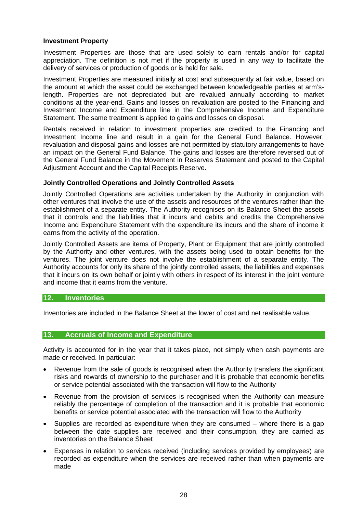#### **Investment Property**

Investment Properties are those that are used solely to earn rentals and/or for capital appreciation. The definition is not met if the property is used in any way to facilitate the delivery of services or production of goods or is held for sale.

Investment Properties are measured initially at cost and subsequently at fair value, based on the amount at which the asset could be exchanged between knowledgeable parties at arm'slength. Properties are not depreciated but are revalued annually according to market conditions at the year-end. Gains and losses on revaluation are posted to the Financing and Investment Income and Expenditure line in the Comprehensive Income and Expenditure Statement. The same treatment is applied to gains and losses on disposal.

Rentals received in relation to investment properties are credited to the Financing and Investment Income line and result in a gain for the General Fund Balance. However, revaluation and disposal gains and losses are not permitted by statutory arrangements to have an impact on the General Fund Balance. The gains and losses are therefore reversed out of the General Fund Balance in the Movement in Reserves Statement and posted to the Capital Adjustment Account and the Capital Receipts Reserve.

#### **Jointly Controlled Operations and Jointly Controlled Assets**

Jointly Controlled Operations are activities undertaken by the Authority in conjunction with other ventures that involve the use of the assets and resources of the ventures rather than the establishment of a separate entity. The Authority recognises on its Balance Sheet the assets that it controls and the liabilities that it incurs and debits and credits the Comprehensive Income and Expenditure Statement with the expenditure its incurs and the share of income it earns from the activity of the operation.

Jointly Controlled Assets are items of Property, Plant or Equipment that are jointly controlled by the Authority and other ventures, with the assets being used to obtain benefits for the ventures. The joint venture does not involve the establishment of a separate entity. The Authority accounts for only its share of the jointly controlled assets, the liabilities and expenses that it incurs on its own behalf or jointly with others in respect of its interest in the joint venture and income that it earns from the venture.

#### **12. Inventories**

Inventories are included in the Balance Sheet at the lower of cost and net realisable value.

#### **13. Accruals of Income and Expenditure**

Activity is accounted for in the year that it takes place, not simply when cash payments are made or received. In particular:

- Revenue from the sale of goods is recognised when the Authority transfers the significant risks and rewards of ownership to the purchaser and it is probable that economic benefits or service potential associated with the transaction will flow to the Authority
- Revenue from the provision of services is recognised when the Authority can measure reliably the percentage of completion of the transaction and it is probable that economic benefits or service potential associated with the transaction will flow to the Authority
- Supplies are recorded as expenditure when they are consumed where there is a gap between the date supplies are received and their consumption, they are carried as inventories on the Balance Sheet
- Expenses in relation to services received (including services provided by employees) are recorded as expenditure when the services are received rather than when payments are made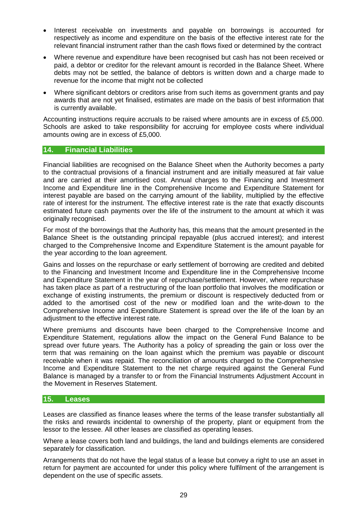- Interest receivable on investments and payable on borrowings is accounted for respectively as income and expenditure on the basis of the effective interest rate for the relevant financial instrument rather than the cash flows fixed or determined by the contract
- Where revenue and expenditure have been recognised but cash has not been received or paid, a debtor or creditor for the relevant amount is recorded in the Balance Sheet. Where debts may not be settled, the balance of debtors is written down and a charge made to revenue for the income that might not be collected
- Where significant debtors or creditors arise from such items as government grants and pay awards that are not yet finalised, estimates are made on the basis of best information that is currently available.

Accounting instructions require accruals to be raised where amounts are in excess of £5,000. Schools are asked to take responsibility for accruing for employee costs where individual amounts owing are in excess of £5,000.

#### **14. Financial Liabilities**

Financial liabilities are recognised on the Balance Sheet when the Authority becomes a party to the contractual provisions of a financial instrument and are initially measured at fair value and are carried at their amortised cost. Annual charges to the Financing and Investment Income and Expenditure line in the Comprehensive Income and Expenditure Statement for interest payable are based on the carrying amount of the liability, multiplied by the effective rate of interest for the instrument. The effective interest rate is the rate that exactly discounts estimated future cash payments over the life of the instrument to the amount at which it was originally recognised.

For most of the borrowings that the Authority has, this means that the amount presented in the Balance Sheet is the outstanding principal repayable (plus accrued interest); and interest charged to the Comprehensive Income and Expenditure Statement is the amount payable for the year according to the loan agreement.

Gains and losses on the repurchase or early settlement of borrowing are credited and debited to the Financing and Investment Income and Expenditure line in the Comprehensive Income and Expenditure Statement in the year of repurchase/settlement. However, where repurchase has taken place as part of a restructuring of the loan portfolio that involves the modification or exchange of existing instruments, the premium or discount is respectively deducted from or added to the amortised cost of the new or modified loan and the write-down to the Comprehensive Income and Expenditure Statement is spread over the life of the loan by an adiustment to the effective interest rate.

Where premiums and discounts have been charged to the Comprehensive Income and Expenditure Statement, regulations allow the impact on the General Fund Balance to be spread over future years. The Authority has a policy of spreading the gain or loss over the term that was remaining on the loan against which the premium was payable or discount receivable when it was repaid. The reconciliation of amounts charged to the Comprehensive Income and Expenditure Statement to the net charge required against the General Fund Balance is managed by a transfer to or from the Financial Instruments Adjustment Account in the Movement in Reserves Statement.

#### **15. Leases**

Leases are classified as finance leases where the terms of the lease transfer substantially all the risks and rewards incidental to ownership of the property, plant or equipment from the lessor to the lessee. All other leases are classified as operating leases.

Where a lease covers both land and buildings, the land and buildings elements are considered separately for classification.

Arrangements that do not have the legal status of a lease but convey a right to use an asset in return for payment are accounted for under this policy where fulfilment of the arrangement is dependent on the use of specific assets.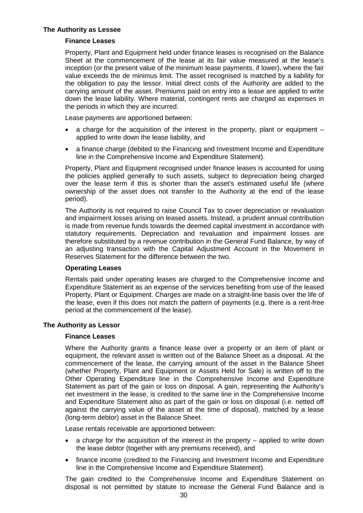#### **The Authority as Lessee**

#### **Finance Leases**

Property, Plant and Equipment held under finance leases is recognised on the Balance Sheet at the commencement of the lease at its fair value measured at the lease's inception (or the present value of the minimum lease payments, if lower), where the fair value exceeds the de minimus limit. The asset recognised is matched by a liability for the obligation to pay the lessor. Initial direct costs of the Authority are added to the carrying amount of the asset. Premiums paid on entry into a lease are applied to write down the lease liability. Where material, contingent rents are charged as expenses in the periods in which they are incurred.

Lease payments are apportioned between:

- a charge for the acquisition of the interest in the property, plant or equipment applied to write down the lease liability, and
- a finance charge (debited to the Financing and Investment Income and Expenditure line in the Comprehensive Income and Expenditure Statement).

Property, Plant and Equipment recognised under finance leases is accounted for using the policies applied generally to such assets, subject to depreciation being charged over the lease term if this is shorter than the asset's estimated useful life (where ownership of the asset does not transfer to the Authority at the end of the lease period).

The Authority is not required to raise Council Tax to cover depreciation or revaluation and impairment losses arising on leased assets. Instead, a prudent annual contribution is made from revenue funds towards the deemed capital investment in accordance with statutory requirements. Depreciation and revaluation and impairment losses are therefore substituted by a revenue contribution in the General Fund Balance, by way of an adjusting transaction with the Capital Adjustment Account in the Movement in Reserves Statement for the difference between the two.

#### **Operating Leases**

Rentals paid under operating leases are charged to the Comprehensive Income and Expenditure Statement as an expense of the services benefiting from use of the leased Property, Plant or Equipment. Charges are made on a straight-line basis over the life of the lease, even if this does not match the pattern of payments (e.g. there is a rent-free period at the commencement of the lease).

#### **The Authority as Lessor**

#### **Finance Leases**

Where the Authority grants a finance lease over a property or an item of plant or equipment, the relevant asset is written out of the Balance Sheet as a disposal. At the commencement of the lease, the carrying amount of the asset in the Balance Sheet (whether Property, Plant and Equipment or Assets Held for Sale) is written off to the Other Operating Expenditure line in the Comprehensive Income and Expenditure Statement as part of the gain or loss on disposal. A gain, representing the Authority's net investment in the lease, is credited to the same line in the Comprehensive Income and Expenditure Statement also as part of the gain or loss on disposal (i.e. netted off against the carrying value of the asset at the time of disposal), matched by a lease (long-term debtor) asset in the Balance Sheet.

Lease rentals receivable are apportioned between:

- a charge for the acquisition of the interest in the property applied to write down the lease debtor (together with any premiums received), and
- finance income (credited to the Financing and Investment Income and Expenditure line in the Comprehensive Income and Expenditure Statement).

The gain credited to the Comprehensive Income and Expenditure Statement on disposal is not permitted by statute to increase the General Fund Balance and is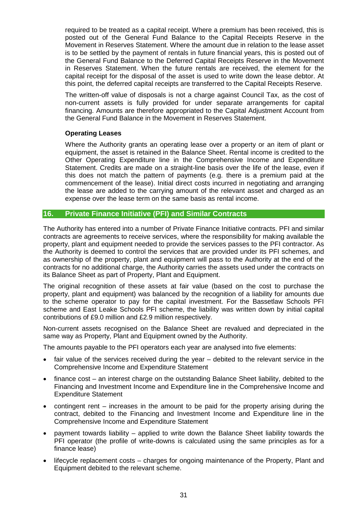required to be treated as a capital receipt. Where a premium has been received, this is posted out of the General Fund Balance to the Capital Receipts Reserve in the Movement in Reserves Statement. Where the amount due in relation to the lease asset is to be settled by the payment of rentals in future financial years, this is posted out of the General Fund Balance to the Deferred Capital Receipts Reserve in the Movement in Reserves Statement. When the future rentals are received, the element for the capital receipt for the disposal of the asset is used to write down the lease debtor. At this point, the deferred capital receipts are transferred to the Capital Receipts Reserve.

The written-off value of disposals is not a charge against Council Tax, as the cost of non-current assets is fully provided for under separate arrangements for capital financing. Amounts are therefore appropriated to the Capital Adjustment Account from the General Fund Balance in the Movement in Reserves Statement.

#### **Operating Leases**

Where the Authority grants an operating lease over a property or an item of plant or equipment, the asset is retained in the Balance Sheet. Rental income is credited to the Other Operating Expenditure line in the Comprehensive Income and Expenditure Statement. Credits are made on a straight-line basis over the life of the lease, even if this does not match the pattern of payments (e.g. there is a premium paid at the commencement of the lease). Initial direct costs incurred in negotiating and arranging the lease are added to the carrying amount of the relevant asset and charged as an expense over the lease term on the same basis as rental income.

#### **16. Private Finance Initiative (PFI) and Similar Contracts**

The Authority has entered into a number of Private Finance Initiative contracts. PFI and similar contracts are agreements to receive services, where the responsibility for making available the property, plant and equipment needed to provide the services passes to the PFI contractor. As the Authority is deemed to control the services that are provided under its PFI schemes, and as ownership of the property, plant and equipment will pass to the Authority at the end of the contracts for no additional charge, the Authority carries the assets used under the contracts on its Balance Sheet as part of Property, Plant and Equipment.

The original recognition of these assets at fair value (based on the cost to purchase the property, plant and equipment) was balanced by the recognition of a liability for amounts due to the scheme operator to pay for the capital investment. For the Bassetlaw Schools PFI scheme and East Leake Schools PFI scheme, the liability was written down by initial capital contributions of £9.0 million and £2.9 million respectively.

Non-current assets recognised on the Balance Sheet are revalued and depreciated in the same way as Property, Plant and Equipment owned by the Authority.

The amounts payable to the PFI operators each year are analysed into five elements:

- fair value of the services received during the year debited to the relevant service in the Comprehensive Income and Expenditure Statement
- finance cost an interest charge on the outstanding Balance Sheet liability, debited to the Financing and Investment Income and Expenditure line in the Comprehensive Income and Expenditure Statement
- contingent rent increases in the amount to be paid for the property arising during the contract, debited to the Financing and Investment Income and Expenditure line in the Comprehensive Income and Expenditure Statement
- payment towards liability applied to write down the Balance Sheet liability towards the PFI operator (the profile of write-downs is calculated using the same principles as for a finance lease)
- lifecycle replacement costs charges for ongoing maintenance of the Property, Plant and Equipment debited to the relevant scheme.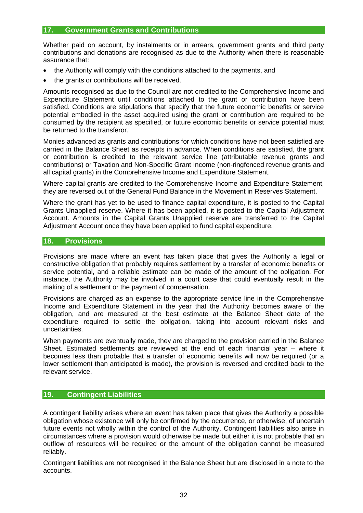#### **17. Government Grants and Contributions**

Whether paid on account, by instalments or in arrears, government grants and third party contributions and donations are recognised as due to the Authority when there is reasonable assurance that:

- the Authority will comply with the conditions attached to the payments, and
- the grants or contributions will be received.

Amounts recognised as due to the Council are not credited to the Comprehensive Income and Expenditure Statement until conditions attached to the grant or contribution have been satisfied. Conditions are stipulations that specify that the future economic benefits or service potential embodied in the asset acquired using the grant or contribution are required to be consumed by the recipient as specified, or future economic benefits or service potential must be returned to the transferor.

Monies advanced as grants and contributions for which conditions have not been satisfied are carried in the Balance Sheet as receipts in advance. When conditions are satisfied, the grant or contribution is credited to the relevant service line (attributable revenue grants and contributions) or Taxation and Non-Specific Grant Income (non-ringfenced revenue grants and all capital grants) in the Comprehensive Income and Expenditure Statement.

Where capital grants are credited to the Comprehensive Income and Expenditure Statement, they are reversed out of the General Fund Balance in the Movement in Reserves Statement.

Where the grant has yet to be used to finance capital expenditure, it is posted to the Capital Grants Unapplied reserve. Where it has been applied, it is posted to the Capital Adjustment Account. Amounts in the Capital Grants Unapplied reserve are transferred to the Capital Adjustment Account once they have been applied to fund capital expenditure.

#### **18. Provisions**

Provisions are made where an event has taken place that gives the Authority a legal or constructive obligation that probably requires settlement by a transfer of economic benefits or service potential, and a reliable estimate can be made of the amount of the obligation. For instance, the Authority may be involved in a court case that could eventually result in the making of a settlement or the payment of compensation.

Provisions are charged as an expense to the appropriate service line in the Comprehensive Income and Expenditure Statement in the year that the Authority becomes aware of the obligation, and are measured at the best estimate at the Balance Sheet date of the expenditure required to settle the obligation, taking into account relevant risks and uncertainties.

When payments are eventually made, they are charged to the provision carried in the Balance Sheet. Estimated settlements are reviewed at the end of each financial year – where it becomes less than probable that a transfer of economic benefits will now be required (or a lower settlement than anticipated is made), the provision is reversed and credited back to the relevant service.

#### **19. Contingent Liabilities**

A contingent liability arises where an event has taken place that gives the Authority a possible obligation whose existence will only be confirmed by the occurrence, or otherwise, of uncertain future events not wholly within the control of the Authority. Contingent liabilities also arise in circumstances where a provision would otherwise be made but either it is not probable that an outflow of resources will be required or the amount of the obligation cannot be measured reliably.

Contingent liabilities are not recognised in the Balance Sheet but are disclosed in a note to the accounts.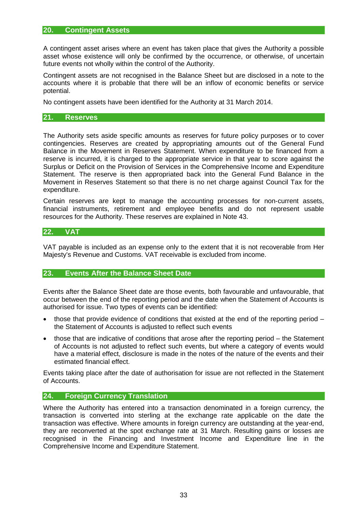#### **20. Contingent Assets**

A contingent asset arises where an event has taken place that gives the Authority a possible asset whose existence will only be confirmed by the occurrence, or otherwise, of uncertain future events not wholly within the control of the Authority.

Contingent assets are not recognised in the Balance Sheet but are disclosed in a note to the accounts where it is probable that there will be an inflow of economic benefits or service potential.

No contingent assets have been identified for the Authority at 31 March 2014.

#### **21. Reserves**

The Authority sets aside specific amounts as reserves for future policy purposes or to cover contingencies. Reserves are created by appropriating amounts out of the General Fund Balance in the Movement in Reserves Statement. When expenditure to be financed from a reserve is incurred, it is charged to the appropriate service in that year to score against the Surplus or Deficit on the Provision of Services in the Comprehensive Income and Expenditure Statement. The reserve is then appropriated back into the General Fund Balance in the Movement in Reserves Statement so that there is no net charge against Council Tax for the expenditure.

Certain reserves are kept to manage the accounting processes for non-current assets, financial instruments, retirement and employee benefits and do not represent usable resources for the Authority. These reserves are explained in Note 43.

#### **22. VAT**

VAT payable is included as an expense only to the extent that it is not recoverable from Her Majesty's Revenue and Customs. VAT receivable is excluded from income.

#### **23. Events After the Balance Sheet Date**

Events after the Balance Sheet date are those events, both favourable and unfavourable, that occur between the end of the reporting period and the date when the Statement of Accounts is authorised for issue. Two types of events can be identified:

- those that provide evidence of conditions that existed at the end of the reporting period  $$ the Statement of Accounts is adjusted to reflect such events
- those that are indicative of conditions that arose after the reporting period the Statement of Accounts is not adjusted to reflect such events, but where a category of events would have a material effect, disclosure is made in the notes of the nature of the events and their estimated financial effect.

Events taking place after the date of authorisation for issue are not reflected in the Statement of Accounts.

#### **24. Foreign Currency Translation**

Where the Authority has entered into a transaction denominated in a foreign currency, the transaction is converted into sterling at the exchange rate applicable on the date the transaction was effective. Where amounts in foreign currency are outstanding at the year-end, they are reconverted at the spot exchange rate at 31 March. Resulting gains or losses are recognised in the Financing and Investment Income and Expenditure line in the Comprehensive Income and Expenditure Statement.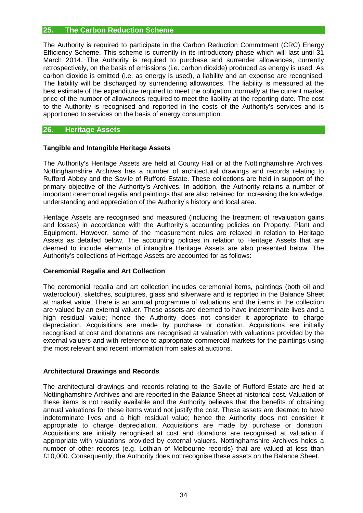#### **25. The Carbon Reduction Scheme**

The Authority is required to participate in the Carbon Reduction Commitment (CRC) Energy Efficiency Scheme. This scheme is currently in its introductory phase which will last until 31 March 2014. The Authority is required to purchase and surrender allowances, currently retrospectively, on the basis of emissions (i.e. carbon dioxide) produced as energy is used. As carbon dioxide is emitted (i.e. as energy is used), a liability and an expense are recognised. The liability will be discharged by surrendering allowances. The liability is measured at the best estimate of the expenditure required to meet the obligation, normally at the current market price of the number of allowances required to meet the liability at the reporting date. The cost to the Authority is recognised and reported in the costs of the Authority's services and is apportioned to services on the basis of energy consumption.

#### **26. Heritage Assets**

#### **Tangible and Intangible Heritage Assets**

The Authority's Heritage Assets are held at County Hall or at the Nottinghamshire Archives. Nottinghamshire Archives has a number of architectural drawings and records relating to Rufford Abbey and the Savile of Rufford Estate. These collections are held in support of the primary objective of the Authority's Archives. In addition, the Authority retains a number of important ceremonial regalia and paintings that are also retained for increasing the knowledge, understanding and appreciation of the Authority's history and local area.

Heritage Assets are recognised and measured (including the treatment of revaluation gains and losses) in accordance with the Authority's accounting policies on Property, Plant and Equipment. However, some of the measurement rules are relaxed in relation to Heritage Assets as detailed below. The accounting policies in relation to Heritage Assets that are deemed to include elements of intangible Heritage Assets are also presented below. The Authority's collections of Heritage Assets are accounted for as follows:

#### **Ceremonial Regalia and Art Collection**

The ceremonial regalia and art collection includes ceremonial items, paintings (both oil and watercolour), sketches, sculptures, glass and silverware and is reported in the Balance Sheet at market value. There is an annual programme of valuations and the items in the collection are valued by an external valuer. These assets are deemed to have indeterminate lives and a high residual value; hence the Authority does not consider it appropriate to charge depreciation. Acquisitions are made by purchase or donation. Acquisitions are initially recognised at cost and donations are recognised at valuation with valuations provided by the external valuers and with reference to appropriate commercial markets for the paintings using the most relevant and recent information from sales at auctions.

#### **Architectural Drawings and Records**

The architectural drawings and records relating to the Savile of Rufford Estate are held at Nottinghamshire Archives and are reported in the Balance Sheet at historical cost. Valuation of these items is not readily available and the Authority believes that the benefits of obtaining annual valuations for these items would not justify the cost. These assets are deemed to have indeterminate lives and a high residual value; hence the Authority does not consider it appropriate to charge depreciation. Acquisitions are made by purchase or donation. Acquisitions are initially recognised at cost and donations are recognised at valuation if appropriate with valuations provided by external valuers. Nottinghamshire Archives holds a number of other records (e.g. Lothian of Melbourne records) that are valued at less than £10,000. Consequently, the Authority does not recognise these assets on the Balance Sheet.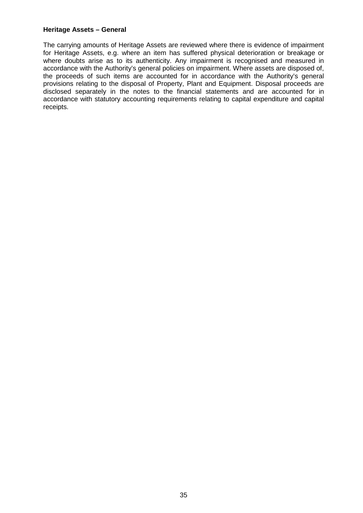#### **Heritage Assets – General**

The carrying amounts of Heritage Assets are reviewed where there is evidence of impairment for Heritage Assets, e.g. where an item has suffered physical deterioration or breakage or where doubts arise as to its authenticity. Any impairment is recognised and measured in accordance with the Authority's general policies on impairment. Where assets are disposed of, the proceeds of such items are accounted for in accordance with the Authority's general provisions relating to the disposal of Property, Plant and Equipment. Disposal proceeds are disclosed separately in the notes to the financial statements and are accounted for in accordance with statutory accounting requirements relating to capital expenditure and capital receipts.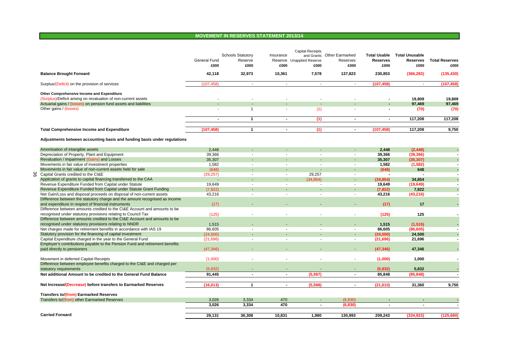#### **MOVEMENT IN RESERVES STATEMENT 2013/14**

|  |                                                                                                                                  | General Fund<br>£000 | <b>Schools Statutory</b><br>Reserve<br>£000 | Insurance<br>£000        | Capital Receipts<br>Reserve Unapplied Reserve<br>£000 | and Grants Other Earmarked<br>Reserves<br>£000 | <b>Total Usable</b><br><b>Reserves</b><br>£000 | <b>Total Unusable</b><br><b>Reserves</b><br>£000 | <b>Total Reserves</b><br>£000 |
|--|----------------------------------------------------------------------------------------------------------------------------------|----------------------|---------------------------------------------|--------------------------|-------------------------------------------------------|------------------------------------------------|------------------------------------------------|--------------------------------------------------|-------------------------------|
|  | <b>Balance Brought Forward</b>                                                                                                   | 42,118               | 32,973                                      | 10,361                   | 7.578                                                 | 137,823                                        | 230,853                                        | (366, 283)                                       | (135, 430)                    |
|  | Surplus/(Deficit) on the provision of services                                                                                   | (107, 458)           | $\overline{\phantom{a}}$                    | $\overline{\phantom{a}}$ | $\overline{\phantom{a}}$                              | $\overline{\phantom{a}}$                       | (107, 458)                                     | $\overline{\phantom{a}}$                         | (107, 458)                    |
|  | Other Comprehensive Income and Expenditure                                                                                       |                      |                                             |                          |                                                       |                                                |                                                |                                                  |                               |
|  | (Surplus)/Deficit arising on revaluation of non-current assets                                                                   |                      |                                             |                          |                                                       |                                                |                                                | 19.809                                           | 19.809                        |
|  | Actuarial gains / (losses) on pension fund assets and liabilities                                                                |                      |                                             |                          |                                                       |                                                |                                                | 97,469                                           | 97,469                        |
|  | Other gains / (losses)                                                                                                           |                      | $\mathbf{1}$                                | $\overline{\phantom{a}}$ | (1)                                                   |                                                | $\overline{\phantom{a}}$                       | (70)                                             | (70)                          |
|  |                                                                                                                                  | $\blacksquare$       | $\mathbf{1}$                                | $\overline{\phantom{a}}$ | (1)                                                   | $\blacksquare$                                 | $\blacksquare$                                 | 117,208                                          | 117,208                       |
|  | <b>Total Comprehensive Income and Expenditure</b>                                                                                | (107.458)            | $\mathbf{1}$                                | $\blacksquare$           | (1)                                                   | $\blacksquare$                                 | (107.458)                                      | 117.208                                          | 9.750                         |
|  | Adjustments between accounting basis and funding basis under regulations                                                         |                      |                                             |                          |                                                       |                                                |                                                |                                                  |                               |
|  | Amortisation of intangible assets                                                                                                | 2,448                |                                             |                          |                                                       |                                                | 2,448                                          | (2, 448)                                         |                               |
|  | Depreciation of Property, Plant and Equipment                                                                                    | 39,366               | $\sim$                                      | $\sim$                   |                                                       | $\sim$                                         | 39,366                                         | (39, 366)                                        |                               |
|  | Revaluation / Impairment (Gains) and Losses                                                                                      | 35,307               |                                             |                          |                                                       |                                                | 35,307                                         | (35, 307)                                        |                               |
|  | Movements in fair value of investment properties                                                                                 | 1,582                | $\sim$                                      | $\sim$                   |                                                       | $\sim$                                         | 1,582                                          | (1, 582)                                         |                               |
|  | Movements in fair value of non-current assets held for sale                                                                      | (648)                |                                             |                          |                                                       |                                                | (648)                                          | 648                                              |                               |
|  | Capital Grants credited to the CI&E                                                                                              | (29, 257)            | $\sim$                                      | $\sim$                   | 29,257                                                | $\overline{\phantom{a}}$                       | $\overline{\phantom{a}}$                       | $\sim$                                           |                               |
|  | Application of grants to capital financing transferred to the CAA                                                                | ÷,                   |                                             |                          | (34, 854)                                             |                                                | (34, 854)                                      | 34,854                                           |                               |
|  | Revenue Expenditure Funded from Capital under Statute                                                                            | 19,649               | $\sim$                                      | $\overline{\phantom{a}}$ |                                                       | $\sim$                                         | 19,649                                         | (19, 649)                                        |                               |
|  | Revenue Expenditure Funded from Capital under Statute Grant Funding                                                              | (7, 822)             |                                             |                          |                                                       |                                                | (7, 822)                                       | 7,822                                            |                               |
|  | Net Gain/Loss and disposal proceeds on disposal of non-current assets                                                            | 43,216               | $\sim$                                      | $\overline{\phantom{a}}$ | $\overline{a}$                                        | $\overline{\phantom{a}}$                       | 43,216                                         | (43, 216)                                        | $\overline{\phantom{a}}$      |
|  | Difference between the statutory charge and the amount recognised as income                                                      |                      |                                             |                          |                                                       |                                                |                                                |                                                  |                               |
|  | and expenditure in respect of financial instruments<br>Difference between amounts credited to the CI&E Account and amounts to be | (17)                 |                                             |                          |                                                       |                                                | (17)                                           | 17                                               |                               |
|  | recognised under statutory provisions relating to Council Tax                                                                    | (125)                |                                             |                          |                                                       |                                                | (125)                                          | 125                                              |                               |
|  | Difference between amounts credited to the CI&E Account and amounts to be                                                        |                      |                                             |                          |                                                       |                                                |                                                |                                                  |                               |
|  | recognised under statutory provisions relating to NNDR                                                                           | 1,515                |                                             |                          |                                                       |                                                | 1,515                                          | (1, 515)                                         |                               |
|  | Net charges made for retirement benefits in accordance with IAS 19                                                               | 86,605               | $\blacksquare$                              |                          |                                                       |                                                | 86,605                                         | (86, 605)                                        |                               |
|  | Statutory provision for the financing of capital investment                                                                      | (24,500)             |                                             |                          |                                                       |                                                | (24, 500)                                      | 24,500                                           |                               |
|  | Capital Expenditure charged in the year to the General Fund                                                                      | (21,696)             | $\blacksquare$                              |                          |                                                       | $\overline{\phantom{a}}$                       | (21, 696)                                      | 21,696                                           |                               |
|  | Employer's contributions payable to the Pension Fund and retirement benefits                                                     |                      |                                             |                          |                                                       |                                                |                                                |                                                  |                               |
|  | paid directly to pensioners                                                                                                      | (47, 346)            |                                             |                          |                                                       |                                                | (47, 346)                                      | 47,346                                           |                               |
|  | Movement in deferred Capital Receipts                                                                                            | (1,000)              |                                             |                          |                                                       |                                                | (1,000)                                        | 1.000                                            |                               |
|  | Difference between employee benefits charged to the CI&E and charged per                                                         |                      |                                             |                          |                                                       |                                                |                                                |                                                  |                               |
|  | statutory requirements                                                                                                           | (5.832)              |                                             |                          |                                                       |                                                | (5,832)                                        | 5,832                                            |                               |
|  | Net additional Amount to be credited to the General Fund Balance                                                                 | 91,445               | $\sim$                                      | $\sim$                   | (5,597)                                               | $\sim$                                         | 85,848                                         | (85, 848)                                        | $\blacksquare$                |
|  | Net Increase/(Decrease) before transfers to Earmarked Reserves                                                                   | (16, 013)            | 1                                           | $\overline{\phantom{a}}$ | (5,598)                                               | $\blacksquare$                                 | (21, 610)                                      | 31,360                                           | 9,750                         |
|  | <b>Transfers to/(from) Earmarked Reserves</b>                                                                                    |                      |                                             |                          |                                                       |                                                |                                                |                                                  |                               |
|  | Transfers to/(from) other Earmarked Reserves                                                                                     | 3,026                | 3,334                                       | 470                      |                                                       | (6.830)                                        |                                                |                                                  |                               |
|  |                                                                                                                                  | 3.026                | 3,334                                       | 470                      | $\overline{\phantom{a}}$                              | (6, 830)                                       | $\overline{\phantom{a}}$                       | $\overline{\phantom{a}}$                         |                               |
|  | <b>Carried Forward</b>                                                                                                           | 29,131               | 36,308                                      | 10,831                   | 1,980                                                 | 130,993                                        | 209,243                                        | (334, 923)                                       | (125, 680)                    |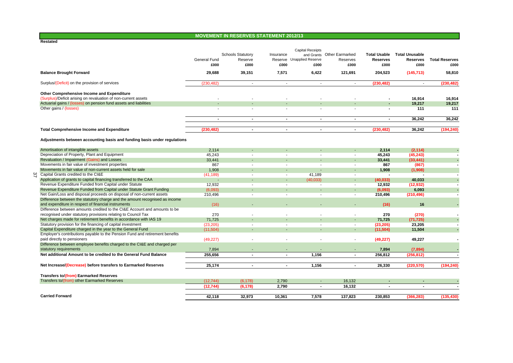#### **MOVEMENT IN RESERVES STATEMENT 2012/13**

|                                                                                                              | General Fund<br>£000 | <b>Schools Statutory</b><br>Reserve<br>£000 | Insurance<br>£000 | <b>Capital Receipts</b><br>Reserve Unapplied Reserve<br>£000 | and Grants Other Earmarked<br>Reserves<br>£000 | <b>Total Usable</b><br><b>Reserves</b><br>£000 | <b>Total Unusable</b><br><b>Reserves</b><br>£000 | <b>Total Reserves</b><br>£000 |
|--------------------------------------------------------------------------------------------------------------|----------------------|---------------------------------------------|-------------------|--------------------------------------------------------------|------------------------------------------------|------------------------------------------------|--------------------------------------------------|-------------------------------|
| <b>Balance Brought Forward</b>                                                                               | 29,688               | 39,151                                      | 7.571             | 6,422                                                        | 121,691                                        | 204,523                                        | (145, 713)                                       | 58,810                        |
| Surplus/(Deficit) on the provision of services                                                               | (230, 482)           | $\sim$                                      | $\mathbf{r}$      | $\sim$                                                       | $\blacksquare$                                 | (230, 482)                                     | $\sim$                                           | (230, 482)                    |
| Other Comprehensive Income and Expenditure<br>(Surplus)/Deficit arising on revaluation of non-current assets |                      |                                             |                   |                                                              |                                                |                                                | 16,914                                           | 16,914                        |
| Actuarial gains / (losses) on pension fund assets and liabilities<br>Other gains / (losses)                  |                      |                                             |                   |                                                              |                                                |                                                | 19,217<br>111                                    | 19,217<br>111                 |
|                                                                                                              |                      |                                             |                   |                                                              |                                                |                                                |                                                  |                               |
|                                                                                                              | $\blacksquare$       | $\blacksquare$                              | $\blacksquare$    | $\blacksquare$                                               | $\blacksquare$                                 | $\blacksquare$                                 | 36,242                                           | 36,242                        |
| <b>Total Comprehensive Income and Expenditure</b>                                                            | (230.482)            | $\blacksquare$                              | $\sim$            | $\sim$                                                       | $\sim$                                         | (230.482)                                      | 36.242                                           | (194, 240)                    |
| Adjustments between accounting basis and funding basis under regulations                                     |                      |                                             |                   |                                                              |                                                |                                                |                                                  |                               |
| Amortisation of intangible assets                                                                            | 2,114                |                                             |                   |                                                              |                                                | 2,114                                          | (2, 114)                                         |                               |
| Depreciation of Property, Plant and Equipment                                                                | 45,243               |                                             |                   |                                                              | ٠                                              | 45,243                                         | (45, 243)                                        |                               |
| Revaluation / Impairment (Gains) and Losses                                                                  | 33,441               |                                             |                   |                                                              |                                                | 33,441                                         | (33, 441)                                        |                               |
| Movements in fair value of investment properties                                                             | 867                  | $\overline{\phantom{a}}$                    |                   |                                                              | $\overline{\phantom{a}}$                       | 867                                            | (867)                                            |                               |
| Movements in fair value of non-current assets held for sale                                                  | 1,908                |                                             |                   |                                                              |                                                | 1.908                                          | (1,908)                                          |                               |
| Capital Grants credited to the CI&E                                                                          | (41, 189)            | $\overline{\phantom{a}}$                    | ٠                 | 41,189                                                       | $\overline{\phantom{a}}$                       | $\overline{a}$                                 |                                                  |                               |
| Application of grants to capital financing transferred to the CAA                                            |                      |                                             | $\sim$            | (40.033)                                                     | $\blacksquare$                                 | (40, 033)                                      | 40,033                                           |                               |
| Revenue Expenditure Funded from Capital under Statute                                                        | 12,932               |                                             |                   |                                                              | $\overline{\phantom{a}}$                       | 12,932                                         | (12, 932)                                        |                               |
| Revenue Expenditure Funded from Capital under Statute Grant Funding                                          | (6,093)              |                                             |                   |                                                              | $\blacksquare$                                 | (6,093)                                        | 6,093                                            |                               |
| Net Gain/Loss and disposal proceeds on disposal of non-current assets                                        | 210,496              | $\sim$                                      |                   | $\blacksquare$                                               | $\overline{\phantom{a}}$                       | 210,496                                        | (210, 496)                                       |                               |
| Difference between the statutory charge and the amount recognised as income                                  |                      |                                             |                   |                                                              |                                                |                                                |                                                  |                               |
| and expenditure in respect of financial instruments                                                          | (16)                 |                                             |                   |                                                              | $\blacksquare$                                 | (16)                                           | 16                                               |                               |
| Difference between amounts credited to the CI&E Account and amounts to be                                    |                      |                                             |                   |                                                              |                                                |                                                |                                                  |                               |
| recognised under statutory provisions relating to Council Tax                                                | 270                  |                                             |                   |                                                              | $\blacksquare$                                 | 270                                            | (270)                                            |                               |
| Net charges made for retirement benefits in accordance with IAS 19                                           | 71,725               |                                             |                   |                                                              | ÷                                              | 71,725                                         | (71, 725)                                        |                               |
| Statutory provision for the financing of capital investment                                                  | (23, 205)            | $\blacksquare$                              |                   |                                                              | $\overline{\phantom{a}}$                       | (23, 205)                                      | 23,205                                           |                               |
| Capital Expenditure charged in the year to the General Fund                                                  | (11, 504)            | $\sim$                                      |                   |                                                              | ÷.                                             | (11, 504)                                      | 11,504                                           |                               |
| Employer's contributions payable to the Pension Fund and retirement benefits                                 |                      |                                             |                   |                                                              |                                                |                                                |                                                  |                               |
| paid directly to pensioners                                                                                  | (49, 227)            |                                             |                   |                                                              | $\overline{\phantom{a}}$                       | (49, 227)                                      | 49,227                                           |                               |
| Difference between employee benefits charged to the CI&E and charged per                                     |                      |                                             |                   |                                                              |                                                |                                                |                                                  |                               |
| statutory requirements                                                                                       | 7,894                |                                             |                   |                                                              |                                                | 7,894                                          | (7,894)                                          |                               |
| Net additional Amount to be credited to the General Fund Balance                                             | 255,656              | $\blacksquare$                              | $\sim$            | 1,156                                                        | $\blacksquare$                                 | 256,812                                        | (256, 812)                                       |                               |
| Net Increase/(Decrease) before transfers to Earmarked Reserves                                               | 25,174               | $\blacksquare$                              | $\blacksquare$    | 1,156                                                        | $\overline{\phantom{a}}$                       | 26,330                                         | (220, 570)                                       | (194, 240)                    |
| <b>Transfers to/(from) Earmarked Reserves</b>                                                                |                      |                                             |                   |                                                              |                                                |                                                |                                                  |                               |
| Transfers to/(from) other Earmarked Reserves                                                                 | (12, 744)            | (6, 178)                                    | 2,790             | $\blacksquare$                                               | 16,132                                         |                                                |                                                  |                               |
|                                                                                                              | (12, 744)            | (6, 178)                                    | 2.790             | $\blacksquare$                                               | 16,132                                         |                                                |                                                  |                               |
| <b>Carried Forward</b>                                                                                       | 42.118               | 32.973                                      | 10.361            | 7,578                                                        | 137,823                                        | 230.853                                        | (366, 283)                                       | (135.430)                     |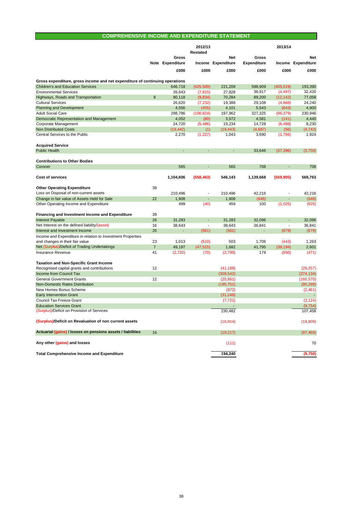### **COMPREHENSIVE INCOME AND EXPENDITURE STATEMENT**

|                                                                                  |                |                           | 2012/13<br>Restated |                           |                             | 2013/14                  |                                  |
|----------------------------------------------------------------------------------|----------------|---------------------------|---------------------|---------------------------|-----------------------------|--------------------------|----------------------------------|
|                                                                                  |                | Gross<br>Note Expenditure |                     | Net<br>Income Expenditure | Gross<br><b>Expenditure</b> |                          | <b>Net</b><br>Income Expenditure |
|                                                                                  |                | £000                      | £000                | £000                      | £000                        | £000                     | £000                             |
| Gross expenditure, gross income and net expenditure of continuing operations     |                |                           |                     |                           |                             |                          |                                  |
| <b>Children's and Education Services</b>                                         |                | 646,718                   | (425, 509)          | 221,209                   | 598,909                     | (405, 519)               | 193.390                          |
| <b>Environmental Services</b>                                                    |                | 35,643                    | (7, 815)            | 27,828                    | 36,917                      | (4, 497)                 | 32,420                           |
| Highways, Roads and Transportation                                               | 8              | 80,118                    | (9,834)             | 70,284                    | 89,200                      | (12, 142)                | 77,058                           |
| <b>Cultural Services</b>                                                         |                | 26,620                    | (7, 232)            | 19,388                    | 29,108                      | (4,868)                  | 24,240                           |
| <b>Planning and Development</b>                                                  |                | 4,556                     | (455)               | 4,101                     | 5,543                       | (643)                    | 4,900                            |
| <b>Adult Social Care</b>                                                         |                | 298,786                   | (100, 824)          | 197,962                   | 327,325                     | (96, 379)                | 230,946                          |
| Democratic Representation and Management                                         |                | 4,052                     | (80)                | 3,972                     | 4,581                       | (141)                    | 4,440                            |
| <b>Corporate Management</b>                                                      |                | 24,720                    | (5,486)             | 19,234                    | 14,728                      | (6, 498)                 | 8,230                            |
| <b>Non Distributed Costs</b>                                                     |                | (19, 442)                 | (1)                 | (19, 443)                 | (4,687)                     | (56)                     | (4, 743)                         |
| Central Services to the Public                                                   |                | 2,270                     | (1,227)             | 1,043                     | 3,690                       | (1,766)                  | 1,924                            |
| <b>Acquired Service</b>                                                          |                |                           |                     |                           |                             |                          |                                  |
| <b>Public Health</b>                                                             |                |                           |                     |                           | 33,646                      | (37, 396)                | (3,750)                          |
| <b>Contributions to Other Bodies</b>                                             |                |                           |                     |                           |                             |                          |                                  |
| Coroner                                                                          |                | 565                       |                     | 565                       | 708                         |                          | 708                              |
| <b>Cost of services</b>                                                          |                | 1,104,606                 | (558, 463)          | 546,143                   | 1,139,668                   | (569, 905)               | 569,763                          |
| <b>Other Operating Expenditure</b>                                               | 38             |                           |                     |                           |                             |                          |                                  |
| Loss on Disposal of non-current assets                                           |                | 210,496                   | ÷,                  | 210,496                   | 42,216                      |                          | 42,216                           |
| Change in fair value of Assets Held for Sale                                     | 22             | 1,908                     |                     | 1,908                     | (648)                       |                          | (648)                            |
| Other Operating Income and Expenditure                                           |                | 499                       | (40)                | 459                       | 100                         | (1,025)                  | (925)                            |
| <b>Financing and Investment Income and Expenditure</b>                           | 39             |                           |                     |                           |                             |                          |                                  |
| <b>Interest Payable</b>                                                          | 26             | 31,283                    |                     | 31,283                    | 32.096                      |                          | 32.096                           |
| Net Interest on the defined liability/(asset)                                    | 16             | 38,643                    | ÷,                  | 38,643                    | 36,841                      | $\overline{\phantom{a}}$ | 36,841                           |
| Interest and Investment Income                                                   | 26             |                           | (561)               | (561)                     |                             | (679)                    | (679)                            |
| Income and Expenditure in relation to Investment Properties                      | 23             |                           |                     | 503                       | 1,706                       |                          |                                  |
| and changes in their fair value<br>Net (Surplus)/Deficit of Trading Undertakings | $\overline{7}$ | 1,013<br>49,197           | (510)<br>(47, 515)  | 1,682                     | 41,795                      | (443)<br>(39, 194)       | 1,263<br>2,601                   |
| Insurance Revenue                                                                | 41             | (2,720)                   | (70)                | (2,790)                   | 179                         | (650)                    | (471)                            |
| <b>Taxation and Non-Specific Grant Income</b>                                    |                |                           |                     |                           |                             |                          |                                  |
| Recognised capital grants and contributions                                      | 12             |                           |                     | (41, 189)                 |                             |                          | (29, 257)                        |
| Income from Council Tax                                                          |                |                           |                     | (309, 542)                |                             |                          | (274, 134)                       |
| <b>General Government Grants</b>                                                 | 12             |                           |                     | (20, 861)                 |                             |                          | (160, 570)                       |
| <b>Non-Domestic Rates Distribution</b>                                           |                |                           |                     | (185, 751)                |                             |                          | (95, 299)                        |
| New Homes Bonus Scheme                                                           |                |                           |                     | (972)                     |                             |                          | (2,461)                          |
| <b>Early Intervention Grant</b>                                                  |                |                           |                     | (31, 248)                 |                             |                          |                                  |
| <b>Council Tax Freeze Grant</b>                                                  |                |                           |                     | (7, 721)                  |                             |                          | (3, 124)                         |
| <b>Education Services Grant</b>                                                  |                |                           |                     | $\overline{\phantom{a}}$  |                             |                          | (9,754)                          |
| (Surplus)/Deficit on Provision of Services                                       |                |                           |                     | 230,482                   |                             |                          | 107,458                          |
| (Surplus)/Deficit on Revaluation of non current assets                           |                |                           |                     | (16, 914)                 |                             |                          | (19, 809)                        |
| Actuarial (gains) / losses on pensions assets / liabilities                      | 16             |                           |                     | (19,217)                  |                             |                          | (97, 469)                        |
| Any other (gains) and losses                                                     |                |                           |                     | (111)                     |                             |                          | 70                               |
| <b>Total Comprehensive Income and Expenditure</b>                                |                |                           |                     | 194,240                   |                             |                          | (9,750)                          |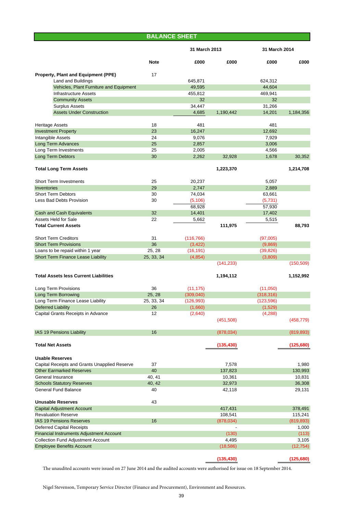## **Note £000 £000 £000 £000 Property, Plant and Equipment (PPE)** 17 Land and Buildings 645,871 624,312 Vehicles, Plant Furniture and Equipment 49,595 44,604 Infrastructure Assets 455,812 469,941 Community Assets 32 32 Surplus Assets 34,447 31,266 Assets Under Construction **4,685** 1,190,442 14,201 1,184,356 Heritage Assets 18 481 481 Investment Property 23 16,247 12,692 Participate Assets 24 9,076 7,929<br>  $\frac{1}{25}$  2,857 2,929<br>  $\frac{2,857}{2,857}$  3,006 Long Term Advances Long Term Investments 25 2,005 4,566 Long Term Debtors 30 30,352 32,928 32,928 30,352 32,928 30,352 **Total Long Term Assets 1,223,370 1,214,708** Short Term Investments 25 20,237 5,057 Inventories 29 2,747 2,889 Short Term Debtors 63,661 63,661 63,661 63,661 63,661 63,661 63,661 63,661 63,661 63,661 63,661 64 64 65,661 65,661 65,661 65,661 65,661 65,661 65,661 65,661 65,661 65,661 65,661 65,661 65,661 65,661 65,661 65,661 65,661 6 Less Bad Debts Provision 30 (5,106) (5,731) 68,928 57,930 Cash and Cash Equivalents 32 14,401 17,402 Assets Held for Sale 65,515 5,515 5,515 5,515 5,515 5,515 5,515 5,515 5,515 5,515 5,515 5,515 5,515 5,515 5,515 **Total Current Assets 111,975 88,793** Short Term Creditors 31 (116,766) (97,005) Short Term Provisions 36 (3,422) (9,869) Loans to be repaid within 1 year 25, 28 (16,191) (39,826) Short Term Finance Lease Liability 25, 33, 34 (4,854) (3,809) (3,809) (141,233) (150,509) **Total Assets less Current Liabilities 1,194,112 1,152,992** Long Term Provisions 36 (11,175) (11,050) Long Term Borrowing 25, 28 (309,040) (318,316) Long Term Finance Lease Liability 25, 33, 34 (126,993) (123,596) Deferred Liability 26 (1,660) (1,529) Capital Grants Receipts in Advance 12 (2,640) (4,288) (451,508) (458,779) IAS 19 Pensions Liability 16 (878,034) (819,893) **Total Net Assets (135,430) (125,680) Usable Reserves** Capital Receipts and Grants Unapplied Reserve 37 37 31 380 Other Earmarked Reserves 2008 137,823 130,993 General Insurance 10,831 10,831 10,831 10,831 10,831 10,831 10,831 10,831 10,831 10,831 10,831 10,831 10,831 10,831 10,831 10,831 10,831 10,831 10,831 10,831 10,831 10,831 10,831 10,831 10,831 10,831 10,831 10,831 10,831 1 Schools Statutory Reserves 40, 42 32,973 36,308 36,308 General Fund Balance 29,131 29,131 29,131 29,131 29,131 29,131 29,131 29,131 29,131 29,131 29,131 29,131 29,131 **Unusable Reserves** 43 Capital Adjustment Account 417,431 378,491 Revaluation Reserve 115,241 115,241 115,241 115,241 115,241 115,241 115,241 115,241 115,241 115,241 115,241 115,241 115,241 115,241 115,241 115,241 115,241 115,241 115,241 115,241 115,241 115,241 115,241 115,241 115,293 11 IAS 19 Pensions Reserves 16 (878,034) (819,893) Deferred Capital Receipts - 1,000 Financial Instruments Adjustment Account (130) (113) Collection Fund Adjustment Account 4,495 3,105 **BALANCE SHEET 31 March 2013 31 March 2014**

The unaudited accounts were issued on 27 June 2014 and the audited accounts were authorised for issue on 18 September 2014.

Employee Benefits Account (18,586) (12,754)

Nigel Stevenson, Temporary Service Director (Finance and Procurement), Environment and Resources.

**(135,430) (125,680)**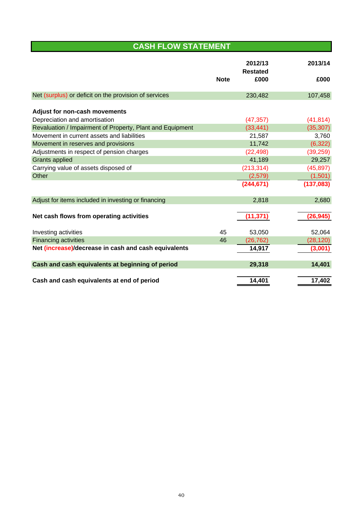# **CASH FLOW STATEMENT**

|                                                           |             | 2012/13<br><b>Restated</b> | 2013/14   |
|-----------------------------------------------------------|-------------|----------------------------|-----------|
|                                                           | <b>Note</b> | £000                       | £000      |
| Net (surplus) or deficit on the provision of services     |             | 230,482                    | 107,458   |
| <b>Adjust for non-cash movements</b>                      |             |                            |           |
| Depreciation and amortisation                             |             | (47, 357)                  | (41, 814) |
| Revaluation / Impairment of Property, Plant and Equipment |             | (33, 441)                  | (35, 307) |
| Movement in current assets and liabilities                |             | 21,587                     | 3,760     |
| Movement in reserves and provisions                       |             | 11,742                     | (6, 322)  |
| Adjustments in respect of pension charges                 |             | (22, 498)                  | (39, 259) |
| <b>Grants applied</b>                                     |             | 41,189                     | 29,257    |
| Carrying value of assets disposed of                      |             | (213, 314)                 | (45, 897) |
| Other                                                     |             | (2,579)                    | (1,501)   |
|                                                           |             | (244, 671)                 | (137,083) |
| Adjust for items included in investing or financing       |             | 2,818                      | 2,680     |
| Net cash flows from operating activities                  |             | (11, 371)                  | (26, 945) |
| Investing activities                                      | 45          | 53,050                     | 52,064    |
| <b>Financing activities</b>                               | 46          | (26, 762)                  | (28, 120) |
| Net (increase)/decrease in cash and cash equivalents      |             | 14,917                     | (3,001)   |
| Cash and cash equivalents at beginning of period          |             | 29,318                     | 14,401    |
| Cash and cash equivalents at end of period                |             | 14,401                     | 17,402    |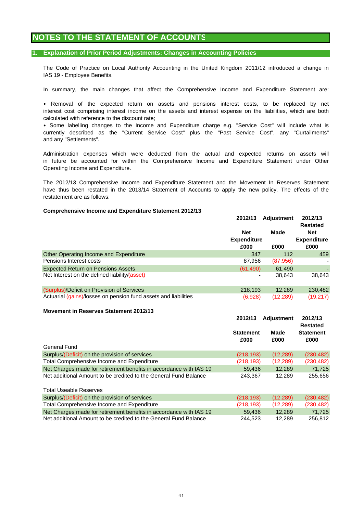## **NOTES TO THE STATEMENT OF ACCOUNTS**

#### **1. Explanation of Prior Period Adjustments: Changes in Accounting Policies**

The Code of Practice on Local Authority Accounting in the United Kingdom 2011/12 introduced a change in IAS 19 - Employee Benefits.

In summary, the main changes that affect the Comprehensive Income and Expenditure Statement are:

• Removal of the expected return on assets and pensions interest costs, to be replaced by net interest cost comprising interest income on the assets and interest expense on the liabilities, which are both calculated with reference to the discount rate;

• Some labelling changes to the Income and Expenditure charge e.g. "Service Cost" will include what is currently described as the "Current Service Cost" plus the "Past Service Cost", any "Curtailments" and any "Settlements".

Operating Income and Expenditure. Administration expenses which were deducted from the actual and expected returns on assets will in future be accounted for within the Comprehensive Income and Expenditure Statement under Other

The 2012/13 Comprehensive Income and Expenditure Statement and the Movement In Reserves Statement have thus been restated in the 2013/14 Statement of Accounts to apply the new policy. The effects of the restatement are as follows:

#### **Comprehensive Income and Expenditure Statement 2012/13**

|                                                                 | 2012/13                          | <b>Adjustment</b> | 2012/13<br><b>Restated</b>       |
|-----------------------------------------------------------------|----------------------------------|-------------------|----------------------------------|
|                                                                 | <b>Net</b><br><b>Expenditure</b> | Made              | <b>Net</b><br><b>Expenditure</b> |
|                                                                 | £000                             | £000              | £000                             |
| Other Operating Income and Expenditure                          | 347                              | 112               | 459                              |
| Pensions Interest costs                                         | 87,956                           | (87,956)          |                                  |
| <b>Expected Return on Pensions Assets</b>                       | (61, 490)                        | 61,490            |                                  |
| Net Interest on the defined liability/(asset)                   | ٠                                | 38,643            | 38,643                           |
| (Surplus)/Deficit on Provision of Services                      | 218,193                          | 12,289            | 230,482                          |
| Actuarial (gains)/losses on pension fund assets and liabilities | (6.928)                          | (12, 289)         | (19,217)                         |

#### **Movement in Reserves Statement 2012/13**

|                                                                    | 2012/13                  | <b>Adjustment</b> | 2012/13<br><b>Restated</b> |
|--------------------------------------------------------------------|--------------------------|-------------------|----------------------------|
|                                                                    | <b>Statement</b><br>£000 | Made<br>£000      | <b>Statement</b><br>£000   |
| General Fund                                                       |                          |                   |                            |
| Surplus/(Deficit) on the provision of services                     | (218, 193)               | (12, 289)         | (230, 482)                 |
| Total Comprehensive Income and Expenditure                         | (218, 193)               | (12, 289)         | (230, 482)                 |
| Net Charges made for retirement benefits in accordance with IAS 19 | 59.436                   | 12.289            | 71.725                     |
| Net additional Amount to be credited to the General Fund Balance   | 243.367                  | 12.289            | 255.656                    |
| <b>Total Useable Reserves</b>                                      |                          |                   |                            |
| Surplus/(Deficit) on the provision of services                     | (218, 193)               | (12, 289)         | (230, 482)                 |
| Total Comprehensive Income and Expenditure                         | (218, 193)               | (12, 289)         | (230, 482)                 |
| Net Charges made for retirement benefits in accordance with IAS 19 | 59.436                   | 12.289            | 71.725                     |

Net additional Amount to be credited to the General Fund Balance 244,523 12,289 256,812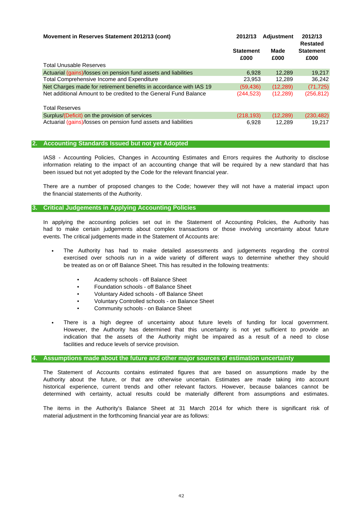| Movement in Reserves Statement 2012/13 (cont)                      | 2012/13                  | <b>Adjustment</b> | 2012/13<br>Restated      |
|--------------------------------------------------------------------|--------------------------|-------------------|--------------------------|
|                                                                    | <b>Statement</b><br>£000 | Made<br>£000      | <b>Statement</b><br>£000 |
| <b>Total Unusable Reserves</b>                                     |                          |                   |                          |
| Actuarial (gains)/losses on pension fund assets and liabilities    | 6.928                    | 12.289            | 19,217                   |
| Total Comprehensive Income and Expenditure                         | 23,953                   | 12.289            | 36,242                   |
| Net Charges made for retirement benefits in accordance with IAS 19 | (59, 436)                | (12, 289)         | (71, 725)                |
| Net additional Amount to be credited to the General Fund Balance   | (244, 523)               | (12, 289)         | (256, 812)               |
| <b>Total Reserves</b>                                              |                          |                   |                          |
| Surplus/(Deficit) on the provision of services                     | (218, 193)               | (12, 289)         | (230, 482)               |
| Actuarial (gains)/losses on pension fund assets and liabilities    | 6.928                    | 12.289            | 19.217                   |

#### **2. Accounting Standards Issued but not yet Adopted**

been issued but not yet adopted by the Code for the relevant financial year. information relating to the impact of an accounting change that will be required by a new standard that has IAS8 - Accounting Policies, Changes in Accounting Estimates and Errors requires the Authority to disclose

There are a number of proposed changes to the Code; however they will not have a material impact upon the financial statements of the Authority.

#### **3. Critical Judgements in Applying Accounting Policies**

events. The critical judgements made in the Statement of Accounts are: In applying the accounting policies set out in the Statement of Accounting Policies, the Authority has had to make certain judgements about complex transactions or those involving uncertainty about future

- be treated as on or off Balance Sheet. This has resulted in the following treatments: The Authority has had to make detailed assessments and judgements regarding the control exercised over schools run in a wide variety of different ways to determine whether they should
	- Academy schools off Balance Sheet
	- Foundation schools off Balance Sheet
	- Voluntary Aided schools off Balance Sheet
	- Voluntary Controlled schools on Balance Sheet
	- Community schools on Balance Sheet
- facilities and reduce levels of service provision. There is a high degree of uncertainty about future levels of funding for local government. However, the Authority has determined that this uncertainty is not yet sufficient to provide an indication that the assets of the Authority might be impaired as a result of a need to close

#### **4. Assumptions made about the future and other major sources of estimation uncertainty**

determined with certainty, actual results could be materially different from assumptions and estimates. The Statement of Accounts contains estimated figures that are based on assumptions made by the Authority about the future, or that are otherwise uncertain. Estimates are made taking into account historical experience, current trends and other relevant factors. However, because balances cannot be

material adjustment in the forthcoming financial year are as follows: The items in the Authority's Balance Sheet at 31 March 2014 for which there is significant risk of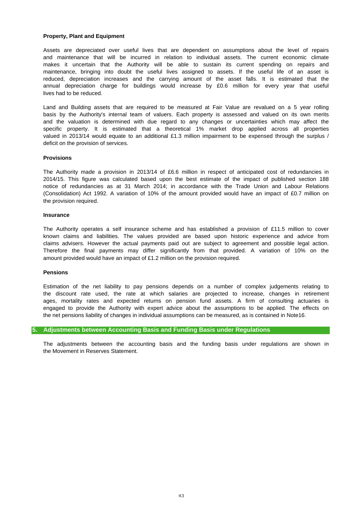#### **Property, Plant and Equipment**

lives had to be reduced. and maintenance that will be incurred in relation to individual assets. The current economic climate makes it uncertain that the Authority will be able to sustain its current spending on repairs and maintenance, bringing into doubt the useful lives assigned to assets. If the useful life of an asset is Assets are depreciated over useful lives that are dependent on assumptions about the level of repairs reduced, depreciation increases and the carrying amount of the asset falls. It is estimated that the annual depreciation charge for buildings would increase by £0.6 million for every year that useful

Land and Building assets that are required to be measured at Fair Value are revalued on a 5 year rolling basis by the Authority's internal team of valuers. Each property is assessed and valued on its own merits and the valuation is determined with due regard to any changes or uncertainties which may affect the specific property. It is estimated that a theoretical 1% market drop applied across all properties valued in 2013/14 would equate to an additional £1.3 million impairment to be expensed through the surplus / deficit on the provision of services.

#### **Provisions**

(Consolidation) Act 1992. A variation of 10% of the amount provided would have an impact of £0.7 million on the provision required. 2014/15. This figure was calculated based upon the best estimate of the impact of published section 188 notice of redundancies as at 31 March 2014; in accordance with the Trade Union and Labour Relations The Authority made a provision in 2013/14 of £6.6 million in respect of anticipated cost of redundancies in

#### **Insurance**

amount provided would have an impact of £1.2 million on the provision required. The Authority operates a self insurance scheme and has established a provision of £11.5 million to cover Therefore the final payments may differ significantly from that provided. A variation of 10% on the known claims and liabilities. The values provided are based upon historic experience and advice from claims advisers. However the actual payments paid out are subject to agreement and possible legal action.

#### **Pensions**

the net pensions liability of changes in individual assumptions can be measured, as is contained in Note16. the discount rate used, the rate at which salaries are projected to increase, changes in retirement ages, mortality rates and expected returns on pension fund assets. A firm of consulting actuaries is engaged to provide the Authority with expert advice about the assumptions to be applied. The effects on Estimation of the net liability to pay pensions depends on a number of complex judgements relating to

#### **5. Adjustments between Accounting Basis and Funding Basis under Regulations**

the Movement in Reserves Statement. The adjustments between the accounting basis and the funding basis under regulations are shown in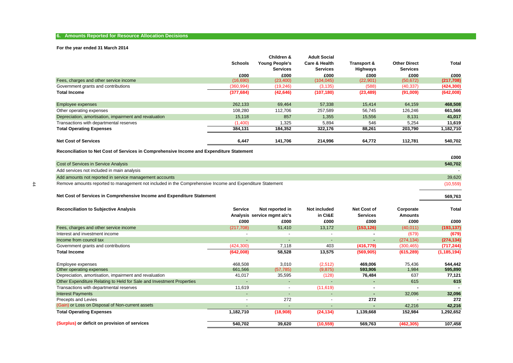#### **6. Amounts Reported for Resource Allocation Decisions**

#### **For the year ended 31 March 2014**

|                                                        |                | Children &            | <b>Adult Social</b>      |             |                     |            |
|--------------------------------------------------------|----------------|-----------------------|--------------------------|-------------|---------------------|------------|
|                                                        | <b>Schools</b> | <b>Young People's</b> | <b>Care &amp; Health</b> | Transport & | <b>Other Direct</b> | Total      |
|                                                        |                | <b>Services</b>       | <b>Services</b>          | Highways    | <b>Services</b>     |            |
|                                                        | £000           | £000                  | £000                     | £000        | £000                | £000       |
| Fees, charges and other service income                 | (16,690)       | (23, 400)             | (104, 045)               | (22, 901)   | (50, 672)           | (217,708)  |
| Government grants and contributions                    | (360, 994)     | (19,246)              | (3, 135)                 | (588)       | (40, 337)           | (424, 300) |
| <b>Total Income</b>                                    | (377, 684)     | (42, 646)             | (107, 180)               | (23, 489)   | (91,009)            | (642,008)  |
| Employee expenses                                      | 262,133        | 69,464                | 57,338                   | 15,414      | 64,159              | 468,508    |
| Other operating expenses                               | 108,280        | 112.706               | 257,589                  | 56,745      | 126,246             | 661,566    |
| Depreciation, amortisation, impairment and revaluation | 15,118         | 857                   | 1,355                    | 15,556      | 8,131               | 41,017     |
| Transactions with departmental reserves                | (1,400)        | 1,325                 | 5,894                    | 546         | 5,254               | 11,619     |
| <b>Total Operating Expenses</b>                        | 384,131        | 184,352               | 322,176                  | 88,261      | 203,790             | 1,182,710  |
| <b>Net Cost of Services</b>                            | 6,447          | 141,706               | 214,996                  | 64,772      | 112,781             | 540,702    |

**Reconciliation to Net Cost of Services in Comprehensive Income and Expenditure Statement**

|            |                                                                                                          | £000      |
|------------|----------------------------------------------------------------------------------------------------------|-----------|
|            | Cost of Services in Service Analysis                                                                     | 540,702   |
|            | Add services not included in main analysis                                                               |           |
|            | Add amounts not reported in service management accounts                                                  | 39,620    |
| $\ddot{4}$ | Remove amounts reported to management not included in the Comprehensive Income and Expenditure Statement | (10, 559) |
|            | Net Cost of Services in Comprehensive Income and Expenditure Statement                                   | 569.763   |

#### **Net Cost of Services in Comprehensive Income and Expenditure Statement**

| <b>Reconciliation to Subjective Analysis</b>                          | <b>Service</b>           | Not reported in<br>Analysis service mgmt a/c's | Not included<br>in CI&E  | <b>Net Cost of</b><br><b>Services</b> | Corporate<br><b>Amounts</b> | Total         |
|-----------------------------------------------------------------------|--------------------------|------------------------------------------------|--------------------------|---------------------------------------|-----------------------------|---------------|
|                                                                       | £000                     | £000                                           | £000                     | £000                                  | £000                        | £000          |
| Fees, charges and other service income                                | (217,708)                | 51,410                                         | 13,172                   | (153, 126)                            | (40, 011)                   | (193, 137)    |
| Interest and investment income                                        | $\overline{\phantom{a}}$ | $\overline{\phantom{a}}$                       |                          | ٠                                     | (679)                       | (679)         |
| Income from council tax                                               | $\overline{\phantom{a}}$ | $\overline{\phantom{a}}$                       | $\overline{\phantom{a}}$ | ۰                                     | (274, 134)                  | (274, 134)    |
| Government grants and contributions                                   | (424, 300)               | 7,118                                          | 403                      | (416, 779)                            | (300, 465)                  | (717, 244)    |
| <b>Total Income</b>                                                   | (642,008)                | 58,528                                         | 13,575                   | (569, 905)                            | (615, 289)                  | (1, 185, 194) |
| Employee expenses                                                     | 468,508                  | 3,010                                          | (2,512)                  | 469,006                               | 75,436                      | 544,442       |
| Other operating expenses                                              | 661,566                  | (57, 785)                                      | (9,875)                  | 593,906                               | 1,984                       | 595,890       |
| Depreciation, amortisation, impairment and revaluation                | 41,017                   | 35,595                                         | (128)                    | 76,484                                | 637                         | 77,121        |
| Other Expenditure Relating to Held for Sale and Investment Properties | $\overline{\phantom{0}}$ | $\overline{\phantom{0}}$                       |                          | ۰                                     | 615                         | 615           |
| Transactions with departmental reserves                               | 11,619                   | $\overline{\phantom{a}}$                       | (11, 619)                | ۰                                     | ٠                           |               |
| <b>Interest Payments</b>                                              | $\overline{\phantom{a}}$ | ٠                                              |                          |                                       | 32,096                      | 32,096        |
| Precepts and Levies                                                   | $\overline{\phantom{a}}$ | 272                                            | $\overline{\phantom{0}}$ | 272                                   |                             | 272           |
| (Gain) or Loss on Disposal of Non-current assets                      | $\overline{\phantom{0}}$ | $\overline{a}$                                 |                          | ۰                                     | 42,216                      | 42,216        |
| <b>Total Operating Expenses</b>                                       | 1,182,710                | (18,908)                                       | (24, 134)                | 1,139,668                             | 152,984                     | 1,292,652     |
| (Surplus) or deficit on provision of services                         | 540,702                  | 39,620                                         | (10, 559)                | 569,763                               | (462, 305)                  | 107,458       |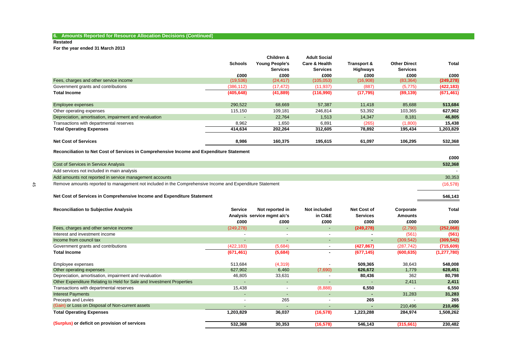## **6. Amounts Reported for Resource Allocation Decisions (Continued)**

#### **Restated**

**For the year ended 31 March 2013**

|                                                        |                | Children &            | <b>Adult Social</b>      |             |                     |            |
|--------------------------------------------------------|----------------|-----------------------|--------------------------|-------------|---------------------|------------|
|                                                        | <b>Schools</b> | <b>Young People's</b> | <b>Care &amp; Health</b> | Transport & | <b>Other Direct</b> | Total      |
|                                                        |                | <b>Services</b>       | <b>Services</b>          | Highways    | <b>Services</b>     |            |
|                                                        | £000           | £000                  | £000                     | £000        | £000                | £000       |
| Fees, charges and other service income                 | (19, 536)      | (24, 417)             | (105, 053)               | (16,908)    | (83, 364)           | (249, 278) |
| Government grants and contributions                    | (386, 112)     | (17, 472)             | (11, 937)                | (887)       | (5,775)             | (422, 183) |
| <b>Total Income</b>                                    | (405, 648)     | (41, 889)             | (116,990)                | (17, 795)   | (89, 139)           | (671, 461) |
| Employee expenses                                      | 290,522        | 68,669                | 57,387                   | 11,418      | 85,688              | 513,684    |
| Other operating expenses                               | 115,150        | 109,181               | 246,814                  | 53,392      | 103,365             | 627,902    |
| Depreciation, amortisation, impairment and revaluation |                | 22.764                | 1,513                    | 14,347      | 8,181               | 46,805     |
| Transactions with departmental reserves                | 8,962          | 1,650                 | 6,891                    | (265)       | (1,800)             | 15,438     |
| <b>Total Operating Expenses</b>                        | 414,634        | 202,264               | 312,605                  | 78,892      | 195,434             | 1,203,829  |
| <b>Net Cost of Services</b>                            | 8,986          | 160,375               | 195,615                  | 61,097      | 106,295             | 532,368    |

**Reconciliation to Net Cost of Services in Comprehensive Income and Expenditure Statement**

|            |                                                                                                          | £000     |
|------------|----------------------------------------------------------------------------------------------------------|----------|
|            | Cost of Services in Service Analysis                                                                     | 532,368  |
|            | Add services not included in main analysis                                                               |          |
|            | Add amounts not reported in service management accounts                                                  | 30,353   |
| $\ddot{a}$ | Remove amounts reported to management not included in the Comprehensive Income and Expenditure Statement | (16,578) |
|            | Net Cost of Services in Comprehensive Income and Expenditure Statement                                   | 546.143  |

| <b>Reconciliation to Subjective Analysis</b>                          | <b>Service</b>           | Not reported in<br>Analysis service mgmt a/c's | Not included<br>in CI&E  | <b>Net Cost of</b><br><b>Services</b> | Corporate<br><b>Amounts</b> | Total         |
|-----------------------------------------------------------------------|--------------------------|------------------------------------------------|--------------------------|---------------------------------------|-----------------------------|---------------|
|                                                                       | £000                     | £000                                           | £000                     | £000                                  | £000                        | £000          |
| Fees, charges and other service income                                | (249, 278)               | $\overline{\phantom{a}}$                       | $\sim$                   | (249, 278)                            | (2,790)                     | (252,068)     |
| Interest and investment income                                        | $\overline{\phantom{a}}$ | $\blacksquare$                                 |                          |                                       | (561)                       | (561)         |
| Income from council tax                                               | $\overline{\phantom{0}}$ | $\overline{\phantom{a}}$                       |                          | ٠                                     | (309, 542)                  | (309, 542)    |
| Government grants and contributions                                   | (422, 183)               | (5,684)                                        |                          | (427, 867)                            | (287, 742)                  | (715,609)     |
| <b>Total Income</b>                                                   | (671, 461)               | (5,684)                                        |                          | (677, 145)                            | (600, 635)                  | (1, 277, 780) |
| Employee expenses                                                     | 513,684                  | (4,319)                                        |                          | 509,365                               | 38,643                      | 548,008       |
| Other operating expenses                                              | 627,902                  | 6,460                                          | (7,690)                  | 626,672                               | 1,779                       | 628,451       |
| Depreciation, amortisation, impairment and revaluation                | 46,805                   | 33,631                                         |                          | 80,436                                | 362                         | 80,798        |
| Other Expenditure Relating to Held for Sale and Investment Properties |                          | $\overline{\phantom{a}}$                       |                          |                                       | 2,411                       | 2,411         |
| Transactions with departmental reserves                               | 15,438                   | $\blacksquare$                                 | (8,888)                  | 6,550                                 |                             | 6,550         |
| <b>Interest Payments</b>                                              | $\overline{\phantom{0}}$ | $\overline{a}$                                 |                          |                                       | 31,283                      | 31,283        |
| Precepts and Levies                                                   | $\overline{\phantom{a}}$ | 265                                            | $\overline{\phantom{0}}$ | 265                                   |                             | 265           |
| (Gain) or Loss on Disposal of Non-current assets                      | $\overline{\phantom{a}}$ |                                                |                          | ۰                                     | 210,496                     | 210,496       |
| <b>Total Operating Expenses</b>                                       | 1,203,829                | 36,037                                         | (16, 578)                | 1,223,288                             | 284,974                     | 1,508,262     |
| (Surplus) or deficit on provision of services                         | 532,368                  | 30,353                                         | (16, 578)                | 546,143                               | (315,661)                   | 230,482       |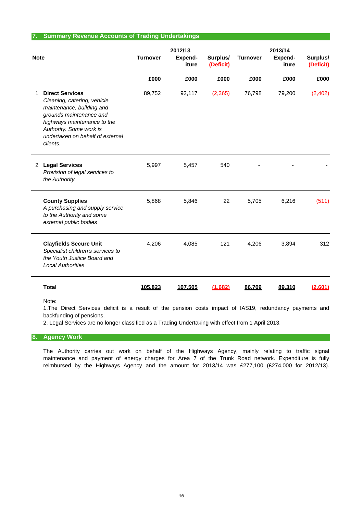#### **7. Summary Revenue Accounts of Trading Undertakings**

| <b>Note</b> |                                                                                                                                                                                                                         | <b>Turnover</b> | 2012/13<br>Expend-<br>iture | Surplus/<br>(Deficit) | <b>Turnover</b> | 2013/14<br>Expend-<br>iture | Surplus/<br>(Deficit) |
|-------------|-------------------------------------------------------------------------------------------------------------------------------------------------------------------------------------------------------------------------|-----------------|-----------------------------|-----------------------|-----------------|-----------------------------|-----------------------|
|             |                                                                                                                                                                                                                         | £000            | £000                        | £000                  | £000            | £000                        | £000                  |
| 1           | <b>Direct Services</b><br>Cleaning, catering, vehicle<br>maintenance, building and<br>grounds maintenance and<br>highways maintenance to the<br>Authority. Some work is<br>undertaken on behalf of external<br>clients. | 89,752          | 92,117                      | (2, 365)              | 76,798          | 79,200                      | (2, 402)              |
|             | 2 Legal Services<br>Provision of legal services to<br>the Authority.                                                                                                                                                    | 5,997           | 5,457                       | 540                   |                 |                             |                       |
|             | <b>County Supplies</b><br>A purchasing and supply service<br>to the Authority and some<br>external public bodies                                                                                                        | 5,868           | 5,846                       | 22                    | 5,705           | 6,216                       | (511)                 |
|             | <b>Clayfields Secure Unit</b><br>Specialist children's services to<br>the Youth Justice Board and<br><b>Local Authorities</b>                                                                                           | 4,206           | 4,085                       | 121                   | 4,206           | 3,894                       | 312                   |
|             | <b>Total</b>                                                                                                                                                                                                            | 105,823         | 107,505                     | (1,682)               | 86,709          | 89,310                      | (2,601)               |
|             | Note:<br>1 The Direct Services deficit is a result of the pension costs impact of IAS19 redundancy payments and                                                                                                         |                 |                             |                       |                 |                             |                       |

backfunding of pensions. 1.The Direct Services deficit is a result of the pension costs impact of IAS19, redundancy payments and

2. Legal Services are no longer classified as a Trading Undertaking with effect from 1 April 2013.

#### **8. Agency Work**

reimbursed by the Highways Agency and the amount for 2013/14 was £277,100 (£274,000 for 2012/13). The Authority carries out work on behalf of the Highways Agency, mainly relating to traffic signal maintenance and payment of energy charges for Area 7 of the Trunk Road network. Expenditure is fully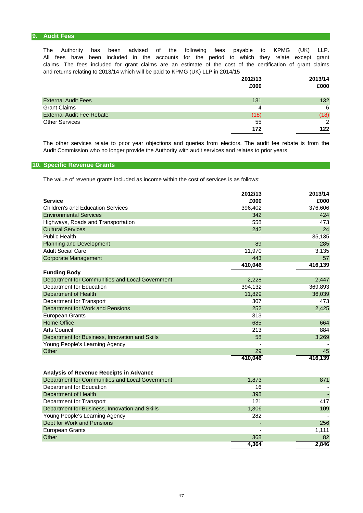#### **9. Audit Fees**

and returns relating to 2013/14 which will be paid to KPMG (UK) LLP in 2014/15 claims. The fees included for grant claims are an estimate of the cost of the certification of grant claims The Authority has been advised of the following fees payable to KPMG (UK) LLP. All fees have been included in the accounts for the period to which they relate except grant

|                                  | 2012/13 | 2013/14 |
|----------------------------------|---------|---------|
|                                  | £000    | £000    |
|                                  |         |         |
| <b>External Audit Fees</b>       | 131     | 132     |
| <b>Grant Claims</b>              | 4       | 6       |
| <b>External Audit Fee Rebate</b> | (18)    | (18)    |
| <b>Other Services</b>            | 55      | 2       |
|                                  | 172     | 122     |

Audit Commission who no longer provide the Authority with audit services and relates to prior years The other services relate to prior year objections and queries from electors. The audit fee rebate is from the

### **10. Specific Revenue Grants**

The value of revenue grants included as income within the cost of services is as follows:

|                                                 | 2012/13 | 2013/14 |
|-------------------------------------------------|---------|---------|
| <b>Service</b>                                  | £000    | £000    |
| <b>Children's and Education Services</b>        | 396,402 | 376,606 |
| <b>Environmental Services</b>                   | 342     | 424     |
| Highways, Roads and Transportation              | 558     | 473     |
| <b>Cultural Services</b>                        | 242     | 24      |
| <b>Public Health</b>                            |         | 35,135  |
| <b>Planning and Development</b>                 | 89      | 285     |
| <b>Adult Social Care</b>                        | 11,970  | 3,135   |
| <b>Corporate Management</b>                     | 443     | 57      |
|                                                 | 410,046 | 416,139 |
| <b>Funding Body</b>                             |         |         |
| Department for Communities and Local Government | 2,228   | 2,447   |
| Department for Education                        | 394,132 | 369,893 |
| <b>Department of Health</b>                     | 11,829  | 36,039  |
| Department for Transport                        | 307     | 473     |
| Department for Work and Pensions                | 252     | 2,425   |
| <b>European Grants</b>                          | 313     |         |
| <b>Home Office</b>                              | 685     | 664     |
| <b>Arts Council</b>                             | 213     | 884     |
| Department for Business, Innovation and Skills  | 58      | 3,269   |
| Young People's Learning Agency                  |         |         |
| Other                                           | 29      | 45      |
|                                                 | 410,046 | 416,139 |
| Analysis of Revenue Receipts in Advance         |         |         |
| Department for Communities and Local Government | 1,873   | 871     |
| Department for Education                        | 16      |         |
| <b>Department of Health</b>                     | 398     |         |
| Department for Transport                        | 121     | 417     |
| Department for Business, Innovation and Skills  | 1,306   | 109     |
| Young People's Learning Agency                  | 282     |         |
| Dept for Work and Pensions                      |         | 256     |
| <b>European Grants</b>                          |         | 1,111   |
| Other                                           | 368     | 82      |
|                                                 | 4,364   | 2,846   |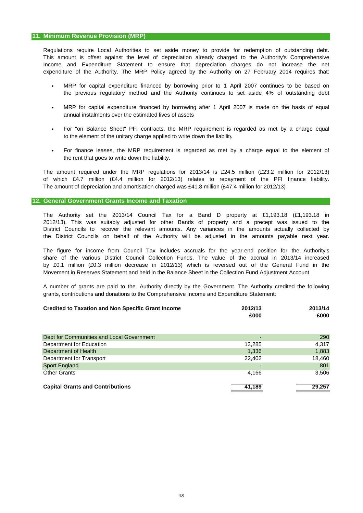This amount is offset against the level of depreciation already charged to the Authority's Comprehensive expenditure of the Authority. The MRP Policy agreed by the Authority on 27 February 2014 requires that: Regulations require Local Authorities to set aside money to provide for redemption of outstanding debt. Income and Expenditure Statement to ensure that depreciation charges do not increase the net

- MRP for capital expenditure financed by borrowing prior to 1 April 2007 continues to be based on the previous regulatory method and the Authority continues to set aside 4% of outstanding debt
- annual instalments over the estimated lives of assets MRP for capital expenditure financed by borrowing after 1 April 2007 is made on the basis of equal
- to the element of the unitary charge applied to write down the liability For "on Balance Sheet" PFI contracts, the MRP requirement is regarded as met by a charge equal
- the rent that goes to write down the liability. For finance leases, the MRP requirement is regarded as met by a charge equal to the element of

The amount of depreciation and amortisation charged was £41.8 million (£47.4 million for 2012/13) The amount required under the MRP regulations for 2013/14 is £24.5 million (£23.2 million for 2012/13) of which £4.7 million (£4.4 million for 2012/13) relates to repayment of the PFI finance liability.

#### **12. General Government Grants Income and Taxation**

The Authority set the 2013/14 Council Tax for a Band D property at £1,193.18 (£1,193.18 in 2012/13). This was suitably adjusted for other Bands of property and a precept was issued to the District Councils to recover the relevant amounts. Any variances in the amounts actually collected by the District Councils on behalf of the Authority will be adjusted in the amounts payable next year.

Movement in Reserves Statement and held in the Balance Sheet in the Collection Fund Adjustment Account. share of the various District Council Collection Funds. The value of the accrual in 2013/14 increased by £0.1 million (£0.3 million decrease in 2012/13) which is reversed out of the General Fund in the The figure for income from Council Tax includes accruals for the year-end position for the Authority's

grants, contributions and donations to the Comprehensive Income and Expenditure Statement: A number of grants are paid to the Authority directly by the Government. The Authority credited the following

| <b>Credited to Taxation and Non Specific Grant Income</b> | 2012/13<br>£000          | 2013/14<br>£000 |  |
|-----------------------------------------------------------|--------------------------|-----------------|--|
| Dept for Communities and Local Government                 | $\overline{\phantom{0}}$ | 290             |  |
| Department for Education                                  | 13.285                   | 4,317           |  |
| Department of Health                                      | 1,336                    | 1,883           |  |
| Department for Transport                                  | 22,402                   | 18,460          |  |
| Sport England                                             | $\overline{\phantom{0}}$ | 801             |  |
| <b>Other Grants</b>                                       | 4,166                    | 3,506           |  |
| <b>Capital Grants and Contributions</b>                   | 41,189                   | 29,257          |  |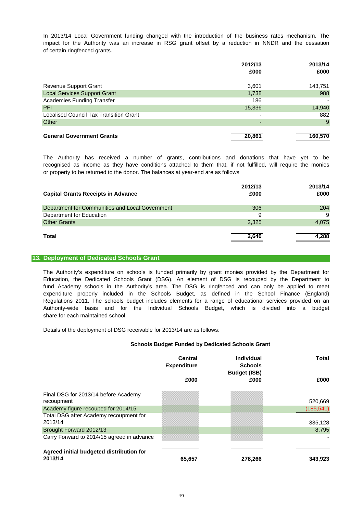of certain ringfenced grants. In 2013/14 Local Government funding changed with the introduction of the business rates mechanism. The impact for the Authority was an increase in RSG grant offset by a reduction in NNDR and the cessation

|                                               | 2012/13                  | 2013/14 |
|-----------------------------------------------|--------------------------|---------|
|                                               | £000                     | £000    |
| Revenue Support Grant                         | 3,601                    | 143,751 |
| <b>Local Services Support Grant</b>           | 1,738                    | 988     |
| <b>Academies Funding Transfer</b>             | 186                      |         |
| <b>PFI</b>                                    | 15,336                   | 14,940  |
| <b>Localised Council Tax Transition Grant</b> | $\overline{\phantom{0}}$ | 882     |
| Other                                         | -                        | 9       |
| <b>General Government Grants</b>              | 20,861                   | 160,570 |

or property to be returned to the donor. The balances at year-end are as follows The Authority has received a number of grants, contributions and donations that have yet to be recognised as income as they have conditions attached to them that, if not fulfilled, will require the monies

| <b>Capital Grants Receipts in Advance</b>       | 2012/13<br>£000 | 2013/14<br>£000 |
|-------------------------------------------------|-----------------|-----------------|
| Department for Communities and Local Government | 306             | 204             |
| Department for Education                        | 9               | 9               |
| <b>Other Grants</b>                             | 2,325           | 4,075           |
| <b>Total</b>                                    | 2,640           | 4.288           |

#### **13. Deployment of Dedicated Schools Grant**

The Authority's expenditure on schools is funded primarily by grant monies provided by the Department for Education, the Dedicated Schools Grant (DSG). An element of DSG is recouped by the Department to expenditure properly included in the Schools Budget, as defined in the School Finance (England) Authority-wide basis and for the Individual Schools Budget, which is divided into a budget share for each maintained school. fund Academy schools in the Authority's area. The DSG is ringfenced and can only be applied to meet Regulations 2011. The schools budget includes elements for a range of educational services provided on an

Details of the deployment of DSG receivable for 2013/14 are as follows:

#### **Schools Budget Funded by Dedicated Schools Grant**

|                                                     | Central<br><b>Expenditure</b> | Individual<br><b>Schools</b><br><b>Budget (ISB)</b> | Total      |
|-----------------------------------------------------|-------------------------------|-----------------------------------------------------|------------|
|                                                     | £000                          | £000                                                | £000       |
| Final DSG for 2013/14 before Academy<br>recoupment  |                               |                                                     | 520,669    |
| Academy figure recouped for 2014/15                 |                               |                                                     | (185, 541) |
| Total DSG after Academy recoupment for<br>2013/14   |                               |                                                     | 335,128    |
| Brought Forward 2012/13                             |                               |                                                     | 8,795      |
| Carry Forward to 2014/15 agreed in advance          |                               |                                                     |            |
| Agreed initial budgeted distribution for<br>2013/14 | 65,657                        | 278,266                                             | 343,923    |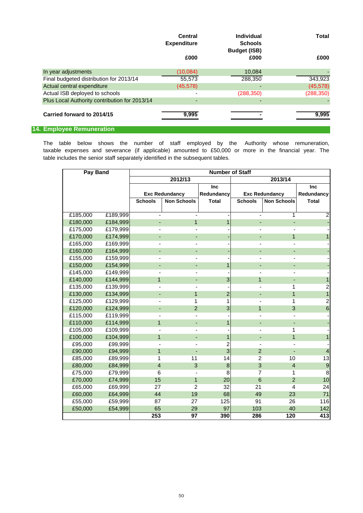|                                               | Central<br><b>Expenditure</b> | Individual<br><b>Schools</b><br><b>Budget (ISB)</b> | <b>Total</b> |
|-----------------------------------------------|-------------------------------|-----------------------------------------------------|--------------|
|                                               | £000                          | £000                                                | £000         |
| In year adjustments                           | (10,084)                      | 10,084                                              |              |
| Final budgeted distribution for 2013/14       | 55,573                        | 288,350                                             | 343,923      |
| Actual central expenditure                    | (45, 578)                     |                                                     | (45, 578)    |
| Actual ISB deployed to schools                |                               | (288, 350)                                          | (288, 350)   |
| Plus Local Authority contribution for 2013/14 |                               |                                                     |              |
| Carried forward to 2014/15                    | 9,995                         |                                                     | 9,995        |

## **14. Employee Remuneration**

table includes the senior staff separately identified in the subsequent tables. taxable expenses and severance (if applicable) amounted to £50,000 or more in the financial year. The The table below shows the number of staff employed by the Authority whose remuneration,

| Pay Band           |          | <b>Number of Staff</b>   |                          |                |                 |                       |                         |  |  |
|--------------------|----------|--------------------------|--------------------------|----------------|-----------------|-----------------------|-------------------------|--|--|
| 2012/13<br>2013/14 |          |                          |                          |                |                 |                       |                         |  |  |
|                    |          |                          |                          | <b>Inc</b>     |                 |                       | <b>Inc</b>              |  |  |
|                    |          |                          | <b>Exc Redundancy</b>    | Redundancy     |                 | <b>Exc Redundancy</b> | Redundancy              |  |  |
|                    |          | <b>Schools</b>           | <b>Non Schools</b>       | <b>Total</b>   | <b>Schools</b>  | <b>Non Schools</b>    | <b>Total</b>            |  |  |
|                    |          |                          |                          |                |                 |                       |                         |  |  |
| £185,000           | £189,999 |                          |                          |                |                 | 1                     | $\overline{2}$          |  |  |
| £180,000           | £184,999 | $\blacksquare$           | $\mathbf{1}$             | $\mathbf{1}$   |                 |                       |                         |  |  |
| £175,000           | £179,999 | $\blacksquare$           |                          |                |                 |                       |                         |  |  |
| £170,000           | £174,999 | -                        |                          |                |                 | $\mathbf{1}$          | $\mathbf{1}$            |  |  |
| £165,000           | £169,999 |                          |                          |                |                 |                       |                         |  |  |
| £160,000           | £164,999 | ٠                        |                          |                |                 |                       |                         |  |  |
| £155,000           | £159,999 |                          |                          |                |                 |                       |                         |  |  |
| £150,000           | £154,999 |                          |                          | 1              |                 |                       |                         |  |  |
| £145,000           | £149,999 |                          |                          |                |                 |                       |                         |  |  |
| £140,000           | £144,999 | $\overline{1}$           |                          | $\sqrt{3}$     |                 | $\mathbf{1}$          | 1                       |  |  |
| £135,000           | £139,999 | $\blacksquare$           |                          |                |                 | 1                     | $\overline{2}$          |  |  |
| £130,000           | £134,999 | ۳                        | $\mathbf{1}$             | $\overline{2}$ |                 | $\mathbf 1$           | $\overline{1}$          |  |  |
| £125,000           | £129,999 |                          | 1                        | 1              |                 | 1                     | $\overline{2}$          |  |  |
| £120,000           | £124,999 | $\overline{\phantom{a}}$ | $\overline{2}$           | $\mathbf{3}$   | $\mathbf{1}$    | 3                     | $\boldsymbol{6}$        |  |  |
| £115,000           | £119,999 |                          |                          |                |                 |                       |                         |  |  |
| £110,000           | £114,999 | $\mathbf{1}$             | $\overline{\phantom{0}}$ | 1              |                 |                       |                         |  |  |
| £105,000           | £109,999 |                          |                          |                |                 | 1                     |                         |  |  |
| £100,000           | £104,999 | 1                        | ٠                        | 1              | ٠               | 1                     | $\mathbf{1}$            |  |  |
| £95,000            | £99,999  |                          |                          | $\overline{2}$ |                 |                       |                         |  |  |
| £90,000            | £94,999  | $\overline{1}$           |                          | $\overline{3}$ | $\overline{2}$  |                       | $\overline{\mathbf{4}}$ |  |  |
| £85,000            | £89,999  | 1                        | 11                       | 14             | $\overline{2}$  | 10                    | 13                      |  |  |
| £80,000            | £84,999  | $\overline{4}$           | 3                        | $\bf 8$        | 3               | $\overline{4}$        | $\boldsymbol{9}$        |  |  |
| £75,000            | £79,999  | 6                        |                          | 8              | $\overline{7}$  | 1                     | $\, 8$                  |  |  |
| £70,000            | £74,999  | 15                       | $\mathbf{1}$             | 20             | $6\phantom{1}6$ | 2                     | 10                      |  |  |
| £65,000            | £69,999  | 27                       | $\overline{2}$           | 32             | 21              | $\overline{4}$        | 24                      |  |  |
| £60,000            | £64,999  | 44                       | 19                       | 68             | 49              | 23                    | 71                      |  |  |
| £55,000            | £59,999  | 87                       | 27                       | 125            | 91              | 26                    | 116                     |  |  |
| £50,000            | £54,999  | 65                       | 29                       | 97             | 103             | 40                    | 142                     |  |  |
|                    |          | 253                      | 97                       | 390            | 286             | 120                   | 413                     |  |  |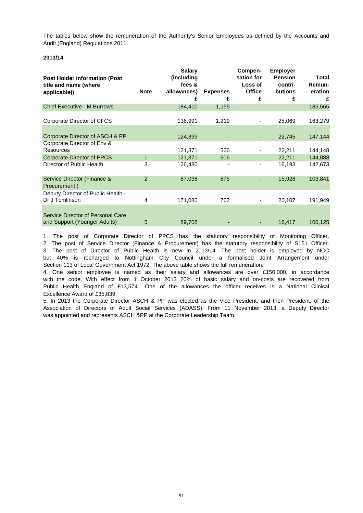The tables below show the remuneration of the Authority's Senior Employees as defined by the Accounts and Audit (England) Regulations 2011.

### **2013/14**

| <b>Post Holder information (Post</b><br>title and name (where<br>applicable)) | <b>Note</b> | <b>Salary</b><br>(including<br>fees &<br>allowances)<br>£ | <b>Expenses</b><br>£ | Compen-<br>sation for<br>Loss of<br><b>Office</b><br>£ | <b>Employer</b><br><b>Pension</b><br>contri-<br><b>butions</b><br>£ | Total<br>Remun-<br>eration<br>£ |
|-------------------------------------------------------------------------------|-------------|-----------------------------------------------------------|----------------------|--------------------------------------------------------|---------------------------------------------------------------------|---------------------------------|
| <b>Chief Executive - M Burrows</b>                                            |             | 184,410                                                   | 1,155                | ٠                                                      |                                                                     | 185,565                         |
| Corporate Director of CFCS                                                    |             | 136,991                                                   | 1,219                | $\overline{\phantom{a}}$                               | 25,069                                                              | 163,279                         |
| Corporate Director of ASCH & PP                                               |             | 124,399                                                   |                      | ٠                                                      | 22,745                                                              | 147,144                         |
| Corporate Director of Env &<br>Resources                                      |             | 121,371                                                   | 566                  |                                                        | 22,211                                                              | 144,148                         |
| <b>Corporate Director of PPCS</b>                                             | 1           | 121,371                                                   | 506                  | ٠                                                      | 22,211                                                              | 144,088                         |
| Director of Public Health                                                     | 3           | 126,480                                                   |                      | $\overline{\phantom{a}}$                               | 16,193                                                              | 142,673                         |
| Service Director (Finance &<br>Procurement)                                   | 2           | 87,038                                                    | 875                  | ٠                                                      | 15,928                                                              | 103,841                         |
| Deputy Director of Public Health -<br>Dr J Tomlinson                          | 4           | 171,080                                                   | 762                  | $\overline{\phantom{a}}$                               | 20,107                                                              | 191,949                         |
| Service Director of Personal Care<br>and Support (Younger Adults)             | 5           | 89,708                                                    |                      | ٠                                                      | 16,417                                                              | 106,125                         |

1. The post of Corporate Director of PPCS has the statutory responsibility of Monitoring Officer. 2. The post of Service Director (Finance & Procurement) has the statutory responsibility of S151 Officer. 3. The post of Director of Public Health is new in 2013/14. The post holder is employed by NCC but 40% is recharged to Nottingham City Council under a formalised Joint Arrangement under Section 113 of Local Government Act 1972. The above table shows the full remuneration.

Excellence Award of £35,839. 4. One senior employee is named as their salary and allowances are over £150,000, in accordance with the code. With effect from 1 October 2013 20% of basic salary and on-costs are recovered from Public Health England of £13,574. One of the allowances the officer receives is a National Clinical

was appointed and represents ASCH &PP at the Corporate Leadership Team. 5. In 2013 the Corporate Director ASCH & PP was elected as the Vice President, and then President, of the Association of Directors of Adult Social Services (ADASS). From 11 November 2013, a Deputy Director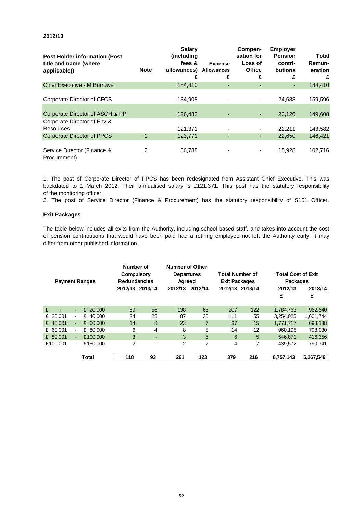| <b>Post Holder information (Post</b><br>title and name (where<br>applicable)) | <b>Note</b> | <b>Salary</b><br>(including)<br>fees &<br>allowances)<br>£ | <b>Expense</b><br><b>Allowances</b><br>£ | Compen-<br>sation for<br>Loss of<br><b>Office</b><br>£ | <b>Employer</b><br><b>Pension</b><br>contri-<br><b>butions</b><br>£ | Total<br>Remun-<br>eration<br>£ |
|-------------------------------------------------------------------------------|-------------|------------------------------------------------------------|------------------------------------------|--------------------------------------------------------|---------------------------------------------------------------------|---------------------------------|
| <b>Chief Executive - M Burrows</b>                                            |             | 184,410                                                    | ٠                                        | ٠                                                      | ٠                                                                   | 184,410                         |
| Corporate Director of CFCS                                                    |             | 134.908                                                    |                                          | $\blacksquare$                                         | 24.688                                                              | 159,596                         |
| Corporate Director of ASCH & PP                                               |             | 126,482                                                    |                                          | ٠                                                      | 23,126                                                              | 149,608                         |
| Corporate Director of Env &<br>Resources                                      |             | 121,371                                                    |                                          | $\overline{\phantom{a}}$                               | 22,211                                                              | 143,582                         |
| <b>Corporate Director of PPCS</b>                                             |             | 123,771                                                    | ٠                                        | ٠                                                      | 22,650                                                              | 146,421                         |
| Service Director (Finance &<br>Procurement)                                   | 2           | 86,788                                                     |                                          | $\blacksquare$                                         | 15,928                                                              | 102,716                         |

of the monitoring officer. 1. The post of Corporate Director of PPCS has been redesignated from Assistant Chief Executive. This was backdated to 1 March 2012. Their annualised salary is £121,371. This post has the statutory responsibility

2. The post of Service Director (Finance & Procurement) has the statutory responsibility of S151 Officer.

#### **Exit Packages**

differ from other published information. of pension contributions that would have been paid had a retiring employee not left the Authority early. It may The table below includes all exits from the Authority, including school based staff, and takes into account the cost

| <b>Payment Ranges</b> |                          | Number of<br><b>Compulsory</b><br><b>Redundancies</b> |                 | <b>Number of Other</b><br><b>Departures</b><br>Agreed |                | <b>Total Number of</b><br><b>Exit Packages</b> |     | <b>Total Cost of Exit</b><br><b>Packages</b> |           |           |
|-----------------------|--------------------------|-------------------------------------------------------|-----------------|-------------------------------------------------------|----------------|------------------------------------------------|-----|----------------------------------------------|-----------|-----------|
|                       |                          |                                                       | 2012/13 2013/14 |                                                       | 2012/13        | 2013/14                                        |     | 2012/13 2013/14                              | 2012/13   | 2013/14   |
|                       |                          |                                                       |                 |                                                       |                |                                                |     |                                              | £         | £         |
| £                     | $\blacksquare$           | £ 20,000                                              | 69              | 56                                                    | 138            | 66                                             | 207 | 122                                          | 1,784,763 | 962,540   |
| £ 20.001              | $\blacksquare$           | £ 40,000                                              | 24              | 25                                                    | 87             | 30                                             | 111 | 55                                           | 3.254.025 | 1,601,744 |
| £ 40,001              | ٠                        | £ 60,000                                              | 14              | 8                                                     | 23             | 7                                              | 37  | 15                                           | 1,771,717 | 698,138   |
| £ 60,001              | $\overline{\phantom{a}}$ | £ 80,000                                              | 6               | 4                                                     | 8              | 8                                              | 14  | 12                                           | 960.195   | 798.030   |
| £ 80,001              | $\overline{\phantom{a}}$ | £100,000                                              | 3               | $\overline{\phantom{0}}$                              | 3              | 5                                              | 6   | 5                                            | 546.871   | 416,356   |
| £100.001              | $\overline{\phantom{a}}$ | £150,000                                              | 2               | ۰                                                     | $\mathfrak{p}$ | 7                                              | 4   | 7                                            | 439.572   | 790.741   |
|                       |                          | Total                                                 | 118             | 93                                                    | 261            | 123                                            | 379 | 216                                          | 8,757,143 | 5.267.549 |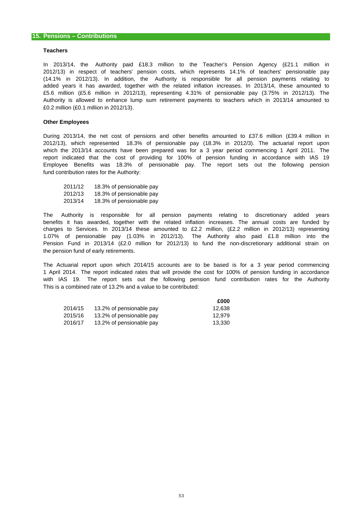#### **Teachers**

£0.2 million (£0.1 million in 2012/13). (14.1% in 2012/13). In addition, the Authority is responsible for all pension payments relating to added years it has awarded, together with the related inflation increases. In 2013/14, these amounted to 2012/13) in respect of teachers' pension costs, which represents 14.1% of teachers' pensionable pay £5.6 million (£5.6 million in 2012/13), representing 4.31% of pensionable pay (3.75% in 2012/13). The Authority is allowed to enhance lump sum retirement payments to teachers which in 2013/14 amounted to In 2013/14, the Authority paid £18.3 million to the Teacher's Pension Agency (£21.1 million in

#### **Other Employees**

fund contribution rates for the Authority: which the 2013/14 accounts have been prepared was for a 3 year period commencing 1 April 2011. The report indicated that the cost of providing for 100% of pension funding in accordance with IAS 19 During 2013/14, the net cost of pensions and other benefits amounted to £37.6 million (£39.4 million in 2012/13), which represented 18.3% of pensionable pay (18.3% in 2012/3). The actuarial report upon Employee Benefits was 18.3% of pensionable pay. The report sets out the following pension

| 2011/12 | 18.3% of pensionable pay |
|---------|--------------------------|
| 2012/13 | 18.3% of pensionable pay |
| 2013/14 | 18.3% of pensionable pay |

the pension fund of early retirements. The Authority is responsible for all pension payments relating to discretionary added years benefits it has awarded, together with the related inflation increases. The annual costs are funded by charges to Services. In 2013/14 these amounted to £2.2 million, (£2.2 million in 2012/13) representing 1.07% of pensionable pay (1.03% in 2012/13). The Authority also paid £1.8 million into the Pension Fund in 2013/14 (£2.0 million for 2012/13) to fund the non-discretionary additional strain on

This is a combined rate of 13.2% and a value to be contributed: The Actuarial report upon which 2014/15 accounts are to be based is for a 3 year period commencing 1 April 2014. The report indicated rates that will provide the cost for 100% of pension funding in accordance with IAS 19. The report sets out the following pension fund contribution rates for the Authority

**£000**

|         |                          | £000   |
|---------|--------------------------|--------|
| 2014/15 | 13.2% of pensionable pay | 12.638 |
| 2015/16 | 13.2% of pensionable pay | 12.979 |
| 2016/17 | 13.2% of pensionable pay | 13.330 |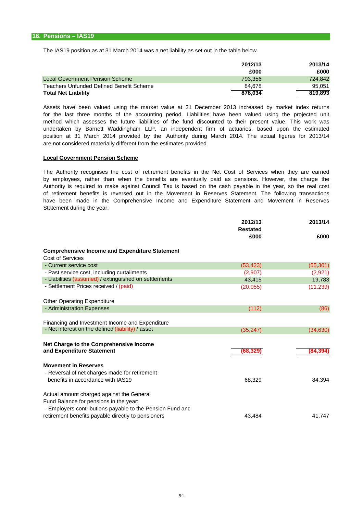The IAS19 position as at 31 March 2014 was a net liability as set out in the table below

|                                          | 2012/13 | 2013/14 |
|------------------------------------------|---------|---------|
|                                          | £000    | £000    |
| Local Government Pension Scheme          | 793.356 | 724.842 |
| Teachers Unfunded Defined Benefit Scheme | 84.678  | 95.051  |
| <b>Total Net Liability</b>               | 878.034 | 819.893 |

are not considered materially different from the estimates provided. for the last three months of the accounting period. Liabilities have been valued using the projected unit method which assesses the future liabilities of the fund discounted to their present value. This work was undertaken by Barnett Waddingham LLP, an independent firm of actuaries, based upon the estimated position at 31 March 2014 provided by the Authority during March 2014. The actual figures for 2013/14 Assets have been valued using the market value at 31 December 2013 increased by market index returns

#### **Local Government Pension Scheme**

Statement during the year: The Authority recognises the cost of retirement benefits in the Net Cost of Services when they are earned by employees, rather than when the benefits are eventually paid as pensions. However, the charge the have been made in the Comprehensive Income and Expenditure Statement and Movement in Reserves Authority is required to make against Council Tax is based on the cash payable in the year, so the real cost of retirement benefits is reversed out in the Movement in Reserves Statement. The following transactions

|                                                           | 2012/13<br><b>Restated</b> | 2013/14   |  |
|-----------------------------------------------------------|----------------------------|-----------|--|
|                                                           | £000                       | £000      |  |
| <b>Comprehensive Income and Expenditure Statement</b>     |                            |           |  |
| Cost of Services                                          |                            |           |  |
| - Current service cost                                    | (53, 423)                  | (55, 301) |  |
| - Past service cost, including curtailments               | (2,907)                    | (2,921)   |  |
| - Liabilities (assumed) / extinguished on settlements     | 43,415                     | 19,783    |  |
| - Settlement Prices received / (paid)                     | (20, 055)                  | (11, 239) |  |
| <b>Other Operating Expenditure</b>                        |                            |           |  |
| - Administration Expenses                                 | (112)                      | (86)      |  |
| Financing and Investment Income and Expenditure           |                            |           |  |
| - Net interest on the defined (liability) / asset         |                            |           |  |
|                                                           | (35, 247)                  | (34, 630) |  |
| Net Charge to the Comprehensive Income                    |                            |           |  |
| and Expenditure Statement                                 | (68,329)                   | (84, 394) |  |
| <b>Movement in Reserves</b>                               |                            |           |  |
| - Reversal of net charges made for retirement             |                            |           |  |
| benefits in accordance with IAS19                         | 68,329                     | 84,394    |  |
| Actual amount charged against the General                 |                            |           |  |
| Fund Balance for pensions in the year:                    |                            |           |  |
| - Employers contributions payable to the Pension Fund and |                            |           |  |
| retirement benefits payable directly to pensioners        | 43,484                     | 41,747    |  |
|                                                           |                            |           |  |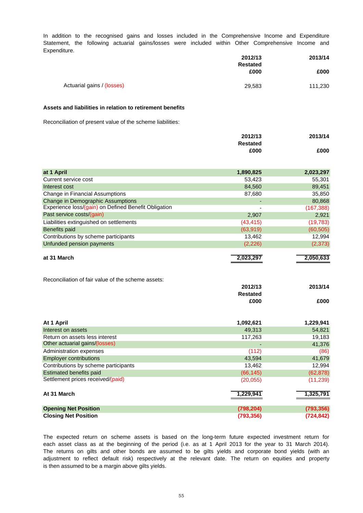Expenditure. In addition to the recognised gains and losses included in the Comprehensive Income and Expenditure Statement, the following actuarial gains/losses were included within Other Comprehensive Income and

|                            | 2012/13         | 2013/14 |
|----------------------------|-----------------|---------|
|                            | <b>Restated</b> |         |
|                            | £000            | £000    |
|                            |                 |         |
| Actuarial gains / (losses) | 29,583          | 111,230 |

#### **Assets and liabilities in relation to retirement benefits**

Reconciliation of present value of the scheme liabilities:

|                                                      | 2012/13         | 2013/14    |
|------------------------------------------------------|-----------------|------------|
|                                                      | <b>Restated</b> |            |
|                                                      | £000            | £000       |
|                                                      |                 |            |
| at 1 April                                           | 1,890,825       | 2,023,297  |
| Current service cost                                 | 53,423          | 55,301     |
| Interest cost                                        | 84,560          | 89,451     |
| Change in Financial Assumptions                      | 87,680          | 35,850     |
| <b>Change in Demographic Assumptions</b>             |                 | 80,868     |
| Experience loss/(gain) on Defined Benefit Obligation |                 | (167, 388) |
| Past service costs/(gain)                            | 2,907           | 2,921      |
| Liabilities extinguished on settlements              | (43, 415)       | (19, 783)  |
| <b>Benefits paid</b>                                 | (63, 919)       | (60, 505)  |
| Contributions by scheme participants                 | 13,462          | 12,994     |
| Unfunded pension payments                            | (2, 226)        | (2, 373)   |
|                                                      |                 |            |
| at 31 March                                          | 2,023,297       | 2,050,633  |
|                                                      |                 |            |
| Reconciliation of fair value of the scheme assets:   |                 |            |
|                                                      | 2012/13         | 2013/14    |
|                                                      | <b>Restated</b> |            |
|                                                      | £000            | £000       |
|                                                      |                 |            |
| At 1 April                                           | 1,092,621       | 1,229,941  |
| Interest on assets                                   | 49,313          | 54,821     |
| Return on assets less interest                       | 117,263         | 19,183     |
| Other actuarial gains/(losses)                       |                 | 41,376     |
| Administration expenses                              | (112)           | (86)       |
| <b>Employer contributions</b>                        | 43,594          | 41,679     |
| Contributions by scheme participants                 | 13,462          | 12,994     |
| <b>Estimated benefits paid</b>                       | (66, 145)       | (62, 878)  |
| Settlement prices received/(paid)                    | (20, 055)       | (11, 239)  |
|                                                      |                 |            |
| At 31 March                                          | 1,229,941       | 1,325,791  |
|                                                      |                 |            |
| <b>Opening Net Position</b>                          | (798, 204)      | (793, 356) |
| <b>Closing Net Position</b>                          | (793, 356)      | (724, 842) |

is then assumed to be a margin above gilts yields. each asset class as at the beginning of the period (i.e. as at 1 April 2013 for the year to 31 March 2014). The returns on gilts and other bonds are assumed to be gilts yields and corporate bond yields (with an adjustment to reflect default risk) respectively at the relevant date. The return on equities and property The expected return on scheme assets is based on the long-term future expected investment return for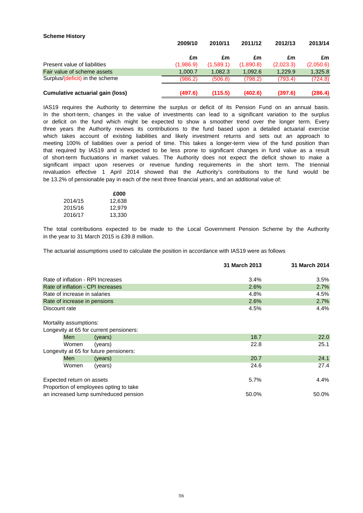| <b>OVIIGHIG HIJKUI Y</b>         | 2009/10   | 2010/11   | 2011/12   | 2012/13   | 2013/14   |
|----------------------------------|-----------|-----------|-----------|-----------|-----------|
|                                  | £m        | £m        | £m        | £m        | £m        |
| Present value of liabilities     | (1,986.9) | (1,589.1) | (1,890.8) | (2,023.3) | (2,050.6) |
| Fair value of scheme assets      | 1.000.7   | 1.082.3   | 1,092.6   | 1.229.9   | 1,325.8   |
| Surplus/(deficit) in the scheme  | (986.2)   | (506.8)   | (798.2)   | (793.4)   | (724.8)   |
| Cumulative actuarial gain (loss) | (497.6)   | (115.5)   | (402.6)   | (397.6)   | (286.4)   |

three years the Authority reviews its contributions to the fund based upon a detailed actuarial exercise which takes account of existing liabilities and likely investment returns and sets out an approach to be 13.2% of pensionable pay in each of the next three financial years, and an additional value of: significant impact upon reserves or revenue funding requirements in the short term. The triennial that required by IAS19 and is expected to be less prone to significant changes in fund value as a result of short-term fluctuations in market values. The Authority does not expect the deficit shown to make a meeting 100% of liabilities over a period of time. This takes a longer-term view of the fund position than IAS19 requires the Authority to determine the surplus or deficit of its Pension Fund on an annual basis. revaluation effective 1 April 2014 showed that the Authority's contributions to the fund would be In the short-term, changes in the value of investments can lead to a significant variation to the surplus or deficit on the fund which might be expected to show a smoother trend over the longer term. Every

|         | £000   |
|---------|--------|
| 2014/15 | 12,638 |
| 2015/16 | 12.979 |
| 2016/17 | 13,330 |

**Scheme History**

in the year to 31 March 2015 is £39.8 million. The total contributions expected to be made to the Local Government Pension Scheme by the Authority

The actuarial assumptions used to calculate the position in accordance with IAS19 were as follows

|                                   |                                         | 31 March 2013 | 31 March 2014 |
|-----------------------------------|-----------------------------------------|---------------|---------------|
| Rate of inflation - RPI Increases |                                         | 3.4%          | 3.5%          |
| Rate of inflation - CPI Increases |                                         | 2.6%          | 2.7%          |
| Rate of increase in salaries      |                                         | 4.8%          | 4.5%          |
| Rate of increase in pensions      |                                         | 2.6%          | 2.7%          |
| Discount rate                     |                                         | 4.5%          | 4.4%          |
| Mortality assumptions:            |                                         |               |               |
|                                   | Longevity at 65 for current pensioners: |               |               |
| Men                               | (years)                                 | 18.7          | 22.0          |
| Women                             | (years)                                 | 22.8          | 25.1          |
|                                   | Longevity at 65 for future pensioners:  |               |               |
| Men                               | (years)                                 | 20.7          | 24.1          |
| Women                             | (years)                                 | 24.6          | 27.4          |
| Expected return on assets         |                                         | 5.7%          | 4.4%          |
|                                   | Proportion of employees opting to take  |               |               |
|                                   | an increased lump sum/reduced pension   | 50.0%         | 50.0%         |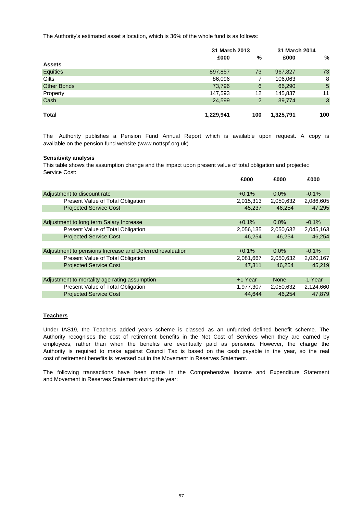The Authority's estimated asset allocation, which is 36% of the whole fund is as follows:

|                    | 31 March 2013 |     | 31 March 2014 |     |
|--------------------|---------------|-----|---------------|-----|
|                    | £000          | %   | £000          | %   |
| <b>Assets</b>      |               |     |               |     |
| Equities           | 897,857       | 73  | 967,827       | 73  |
| Gilts              | 86,096        | 7   | 106,063       | 8   |
| <b>Other Bonds</b> | 73,796        | 6   | 66,290        | 5   |
| Property           | 147,593       | 12  | 145,837       | 11  |
| Cash               | 24,599        | 2   | 39,774        | 3   |
|                    |               |     |               |     |
| <b>Total</b>       | 1,229,941     | 100 | 1,325,791     | 100 |

available on the pension fund website (www.nottspf.org.uk). The Authority publishes a Pension Fund Annual Report which is available upon request. A copy is

#### **Sensitivity analysis**

This table shows the assumption change and the impact upon present value of total obligation and projectec Service Cost:

|                                                          | £000      | £000        | £000      |
|----------------------------------------------------------|-----------|-------------|-----------|
| Adjustment to discount rate                              | $+0.1%$   | $0.0\%$     | $-0.1%$   |
| Present Value of Total Obligation                        | 2,015,313 | 2,050,632   | 2,086,605 |
| <b>Projected Service Cost</b>                            | 45,237    | 46.254      | 47,295    |
|                                                          |           |             |           |
| Adjustment to long term Salary Increase                  | $+0.1%$   | $0.0\%$     | $-0.1\%$  |
| Present Value of Total Obligation                        | 2,056,135 | 2,050,632   | 2,045,163 |
| <b>Projected Service Cost</b>                            | 46,254    | 46.254      | 46,254    |
|                                                          |           |             |           |
| Adjustment to pensions Increase and Deferred revaluation | $+0.1%$   | $0.0\%$     | $-0.1\%$  |
| Present Value of Total Obligation                        | 2,081,667 | 2,050,632   | 2,020,167 |
| <b>Projected Service Cost</b>                            | 47,311    | 46.254      | 45,219    |
|                                                          |           |             |           |
| Adjustment to mortality age rating assumption            | +1 Year   | <b>None</b> | -1 Year   |
| Present Value of Total Obligation                        | 1,977,307 | 2,050,632   | 2,124,660 |
| <b>Projected Service Cost</b>                            | 44.644    | 46.254      | 47.879    |

#### **Teachers**

cost of retirement benefits is reversed out in the Movement in Reserves Statement. Under IAS19, the Teachers added years scheme is classed as an unfunded defined benefit scheme. The Authority recognises the cost of retirement benefits in the Net Cost of Services when they are earned by employees, rather than when the benefits are eventually paid as pensions. However, the charge the Authority is required to make against Council Tax is based on the cash payable in the year, so the real

and Movement in Reserves Statement during the year: The following transactions have been made in the Comprehensive Income and Expenditure Statement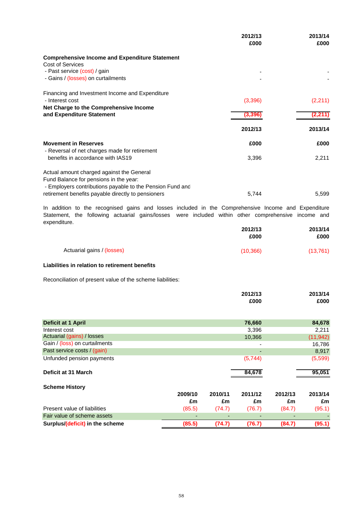|                                                           | 2012/13 | 2013/14 |
|-----------------------------------------------------------|---------|---------|
|                                                           | £000    | £000    |
| <b>Comprehensive Income and Expenditure Statement</b>     |         |         |
| Cost of Services                                          |         |         |
| - Past service (cost) / gain                              |         |         |
| - Gains / (losses) on curtailments                        |         |         |
| Financing and Investment Income and Expenditure           |         |         |
| - Interest cost                                           | (3,396) | (2,211) |
| Net Charge to the Comprehensive Income                    |         |         |
| and Expenditure Statement                                 | (3.396  | (2,211  |
|                                                           | 2012/13 | 2013/14 |
| <b>Movement in Reserves</b>                               | £000    | £000    |
| - Reversal of net charges made for retirement             |         |         |
| benefits in accordance with IAS19                         | 3,396   | 2,211   |
| Actual amount charged against the General                 |         |         |
| Fund Balance for pensions in the year:                    |         |         |
| - Employers contributions payable to the Pension Fund and |         |         |
| retirement benefits payable directly to pensioners        | 5,744   | 5,599   |

expenditure. **2012/13 2013/14** Statement, the following actuarial gains/losses were included within other comprehensive income and In addition to the recognised gains and losses included in the Comprehensive Income and Expenditure

|                            | 2012/13<br>£000 | 2013/14<br>£000 |
|----------------------------|-----------------|-----------------|
| Actuarial gains / (losses) | (10, 366)       | (13, 761)       |

#### **Liabilities in relation to retirement benefits**

Reconciliation of present value of the scheme liabilities:

|                                 |         |         | 2012/13 |         | 2013/14   |
|---------------------------------|---------|---------|---------|---------|-----------|
|                                 |         |         | £000    |         | £000      |
| Deficit at 1 April              |         |         | 76,660  |         | 84,678    |
| Interest cost                   |         |         | 3,396   |         | 2,211     |
| Actuarial (gains) / losses      |         |         | 10,366  |         | (11, 942) |
| Gain / (loss) on curtailments   |         |         | ٠       |         | 16,786    |
| Past service costs / (gain)     |         |         |         |         | 8,917     |
| Unfunded pension payments       |         |         | (5,744) |         | (5,599)   |
| Deficit at 31 March             |         |         | 84,678  |         | 95,051    |
| <b>Scheme History</b>           |         |         |         |         |           |
|                                 | 2009/10 | 2010/11 | 2011/12 | 2012/13 | 2013/14   |
|                                 | £m      | £m      | £m      | £m      | £m        |
| Present value of liabilities    | (85.5)  | (74.7)  | (76.7)  | (84.7)  | (95.1)    |
| Fair value of scheme assets     |         |         |         |         |           |
| Surplus/(deficit) in the scheme | (85.5)  | (74.7)  | (76.7)  | (84.7)  | (95.1)    |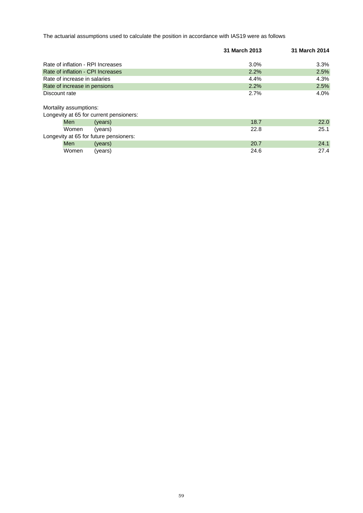The actuarial assumptions used to calculate the position in accordance with IAS19 were as follows

|                                   |                                         | 31 March 2013 | 31 March 2014 |
|-----------------------------------|-----------------------------------------|---------------|---------------|
| Rate of inflation - RPI Increases |                                         | 3.0%          | $3.3\%$       |
| Rate of inflation - CPI Increases |                                         | 2.2%          | 2.5%          |
| Rate of increase in salaries      |                                         | 4.4%          | 4.3%          |
| Rate of increase in pensions      |                                         | 2.2%          | 2.5%          |
| Discount rate                     |                                         | 2.7%          | $4.0\%$       |
| Mortality assumptions:            |                                         |               |               |
|                                   | Longevity at 65 for current pensioners: |               |               |
| <b>Men</b>                        | (years)                                 | 18.7          | 22.0          |
| Women                             | (years)                                 | 22.8          | 25.1          |
|                                   | Longevity at 65 for future pensioners:  |               |               |
| <b>Men</b>                        | (years)                                 | 20.7          | 24.1          |
| Women                             | (years)                                 | 24.6          | 27.4          |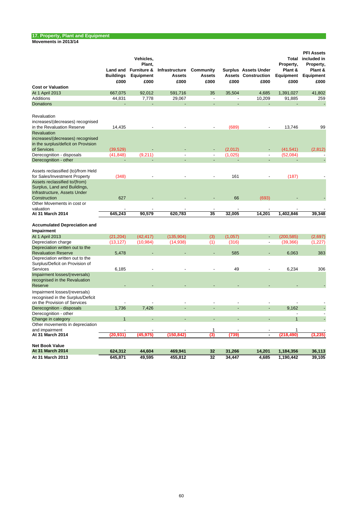**Movements in 2013/14**

|                                                                                                       | Land and<br><b>Buildings</b><br>£000 | Vehicles,<br>Plant.<br><b>Furniture &amp;</b><br>Equipment<br>£000 | Infrastructure<br>Assets<br>£000 | Community<br><b>Assets</b><br>£000 | £000                     | Surplus Assets Under<br><b>Assets Construction</b><br>£000 | Property,<br>Plant &<br>Equipment<br>£000 | <b>PFI Assets</b><br>Total included in<br>Property,<br>Plant &<br>Equipment<br>£000 |
|-------------------------------------------------------------------------------------------------------|--------------------------------------|--------------------------------------------------------------------|----------------------------------|------------------------------------|--------------------------|------------------------------------------------------------|-------------------------------------------|-------------------------------------------------------------------------------------|
| <b>Cost or Valuation</b>                                                                              |                                      |                                                                    |                                  |                                    |                          |                                                            |                                           |                                                                                     |
| At 1 April 2013                                                                                       | 667,075                              | 92,012                                                             | 591,716                          | 35                                 | 35,504                   | 4,685                                                      | 1,391,027                                 | 41,802                                                                              |
| <b>Additions</b>                                                                                      | 44,831                               | 7,778                                                              | 29,067                           | $\sim$                             | $\overline{\phantom{a}}$ | 10,209                                                     | 91,885                                    | 259                                                                                 |
| <b>Donations</b>                                                                                      |                                      |                                                                    |                                  | L,                                 |                          |                                                            |                                           |                                                                                     |
| Revaluation<br>increases/(decreases) recognised<br>in the Revaluation Reserve                         | 14,435                               |                                                                    |                                  |                                    | (689)                    |                                                            | 13,746                                    | 99                                                                                  |
| Revaluation<br>increases/(decreases) recognised<br>in the surplus/deficit on Provision<br>of Services | (39, 529)                            |                                                                    |                                  |                                    | (2,012)                  |                                                            | (41, 541)                                 | (2,812)                                                                             |
| Derecognition - disposals                                                                             |                                      |                                                                    |                                  |                                    |                          | $\overline{a}$                                             |                                           |                                                                                     |
| Derecognition - other                                                                                 | (41, 848)                            | (9,211)                                                            |                                  |                                    | (1,025)                  |                                                            | (52,084)                                  |                                                                                     |
|                                                                                                       |                                      |                                                                    |                                  |                                    |                          |                                                            |                                           |                                                                                     |
| Assets reclassified (to)/from Held                                                                    |                                      |                                                                    |                                  |                                    |                          |                                                            |                                           |                                                                                     |
| for Sales/Investment Property                                                                         | (348)                                |                                                                    |                                  |                                    | 161                      |                                                            | (187)                                     |                                                                                     |
| Assets reclassified to/(from)<br>Surplus, Land and Buildings,<br>Infrastructure, Assets Under         |                                      |                                                                    |                                  |                                    |                          |                                                            |                                           |                                                                                     |
| Construction                                                                                          | 627                                  |                                                                    |                                  |                                    | 66                       | (693)                                                      |                                           |                                                                                     |
| Other Movements in cost or                                                                            |                                      |                                                                    |                                  |                                    |                          |                                                            |                                           |                                                                                     |
| valuation                                                                                             |                                      |                                                                    |                                  |                                    |                          |                                                            |                                           |                                                                                     |
| At 31 March 2014                                                                                      | 645,243                              | 90.579                                                             | 620,783                          | 35                                 | 32,005                   | 14,201                                                     | 1,402,846                                 | 39,348                                                                              |
| <b>Accumulated Depreciation and</b><br>Impairment                                                     |                                      |                                                                    |                                  |                                    |                          |                                                            |                                           |                                                                                     |
| At 1 April 2013                                                                                       | (21, 204)                            | (42, 417)                                                          | (135, 904)                       | (3)                                | (1,057)                  | ÷,                                                         | (200, 585)                                | (2,697)                                                                             |
| Depreciation charge                                                                                   | (13, 127)                            | (10, 984)                                                          | (14, 938)                        | (1)                                | (316)                    | $\overline{a}$                                             | (39, 366)                                 | (1,227)                                                                             |
| Depreciation written out to the<br><b>Revaluation Reserve</b><br>Depreciation written out to the      | 5,478                                |                                                                    |                                  |                                    | 585                      |                                                            | 6,063                                     | 383                                                                                 |
| Surplus/Deficit on Provision of<br>Services                                                           | 6,185                                |                                                                    |                                  |                                    | 49                       |                                                            | 6,234                                     | 306                                                                                 |
| Impairment losses/(reversals)<br>recognised in the Revaluation<br>Reserve                             |                                      |                                                                    |                                  |                                    |                          |                                                            |                                           |                                                                                     |
| Impairment losses/(reversals)<br>recognised in the Surplus/Deficit<br>on the Provision of Services    |                                      |                                                                    |                                  |                                    |                          |                                                            |                                           |                                                                                     |
| Derecognition - disposals                                                                             | 1,736                                | 7,426                                                              |                                  |                                    |                          |                                                            | 9,162                                     |                                                                                     |
| Derecognition - other                                                                                 |                                      |                                                                    |                                  |                                    |                          |                                                            | $\overline{a}$                            |                                                                                     |
| Change in category                                                                                    | $\overline{1}$                       |                                                                    |                                  | $\overline{a}$                     | L.                       | $\overline{a}$                                             | $\mathbf{1}$                              |                                                                                     |
| Other movements in depreciation                                                                       |                                      |                                                                    |                                  |                                    |                          |                                                            |                                           |                                                                                     |
| and impairment<br>At 31 March 2014                                                                    | (20, 931)                            | (45,975)                                                           | (150, 842)                       | 1<br>(3)                           | (739)                    | $\blacksquare$                                             | 1<br>(218, 490)                           | (3, 235)                                                                            |
| <b>Net Book Value</b>                                                                                 |                                      |                                                                    |                                  |                                    |                          |                                                            |                                           |                                                                                     |
| At 31 March 2014                                                                                      | 624,312                              | 44,604                                                             | 469,941                          | 32                                 | 31,266                   | 14.201                                                     | 1,184,356                                 | 36,113                                                                              |
| At 31 March 2013                                                                                      | 645,871                              | 49,595                                                             | 455,812                          | 32                                 | 34,447                   | 4,685                                                      | 1,190,442                                 | 39,105                                                                              |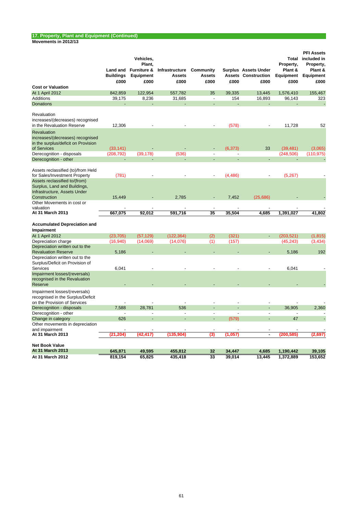and impairment

#### **Land and Furniture & Buildings Vehicles, Plant, Equipment Infrastructure Assets Community Assets Surplus Assets Under Assets Construction Total Property, Plant & Equipment PFI Assets included in Property, Plant & Equipment £000 £000 £000 £000 £000 £000 £000 £000 Cost or Valuation** At 1 April 2012 842,859 122,954 557,782 35 39,335 13,445 1,576,410 155,467 Additions 39,175 8,236 31,685 - 154 16,893 96,143 323 Donations - - - - - - - - Revaluation increases/(decreases) recognised in the Revaluation Reserve **12,306** - - - - - - - - - - - - - - 11,728 52 Revaluation increases/(decreases) recognised in the surplus/deficit on Provision<br>of Services of Services (33,141) - - - (6,373) 33 (39,481) (3,065) Derecognition - disposals (208,792) (39,178) (536) (536) - (248,506) (110,975) Derecognition - other Assets reclassified (to)/from Held for Sales/Investment Property (781) - (5,267) Assets reclassified to/(from) Surplus, Land and Buildings, Infrastructure, Assets Under<br>Construction - Construction 15,449 - 2,785 - 7,452 (25,686) - - - - - - - - - - - - - - - - -Other Movements in cost or valuation  $\qquad \qquad \qquad \qquad$ **At 31 March 2013 667,075 92,012 591,716 35 35,504 4,685 1,391,027 41,802 Accumulated Depreciation and Impairment**<br>At 1 April 2012 At 1 April 2012 (23,705) (57,129) (122,364) (2) (321) - (203,521) (1,815) Depreciation charge (16,940) (14,069) (14,076) (1) (157) (45,243) (3,434) Depreciation written out to the Revaluation Reserve 5.186 5.186 - - - - - - - - - - - - - - - - - - 5.186 192 Depreciation written out to the Surplus/Deficit on Provision of Services 6,041 - - - - - 6,041 - Impairment losses/(reversals) recognised in the Revaluation Reserve - - - - - - - - Impairment losses/(reversals) recognised in the Surplus/Deficit on the Provision of Services<br>
Derecognition - disposals<br>
Derecognition - disposals<br>
2,360 Derecognition - disposals 7,588 28,781 536 -Derecognition - other - - - - - - - - Change in category 626 - - - (579) - 47 - Other movements in depreciation

| At 31 March 2013 | (21.204) | (42.417) | (135.904) |    | (0.057) |        | (200.585) | (2,697) |
|------------------|----------|----------|-----------|----|---------|--------|-----------|---------|
| Net Book Value   |          |          |           |    |         |        |           |         |
|                  |          |          |           |    |         |        |           |         |
| At 31 March 2013 | 645.871  | 49.595   | 455.812   | 32 | 34.447  | 4.685  | 1.190.442 | 39.105  |
| At 31 March 2012 | 819.154  | 65.825   | 435.418   | 33 | 39.014  | 13.445 | 1.372.889 | 153.652 |
|                  |          |          |           |    |         |        |           |         |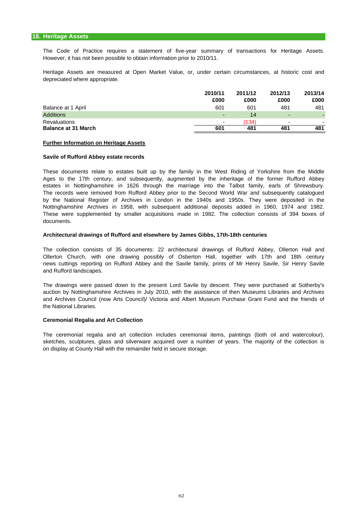#### **18. Heritage Assets**

The Code of Practice requires a statement of five-year summary of transactions for Heritage Assets. However, it has not been possible to obtain information prior to 2010/11.

Heritage Assets are measured at Open Market Value, or, under certain circumstances, at historic cost and depreciated where appropriate.

|                            | 2010/11                  | 2011/12 | 2012/13 | 2013/14 |
|----------------------------|--------------------------|---------|---------|---------|
|                            | £000                     | £000    | £000    | £000    |
| Balance at 1 April         | 601                      | 601     | 481     | 481     |
| <b>Additions</b>           | $\overline{\phantom{0}}$ | 14      | -       |         |
| Revaluations               | $\overline{\phantom{0}}$ | (134)   | -       |         |
| <b>Balance at 31 March</b> | 601                      | 481     | 481     | 481     |

#### **Further Information on Heritage Assets**

#### **Savile of Rufford Abbey estate records**

These documents relate to estates built up by the family in the West Riding of Yorkshire from the Middle Nottinghamshire Archives in 1958, with subsequent additional deposits added in 1960, 1974 and 1982. These were supplemented by smaller acquisitions made in 1982. The collection consists of 394 boxes of documents. Ages to the 17th century, and subsequently, augmented by the inheritage of the former Rufford Abbey estates in Nottinghamshire in 1626 through the marriage into the Talbot family, earls of Shrewsbury. The records were removed from Rufford Abbey prior to the Second World War and subsequently catalogued by the National Register of Archives in London in the 1940s and 1950s. They were deposited in the

#### **Architectural drawings of Rufford and elsewhere by James Gibbs, 17th-18th centuries**

The collection consists of 35 documents: 22 architectural drawings of Rufford Abbey, Ollerton Hall and Ollerton Church, with one drawing possibly of Osberton Hall, together with 17th and 18th century news cuttings reporting on Rufford Abbey and the Savile family, prints of Mr Henry Savile, Sir Henry Savile and Rufford landscapes.

and Archives Council (now Arts Council)/ Victoria and Albert Museum Purchase Grant Fund and the friends of The drawings were passed down to the present Lord Savile by descent. They were purchased at Sotherby's auction by Nottinghamshire Archives in July 2010, with the assistance of then Museums Libraries and Archives the National Libraries.

#### **Ceremonial Regalia and Art Collection**

The ceremonial regalia and art collection includes ceremonial items, paintings (both oil and watercolour), sketches, sculptures, glass and silverware acquired over a number of years. The majority of the collection is on display at County Hall with the remainder held in secure storage.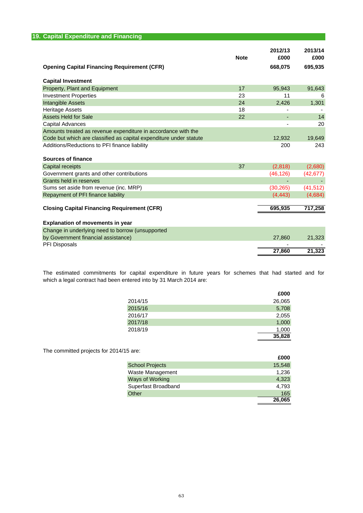| 19. Capital Expenditure and Financing                              |             |                            |                            |
|--------------------------------------------------------------------|-------------|----------------------------|----------------------------|
| <b>Opening Capital Financing Requirement (CFR)</b>                 | <b>Note</b> | 2012/13<br>£000<br>668,075 | 2013/14<br>£000<br>695,935 |
| <b>Capital Investment</b>                                          |             |                            |                            |
| Property, Plant and Equipment                                      | 17          | 95,943                     | 91,643                     |
| <b>Investment Properties</b>                                       | 23          | 11                         | 6                          |
| <b>Intangible Assets</b>                                           | 24          | 2,426                      | 1,301                      |
| <b>Heritage Assets</b>                                             | 18          |                            |                            |
| <b>Assets Held for Sale</b>                                        | 22          |                            | 14                         |
| Capital Advances                                                   |             |                            | 20                         |
| Amounts treated as revenue expenditure in accordance with the      |             |                            |                            |
| Code but which are classified as capital expenditure under statute |             | 12,932                     | 19,649                     |
| Additions/Reductions to PFI finance liability                      |             | 200                        | 243                        |
| Sources of finance                                                 |             |                            |                            |
| Capital receipts                                                   | 37          | (2,818)                    | (2,680)                    |
| Government grants and other contributions                          |             | (46, 126)                  | (42, 677)                  |
| Grants held in reserves                                            |             |                            |                            |
| Sums set aside from revenue (inc. MRP)                             |             | (30, 265)                  | (41, 512)                  |
| Repayment of PFI finance liability                                 |             | (4, 443)                   | (4,684)                    |
| <b>Closing Capital Financing Requirement (CFR)</b>                 |             | 695,935                    | 717,258                    |
| <b>Explanation of movements in year</b>                            |             |                            |                            |
| Change in underlying need to borrow (unsupported                   |             |                            |                            |
| by Government financial assistance)                                |             | 27,860                     | 21,323                     |
| PFI Disposals                                                      |             |                            |                            |
|                                                                    |             | 27,860                     | 21,323                     |

which a legal contract had been entered into by 31 March 2014 are: The estimated commitments for capital expenditure in future years for schemes that had started and for

|         | £000   |
|---------|--------|
| 2014/15 | 26,065 |
| 2015/16 | 5,708  |
| 2016/17 | 2,055  |
| 2017/18 | 1,000  |
| 2018/19 | 1,000  |
|         | 35,828 |

The committed projects for 2014/15 are:

|                        | £000   |
|------------------------|--------|
| <b>School Projects</b> | 15,548 |
| Waste Management       | 1,236  |
| <b>Ways of Working</b> | 4,323  |
| Superfast Broadband    | 4,793  |
| Other                  | 165    |
|                        | 26.065 |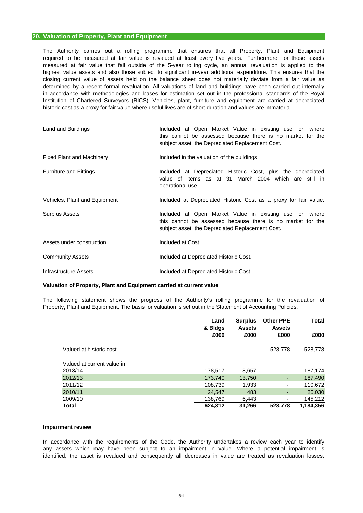#### **20. Valuation of Property, Plant and Equipment**

historic cost as a proxy for fair value where useful lives are of short duration and values are immaterial. The Authority carries out a rolling programme that ensures that all Property, Plant and Equipment measured at fair value that fall outside of the 5-year rolling cycle, an annual revaluation is applied to the highest value assets and also those subject to significant in-year additional expenditure. This ensures that the closing current value of assets held on the balance sheet does not materially deviate from a fair value as determined by a recent formal revaluation. All valuations of land and buildings have been carried out internally Institution of Chartered Surveyors (RICS). Vehicles, plant, furniture and equipment are carried at depreciated required to be measured at fair value is revalued at least every five years. Furthermore, for those assets in accordance with methodologies and bases for estimation set out in the professional standards of the Royal

| Land and Buildings               | Included at Open Market Value in existing use, or, where<br>this cannot be assessed because there is no market for the<br>subject asset, the Depreciated Replacement Cost. |
|----------------------------------|----------------------------------------------------------------------------------------------------------------------------------------------------------------------------|
| <b>Fixed Plant and Machinery</b> | Included in the valuation of the buildings.                                                                                                                                |
| <b>Furniture and Fittings</b>    | Included at Depreciated Historic Cost, plus the depreciated<br>value of items as at 31 March 2004 which are still in<br>operational use.                                   |
| Vehicles, Plant and Equipment    | Included at Depreciated Historic Cost as a proxy for fair value.                                                                                                           |
| Surplus Assets                   | Included at Open Market Value in existing use, or, where<br>this cannot be assessed because there is no market for the<br>subject asset, the Depreciated Replacement Cost. |
| Assets under construction        | Included at Cost.                                                                                                                                                          |
| <b>Community Assets</b>          | Included at Depreciated Historic Cost.                                                                                                                                     |
| Infrastructure Assets            | Included at Depreciated Historic Cost.                                                                                                                                     |

#### **Valuation of Property, Plant and Equipment carried at current value**

The following statement shows the progress of the Authority's rolling programme for the revaluation of Property, Plant and Equipment. The basis for valuation is set out in the Statement of Accounting Policies.

|                            | Land<br>& Bldgs | <b>Surplus</b><br><b>Assets</b> | <b>Other PPE</b><br><b>Assets</b> | <b>Total</b> |
|----------------------------|-----------------|---------------------------------|-----------------------------------|--------------|
|                            | £000            | £000                            | £000                              | £000         |
| Valued at historic cost    | ۰               | ٠                               | 528,778                           | 528,778      |
| Valued at current value in |                 |                                 |                                   |              |
| 2013/14                    | 178,517         | 8,657                           |                                   | 187,174      |
| 2012/13                    | 173,740         | 13,750                          | ٠                                 | 187,490      |
| 2011/12                    | 108,739         | 1,933                           |                                   | 110,672      |
| 2010/11                    | 24,547          | 483                             | ٠                                 | 25,030       |
| 2009/10                    | 138.769         | 6.443                           |                                   | 145,212      |
| <b>Total</b>               | 624.312         | 31,266                          | 528,778                           | 1.184.356    |

#### **Impairment review**

identified, the asset is revalued and consequently all decreases in value are treated as revaluation losses. In accordance with the requirements of the Code, the Authority undertakes a review each year to identify any assets which may have been subject to an impairment in value. Where a potential impairment is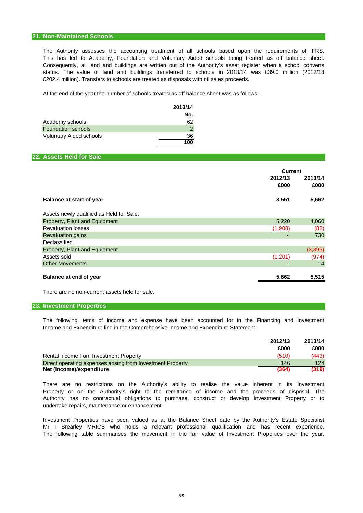#### **21. Non-Maintained Schools**

£202.4 million). Transfers to schools are treated as disposals with nil sales proceeds. Consequently, all land and buildings are written out of the Authority's asset register when a school converts status. The value of land and buildings transferred to schools in 2013/14 was £39.0 million (2012/13 The Authority assesses the accounting treatment of all schools based upon the requirements of IFRS. This has led to Academy, Foundation and Voluntary Aided schools being treated as off balance sheet.

At the end of the year the number of schools treated as off balance sheet was as follows:

|                                | 2013/14 |
|--------------------------------|---------|
|                                | No.     |
| Academy schools                | 62      |
| <b>Foundation schools</b>      | 2       |
| <b>Voluntary Aided schools</b> | 36      |
|                                | 100     |

### **22. Assets Held for Sale**

|                                          | Current         |         |
|------------------------------------------|-----------------|---------|
|                                          | 2012/13<br>£000 |         |
| <b>Balance at start of year</b>          | 3,551           | 5,662   |
| Assets newly qualified as Held for Sale: |                 |         |
| Property, Plant and Equipment            | 5,220           | 4,060   |
| <b>Revaluation losses</b>                | (1,908)         | (82)    |
| <b>Revaluation gains</b>                 |                 | 730     |
| Declassified                             |                 |         |
| Property, Plant and Equipment            |                 | (3,895) |
| Assets sold                              | (1,201)         | (974)   |
| <b>Other Movements</b>                   |                 | 14      |
| Balance at end of year                   | 5,662           | 5,515   |

There are no non-current assets held for sale.

#### **23. Investment Properties**

Income and Expenditure line in the Comprehensive Income and Expenditure Statement. The following items of income and expense have been accounted for in the Financing and Investment

|                                                            | 2012/13 | 2013/14 |
|------------------------------------------------------------|---------|---------|
|                                                            | £000    | £000    |
| Rental income from Investment Property                     | (510)   | (443)   |
| Direct operating expenses arising from Investment Property | 146     | 124     |
| Net (income)/expenditure                                   | (364)   | (319)   |

undertake repairs, maintenance or enhancement. Property or on the Authority's right to the remittance of income and the proceeds of disposal. The Authority has no contractual obligations to purchase, construct or develop Investment Property or to There are no restrictions on the Authority's ability to realise the value inherent in its Investment

Investment Properties have been valued as at the Balance Sheet date by the Authority's Estate Specialist Mr I Brearley MRICS who holds a relevant professional qualification and has recent experience. The following table summarises the movement in the fair value of Investment Properties over the year.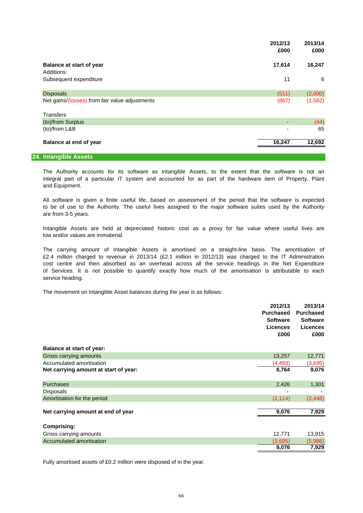|                                                | 2012/13<br>£000 | 2013/14<br>£000 |
|------------------------------------------------|-----------------|-----------------|
| <b>Balance at start of year</b>                | 17,614          | 16,247          |
| Additions:                                     |                 |                 |
| Subsequent expenditure                         | 11              | 6               |
| <b>Disposals</b>                               | (511)           | (2,000)         |
| Net gains/(losses) from fair value adjustments | (867)           | (1,582)         |
| <b>Transfers</b>                               |                 |                 |
| (to)/from Surplus                              |                 | (44)            |
| (to)/from L&B                                  |                 | 65              |
| Balance at end of year                         | 16,247          | 12,692          |

#### **24. Intangible Assets**

and Equipment. The Authority accounts for its software as Intangible Assets, to the extent that the software is not an integral part of a particular IT system and accounted for as part of the hardware item of Property, Plant

are from 3-5 years. All software is given a finite useful life, based on assessment of the period that the software is expected to be of use to the Authority. The useful lives assigned to the major software suites used by the Authority

low and/or values are immaterial. Intangible Assets are held at depreciated historic cost as a proxy for fair value where useful lives are

service heading. cost centre and then absorbed as an overhead across all the service headings in the Net Expenditure £2.4 million charged to revenue in 2013/14 (£2.1 million in 2012/13) was charged to the IT Administration of Services. It is not possible to quantify exactly how much of the amortisation is attributable to each The carrying amount of Intangible Assets is amortised on a straight-line basis. The amortisation of

The movement on Intangible Asset balances during the year is as follows:

|                                       | 2012/13          | 2013/14          |
|---------------------------------------|------------------|------------------|
|                                       | <b>Purchased</b> | <b>Purchased</b> |
|                                       | <b>Software</b>  | <b>Software</b>  |
|                                       | <b>Licences</b>  | <b>Licences</b>  |
|                                       | £000             | £000             |
| <b>Balance at start of year:</b>      |                  |                  |
| Gross carrying amounts                | 13,257           | 12,771           |
| Accumulated amortisation              | (4, 493)         | (3,695)          |
| Net carrying amount at start of year: | 8,764            | 9,076            |
|                                       |                  |                  |
| <b>Purchases</b>                      | 2,426            | 1,301            |
| <b>Disposals</b>                      |                  |                  |
| Amortisation for the period           | (2, 114)         | (2, 448)         |
|                                       |                  |                  |
| Net carrying amount at end of year    | 9,076            | 7,929            |
| <b>Comprising:</b>                    |                  |                  |
| Gross carrying amounts                | 12,771           | 13,915           |
| Accumulated amortisation              | (3,695)          | (5,986)          |
|                                       | 9,076            | 7,929            |

Fully amortised assets of £0.2 million were disposed of in the year.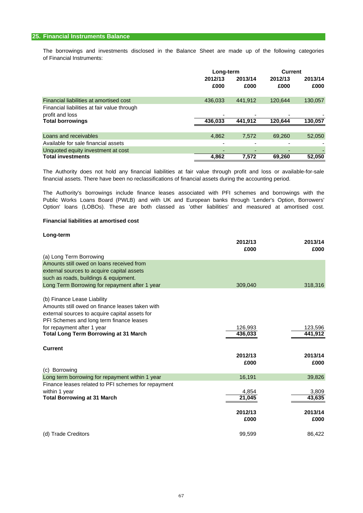of Financial Instruments: The borrowings and investments disclosed in the Balance Sheet are made up of the following categories

|                                             | Long-term       |                 | <b>Current</b>  |                 |
|---------------------------------------------|-----------------|-----------------|-----------------|-----------------|
|                                             | 2012/13<br>£000 | 2013/14<br>£000 | 2012/13<br>£000 | 2013/14<br>£000 |
| Financial liabilities at amortised cost     | 436.033         | 441.912         | 120.644         | 130,057         |
| Financial liabilities at fair value through |                 |                 |                 |                 |
| profit and loss                             |                 |                 |                 |                 |
| <b>Total borrowings</b>                     | 436.033         | 441.912         | 120.644         | 130,057         |
|                                             |                 |                 |                 |                 |
| Loans and receivables                       | 4,862           | 7,572           | 69.260          | 52,050          |
| Available for sale financial assets         |                 |                 |                 |                 |
| Unquoted equity investment at cost          |                 |                 | -               |                 |
| <b>Total investments</b>                    | 4.862           | 7.572           | 69.260          | 52,050          |

financial assets. There have been no reclassifications of financial assets during the accounting period. The Authority does not hold any financial liabilities at fair value through profit and loss or available-for-sale

Public Works Loans Board (PWLB) and with UK and European banks through 'Lender's Option, Borrowers' Option' loans (LOBOs). These are both classed as 'other liabilities' and measured at amortised cost. The Authority's borrowings include finance leases associated with PFI schemes and borrowings with the

#### **Financial liabilities at amortised cost**

| Long-term                                           | 2012/13<br>£000 | 2013/14<br>£000 |
|-----------------------------------------------------|-----------------|-----------------|
| (a) Long Term Borrowing                             |                 |                 |
| Amounts still owed on loans received from           |                 |                 |
| external sources to acquire capital assets          |                 |                 |
| such as roads, buildings & equipment.               |                 |                 |
| Long Term Borrowing for repayment after 1 year      | 309,040         | 318,316         |
| (b) Finance Lease Liability                         |                 |                 |
| Amounts still owed on finance leases taken with     |                 |                 |
| external sources to acquire capital assets for      |                 |                 |
| PFI Schemes and long term finance leases            |                 |                 |
| for repayment after 1 year                          | 126,993         | 123,596         |
| <b>Total Long Term Borrowing at 31 March</b>        | 436,033         | 441,912         |
| <b>Current</b>                                      |                 |                 |
|                                                     | 2012/13         | 2013/14         |
|                                                     | £000            | £000            |
| (c) Borrowing                                       |                 |                 |
| Long term borrowing for repayment within 1 year     | 16,191          | 39,826          |
| Finance leases related to PFI schemes for repayment |                 |                 |
| within 1 year                                       | 4,854           | 3,809           |
| <b>Total Borrowing at 31 March</b>                  | 21,045          | 43,635          |
|                                                     | 2012/13         | 2013/14         |
|                                                     | £000            | £000            |
| (d) Trade Creditors                                 | 99,599          | 86,422          |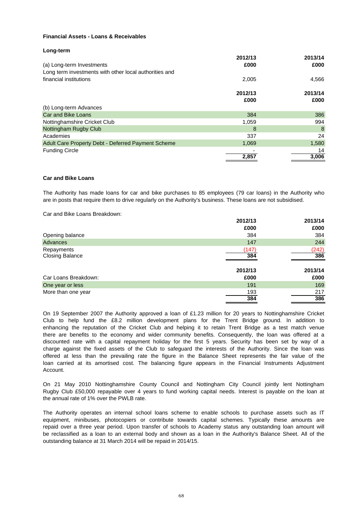### **Financial Assets - Loans & Receivables**

#### **Long-term**

|                                                        | 2012/13 | 2013/14 |
|--------------------------------------------------------|---------|---------|
| (a) Long-term Investments                              | £000    | £000    |
| Long term investments with other local authorities and |         |         |
| financial institutions                                 | 2,005   | 4,566   |
|                                                        | 2012/13 | 2013/14 |
|                                                        | £000    | £000    |
| (b) Long-term Advances                                 |         |         |
| <b>Car and Bike Loans</b>                              | 384     | 386     |
| Nottinghamshire Cricket Club                           | 1,059   | 994     |
| Nottingham Rugby Club                                  | 8       | 8       |
| Academies                                              | 337     | 24      |
| Adult Care Property Debt - Deferred Payment Scheme     | 1,069   | 1,580   |
| <b>Funding Circle</b>                                  |         | 14      |
|                                                        | 2,857   | 3,006   |

#### **Car and Bike Loans**

The Authority has made loans for car and bike purchases to 85 employees (79 car loans) in the Authority who are in posts that require them to drive regularly on the Authority's business. These loans are not subsidised.

Car and Bike Loans Breakdown:

|                        | 2012/13 | 2013/14 |
|------------------------|---------|---------|
|                        | £000    | £000    |
| Opening balance        | 384     | 384     |
| Advances               | 147     | 244     |
| Repayments             | (147)   | (242)   |
| <b>Closing Balance</b> | 384     | 386     |
|                        | 2012/13 | 2013/14 |
| Car Loans Breakdown:   | £000    | £000    |
| One year or less       | 191     | 169     |
| More than one year     | 193     | 217     |
|                        | 384     | 386     |

Account. loan carried at its amortised cost. The balancing figure appears in the Financial Instruments Adjustment charge against the fixed assets of the Club to safeguard the interests of the Authority. Since the loan was enhancing the reputation of the Cricket Club and helping it to retain Trent Bridge as a test match venue On 19 September 2007 the Authority approved a loan of £1.23 million for 20 years to Nottinghamshire Cricket Club to help fund the £8.2 million development plans for the Trent Bridge ground. In addition to there are benefits to the economy and wider community benefits. Consequently, the loan was offered at a discounted rate with a capital repayment holiday for the first 5 years. Security has been set by way of a offered at less than the prevailing rate the figure in the Balance Sheet represents the fair value of the

the annual rate of 1% over the PWLB rate. On 21 May 2010 Nottinghamshire County Council and Nottingham City Council jointly lent Nottingham Rugby Club £50,000 repayable over 4 years to fund working capital needs. Interest is payable on the loan at

repaid over a three year period. Upon transfer of schools to Academy status any outstanding loan amount will be reclassified as a loan to an external body and shown as a loan in the Authority's Balance Sheet. All of the outstanding balance at 31 March 2014 will be repaid in 2014/15. The Authority operates an internal school loans scheme to enable schools to purchase assets such as IT equipment, minibuses, photocopiers or contribute towards capital schemes. Typically these amounts are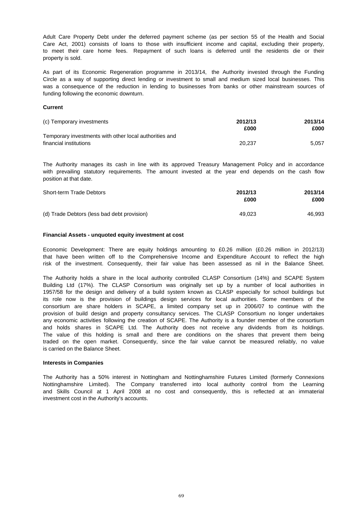property is sold. to meet their care home fees. Repayment of such loans is deferred until the residents die or their Adult Care Property Debt under the deferred payment scheme (as per section 55 of the Health and Social Care Act, 2001) consists of loans to those with insufficient income and capital, excluding their property,

funding following the economic downturn. As part of its Economic Regeneration programme in 2013/14, the Authority invested through the Funding Circle as a way of supporting direct lending or investment to small and medium sized local businesses. This was a consequence of the reduction in lending to businesses from banks or other mainstream sources of

#### **Current**

| (c) Temporary investments                              | 2012/13<br>£000 | 2013/14<br>£000 |
|--------------------------------------------------------|-----------------|-----------------|
| Temporary investments with other local authorities and |                 |                 |
| financial institutions                                 | 20.237          | 5.057           |

position at that date. The Authority manages its cash in line with its approved Treasury Management Policy and in accordance with prevailing statutory requirements. The amount invested at the year end depends on the cash flow

| Short-term Trade Debtors                    | 2012/13<br>£000 | 2013/14<br>£000 |
|---------------------------------------------|-----------------|-----------------|
| (d) Trade Debtors (less bad debt provision) | 49.023          | 46.993          |

#### **Financial Assets - unquoted equity investment at cost**

Economic Development: There are equity holdings amounting to £0.26 million (£0.26 million in 2012/13) that have been written off to the Comprehensive Income and Expenditure Account to reflect the high risk of the investment. Consequently, their fair value has been assessed as nil in the Balance Sheet.

is carried on the Balance Sheet. traded on the open market. Consequently, since the fair value cannot be measured reliably, no value consortium are share holders in SCAPE, a limited company set up in 2006/07 to continue with the its role now is the provision of buildings design services for local authorities. Some members of the and holds shares in SCAPE Ltd. The Authority does not receive any dividends from its holdings. The value of this holding is small and there are conditions on the shares that prevent them being The Authority holds a share in the local authority controlled CLASP Consortium (14%) and SCAPE System Building Ltd (17%). The CLASP Consortium was originally set up by a number of local authorities in 1957/58 for the design and delivery of a build system known as CLASP especially for school buildings but provision of build design and property consultancy services. The CLASP Consortium no longer undertakes any economic activities following the creation of SCAPE. The Authority is a founder member of the consortium

#### **Interests in Companies**

investment cost in the Authority's accounts. The Authority has a 50% interest in Nottingham and Nottinghamshire Futures Limited (formerly Connexions Nottinghamshire Limited). The Company transferred into local authority control from the Learning and Skills Council at 1 April 2008 at no cost and consequently, this is reflected at an immaterial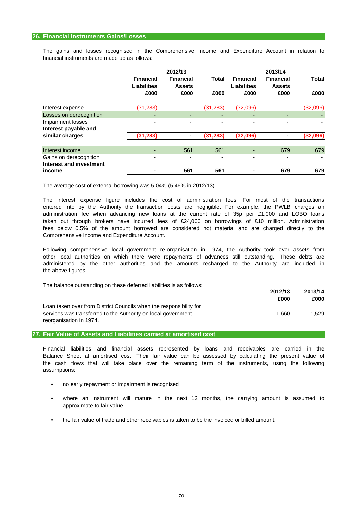financial instruments are made up as follows: The gains and losses recognised in the Comprehensive Income and Expenditure Account in relation to

|                                                   | <b>Financial</b>           | 2012/13<br><b>Financial</b> | Total     | <b>Financial</b>    | 2013/14<br><b>Financial</b> | <b>Total</b> |
|---------------------------------------------------|----------------------------|-----------------------------|-----------|---------------------|-----------------------------|--------------|
|                                                   | <b>Liabilities</b><br>£000 | <b>Assets</b><br>£000       | £000      | Liabilities<br>£000 | <b>Assets</b><br>£000       | £000         |
| Interest expense                                  | (31, 283)                  |                             | (31, 283) | (32,096)            | ٠                           | (32,096)     |
| Losses on derecognition                           |                            | ٠                           | ٠         | ٠                   | ٠                           |              |
| Impairment losses<br>Interest payable and         |                            |                             |           |                     |                             |              |
| similar charges                                   | (31,283)                   | ۰                           | (31, 283) | (32,096)            | $\blacksquare$              | (32,096)     |
| Interest income                                   |                            | 561                         | 561       |                     | 679                         | 679          |
| Gains on derecognition<br>Interest and investment | -                          | $\overline{\phantom{0}}$    |           | -                   | ٠                           |              |
| income                                            |                            | 561                         | 561       |                     | 679                         | 679          |

The average cost of external borrowing was 5.04% (5.46% in 2012/13).

Comprehensive Income and Expenditure Account. entered into by the Authority the transaction costs are negligible. For example, the PWLB charges an fees below 0.5% of the amount borrowed are considered not material and are charged directly to the The interest expense figure includes the cost of administration fees. For most of the transactions taken out through brokers have incurred fees of £24,000 on borrowings of £10 million. Administration administration fee when advancing new loans at the current rate of 35p per £1,000 and LOBO loans

the above figures. Following comprehensive local government re-organisation in 1974, the Authority took over assets from other local authorities on which there were repayments of advances still outstanding. These debts are administered by the other authorities and the amounts recharged to the Authority are included in

The balance outstanding on these deferred liabilities is as follows:

|                                                                    | 2012/13 | 2013/14 |
|--------------------------------------------------------------------|---------|---------|
|                                                                    | £000    | £000    |
| Loan taken over from District Councils when the responsibility for |         |         |
| services was transferred to the Authority on local government      | 1.660   | 1.529   |
| reorganisation in 1974.                                            |         |         |

**27. Fair Value of Assets and Liabilities carried at amortised cost**

assumptions: Balance Sheet at amortised cost. Their fair value can be assessed by calculating the present value of the cash flows that will take place over the remaining term of the instruments, using the following Financial liabilities and financial assets represented by loans and receivables are carried in the

- no early repayment or impairment is recognised
- approximate to fair value where an instrument will mature in the next 12 months, the carrying amount is assumed to
- the fair value of trade and other receivables is taken to be the invoiced or billed amount.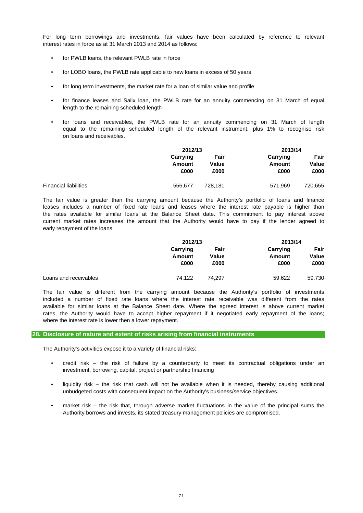interest rates in force as at 31 March 2013 and 2014 as follows: For long term borrowings and investments, fair values have been calculated by reference to relevant

- for PWLB loans, the relevant PWLB rate in force
- for LOBO loans, the PWLB rate applicable to new loans in excess of 50 years
- for long term investments, the market rate for a loan of similar value and profile
- length to the remaining scheduled length for finance leases and Salix loan, the PWLB rate for an annuity commencing on 31 March of equal
- on loans and receivables. for loans and receivables, the PWLB rate for an annuity commencing on 31 March of length equal to the remaining scheduled length of the relevant instrument, plus 1% to recognise risk

|                              | 2012/13            |                       |                    | 2013/14       |  |
|------------------------------|--------------------|-----------------------|--------------------|---------------|--|
|                              | Carrying<br>Amount | Fair<br>Value<br>£000 | Carrying<br>Amount | Fair<br>Value |  |
|                              | £000               |                       | £000               | £000          |  |
| <b>Financial liabilities</b> | 556,677            | 728.181               | 571,969            | 720,655       |  |

early repayment of the loans. leases includes a number of fixed rate loans and leases where the interest rate payable is higher than The fair value is greater than the carrying amount because the Authority's portfolio of loans and finance the rates available for similar loans at the Balance Sheet date. This commitment to pay interest above current market rates increases the amount that the Authority would have to pay if the lender agreed to

|                       | 2012/13  |        | 2013/14  |        |
|-----------------------|----------|--------|----------|--------|
|                       | Carrying | Fair   | Carrying | Fair   |
|                       | Amount   | Value  | Amount   | Value  |
|                       | £000     | £000   | £000     | £000   |
| Loans and receivables | 74.122   | 74.297 | 59.622   | 59.730 |
|                       |          |        |          |        |

where the interest rate is lower then a lower repayment. The fair value is different from the carrying amount because the Authority's portfolio of investments included a number of fixed rate loans where the interest rate receivable was different from the rates available for similar loans at the Balance Sheet date. Where the agreed interest is above current market rates, the Authority would have to accept higher repayment if it negotiated early repayment of the loans;

#### **28. Disclosure of nature and extent of risks arising from financial instruments**

The Authority's activities expose it to a variety of financial risks:

- investment, borrowing, capital, project or partnership financing credit risk – the risk of failure by a counterparty to meet its contractual obligations under an
- liquidity risk – the risk that cash will not be available when it is needed, thereby causing additional unbudgeted costs with consequent impact on the Authority's business/service objectives.
- market risk – the risk that, through adverse market fluctuations in the value of the principal sums the Authority borrows and invests, its stated treasury management policies are compromised.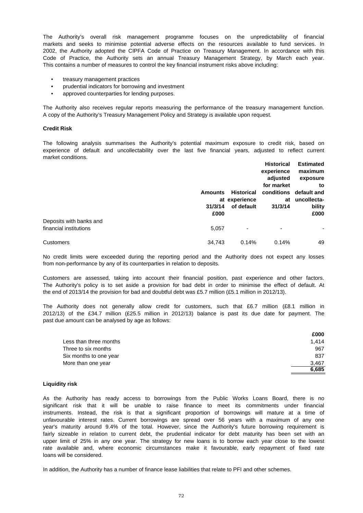Code of Practice, the Authority sets an annual Treasury Management Strategy, by March each year. This contains a number of measures to control the key financial instrument risks above including: 2002, the Authority adopted the CIPFA Code of Practice on Treasury Management. In accordance with this The Authority's overall risk management programme focuses on the unpredictability of financial markets and seeks to minimise potential adverse effects on the resources available to fund services. In

- treasury management practices
- prudential indicators for borrowing and investment
- approved counterparties for lending purposes.

The Authority also receives regular reports measuring the performance of the treasury management function. A copy of the Authority's Treasury Management Policy and Strategy is available upon request.

#### **Credit Risk**

market conditions. experience of default and uncollectability over the last five financial years, adjusted to reflect current The following analysis summarises the Authority's potential maximum exposure to credit risk, based on

|                         |                           |                                                  | <b>Historical</b><br>experience<br>adjusted<br>for market<br>at<br>31/3/14 | <b>Estimated</b><br>maximum<br>exposure<br>to<br>conditions default and<br>uncollecta-<br>bility |
|-------------------------|---------------------------|--------------------------------------------------|----------------------------------------------------------------------------|--------------------------------------------------------------------------------------------------|
|                         |                           | <b>Historical</b><br>at experience<br>of default |                                                                            |                                                                                                  |
|                         | <b>Amounts</b><br>31/3/14 |                                                  |                                                                            |                                                                                                  |
|                         |                           |                                                  |                                                                            |                                                                                                  |
|                         |                           |                                                  |                                                                            |                                                                                                  |
|                         |                           |                                                  |                                                                            |                                                                                                  |
|                         |                           |                                                  |                                                                            |                                                                                                  |
|                         | £000                      |                                                  |                                                                            | £000                                                                                             |
| Deposits with banks and |                           |                                                  |                                                                            |                                                                                                  |
| financial institutions  | 5,057                     | $\overline{\phantom{a}}$                         | ٠                                                                          | ۰                                                                                                |
| Customers               | 34,743                    | 0.14%                                            | 0.14%                                                                      | 49                                                                                               |

from non-performance by any of its counterparties in relation to deposits. No credit limits were exceeded during the reporting period and the Authority does not expect any losses

the end of 2013/14 the provision for bad and doubtful debt was £5.7 million (£5.1 million in 2012/13). Customers are assessed, taking into account their financial position, past experience and other factors. The Authority's policy is to set aside a provision for bad debt in order to minimise the effect of default. At

past due amount can be analysed by age as follows: 2012/13) of the £34.7 million (£25.5 million in 2012/13) balance is past its due date for payment. The The Authority does not generally allow credit for customers, such that £6.7 million (£8.1 million in

|                        | £000  |
|------------------------|-------|
| Less than three months | 1.414 |
| Three to six months    | 967   |
| Six months to one year | 837   |
| More than one year     | 3.467 |
|                        | 6.685 |

#### **Liquidity risk**

loans will be considered. instruments. Instead, the risk is that a significant proportion of borrowings will mature at a time of As the Authority has ready access to borrowings from the Public Works Loans Board, there is no significant risk that it will be unable to raise finance to meet its commitments under financial upper limit of 25% in any one year. The strategy for new loans is to borrow each year close to the lowest rate available and, where economic circumstances make it favourable, early repayment of fixed rate unfavourable interest rates. Current borrowings are spread over 56 years with a maximum of any one year's maturity around 9.4% of the total. However, since the Authority's future borrowing requirement is fairly sizeable in relation to current debt, the prudential indicator for debt maturity has been set with an

In addition, the Authority has a number of finance lease liabilities that relate to PFI and other schemes.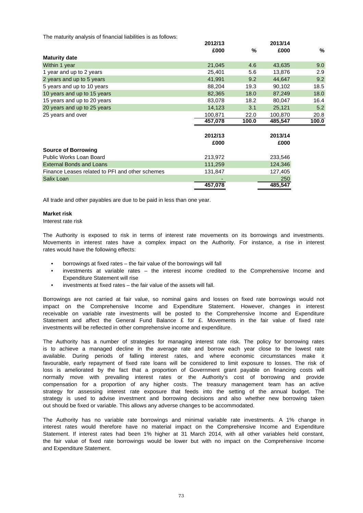The maturity analysis of financial liabilities is as follows:

|                                                 | 2012/13 |       | 2013/14 |       |
|-------------------------------------------------|---------|-------|---------|-------|
|                                                 | £000    | %     | £000    | %     |
| <b>Maturity date</b>                            |         |       |         |       |
| Within 1 year                                   | 21,045  | 4.6   | 43,635  | 9.0   |
| 1 year and up to 2 years                        | 25,401  | 5.6   | 13,876  | 2.9   |
| 2 years and up to 5 years                       | 41,991  | 9.2   | 44,647  | 9.2   |
| 5 years and up to 10 years                      | 88,204  | 19.3  | 90,102  | 18.5  |
| 10 years and up to 15 years                     | 82,365  | 18.0  | 87,249  | 18.0  |
| 15 years and up to 20 years                     | 83,078  | 18.2  | 80,047  | 16.4  |
| 20 years and up to 25 years                     | 14,123  | 3.1   | 25,121  | 5.2   |
| 25 years and over                               | 100,871 | 22.0  | 100,870 | 20.8  |
|                                                 | 457,078 | 100.0 | 485,547 | 100.0 |
|                                                 |         |       |         |       |
|                                                 | 2012/13 |       | 2013/14 |       |
|                                                 | £000    |       | £000    |       |
| <b>Source of Borrowing</b>                      |         |       |         |       |
| Public Works Loan Board                         | 213,972 |       | 233,546 |       |
| <b>External Bonds and Loans</b>                 | 111,259 |       | 124,346 |       |
| Finance Leases related to PFI and other schemes | 131,847 |       | 127,405 |       |
| Salix Loan                                      |         |       | 250     |       |
|                                                 | 457,078 |       | 485,547 |       |

All trade and other payables are due to be paid in less than one year.

### **Market risk**

Interest rate risk

rates would have the following effects: The Authority is exposed to risk in terms of interest rate movements on its borrowings and investments. Movements in interest rates have a complex impact on the Authority. For instance, a rise in interest

- borrowings at fixed rates the fair value of the borrowings will fall
- Expenditure Statement will rise investments at variable rates – the interest income credited to the Comprehensive Income and
- investments at fixed rates the fair value of the assets will fall.

investments will be reflected in other comprehensive income and expenditure. Statement and affect the General Fund Balance £ for £. Movements in the fair value of fixed rate impact on the Comprehensive Income and Expenditure Statement. However, changes in interest receivable on variable rate investments will be posted to the Comprehensive Income and Expenditure Borrowings are not carried at fair value, so nominal gains and losses on fixed rate borrowings would not

out should be fixed or variable. This allows any adverse changes to be accommodated. strategy for assessing interest rate exposure that feeds into the setting of the annual budget. The The Authority has a number of strategies for managing interest rate risk. The policy for borrowing rates is to achieve a managed decline in the average rate and borrow each year close to the lowest rate loss is ameliorated by the fact that a proportion of Government grant payable on financing costs will available. During periods of falling interest rates, and where economic circumstances make it favourable, early repayment of fixed rate loans will be considered to limit exposure to losses. The risk of normally move with prevailing interest rates or the Authority's cost of borrowing and provide compensation for a proportion of any higher costs. The treasury management team has an active strategy is used to advise investment and borrowing decisions and also whether new borrowing taken

and Expenditure Statement. Statement. If interest rates had been 1% higher at 31 March 2014, with all other variables held constant, the fair value of fixed rate borrowings would be lower but with no impact on the Comprehensive Income The Authority has no variable rate borrowings and minimal variable rate investments. A 1% change in interest rates would therefore have no material impact on the Comprehensive Income and Expenditure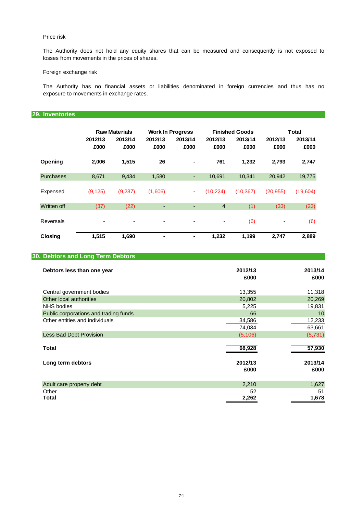## Price risk

losses from movements in the prices of shares. The Authority does not hold any equity shares that can be measured and consequently is not exposed to

## Foreign exchange risk

exposure to movements in exchange rates. The Authority has no financial assets or liabilities denominated in foreign currencies and thus has no

# **29. Inventories**

|                  |                 | <b>Raw Materials</b> |                          | <b>Work In Progress</b> |                          | <b>Finished Goods</b> |                          | <b>Total</b>    |
|------------------|-----------------|----------------------|--------------------------|-------------------------|--------------------------|-----------------------|--------------------------|-----------------|
|                  | 2012/13<br>£000 | 2013/14<br>£000      | 2012/13<br>£000          | 2013/14<br>£000         | 2012/13<br>£000          | 2013/14<br>£000       | 2012/13<br>£000          | 2013/14<br>£000 |
| Opening          | 2,006           | 1,515                | 26                       | ۰                       | 761                      | 1,232                 | 2,793                    | 2,747           |
| <b>Purchases</b> | 8,671           | 9,434                | 1,580                    | ٠                       | 10,691                   | 10,341                | 20,942                   | 19,775          |
| Expensed         | (9, 125)        | (9,237)              | (1,606)                  | ۰                       | (10, 224)                | (10, 367)             | (20, 955)                | (19,604)        |
| Written off      | (37)            | (22)                 | ٠                        | ٠                       | $\overline{4}$           | (1)                   | (33)                     | (23)            |
| Reversals        | ٠               | ٠                    | $\overline{\phantom{a}}$ | ٠                       | $\overline{\phantom{a}}$ | (6)                   | $\overline{\phantom{a}}$ | (6)             |
| <b>Closing</b>   | 1,515           | 1,690                | ۰                        | -                       | 1,232                    | 1,199                 | 2,747                    | 2,889           |

| 30. Debtors and Long Term Debtors     |                 |                 |
|---------------------------------------|-----------------|-----------------|
| Debtors less than one year            | 2012/13<br>£000 | 2013/14<br>£000 |
| Central government bodies             | 13,355          | 11,318          |
| Other local authorities               | 20,802          | 20,269          |
| <b>NHS</b> bodies                     | 5,225           | 19,831          |
| Public corporations and trading funds | 66              | 10              |
| Other entities and individuals        | 34,586          | 12,233          |
|                                       | 74,034          | 63,661          |
| <b>Less Bad Debt Provision</b>        | (5, 106)        | (5, 731)        |
| Total                                 | 68,928          | 57,930          |
| Long term debtors                     | 2012/13         | 2013/14         |
|                                       | £000            | £000            |
| Adult care property debt              | 2,210           | 1,627           |
| Other                                 | 52              | 51              |
| <b>Total</b>                          | 2,262           | 1,678           |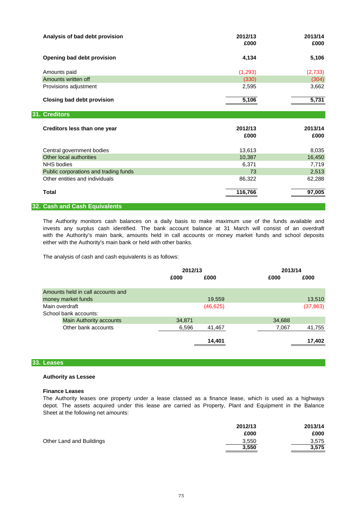| Analysis of bad debt provision                       | 2012/13<br>£000 | 2013/14<br>£000 |
|------------------------------------------------------|-----------------|-----------------|
| Opening bad debt provision                           | 4,134           | 5,106           |
| Amounts paid                                         | (1, 293)        | (2,733)         |
| Amounts written off                                  | (330)           | (304)           |
| Provisions adjustment                                | 2,595           | 3,662           |
| <b>Closing bad debt provision</b>                    | 5,106           | 5,731           |
| 31. Creditors                                        |                 |                 |
|                                                      |                 |                 |
| Creditors less than one year                         | 2012/13<br>£000 | 2013/14<br>£000 |
|                                                      | 13,613          | 8,035           |
| Central government bodies<br>Other local authorities | 10,387          | 16,450          |
| <b>NHS</b> bodies                                    | 6,371           | 7,719           |
| Public corporations and trading funds                | 73              | 2,513           |
| Other entities and individuals                       | 86,322          | 62,288          |
| <b>Total</b>                                         | 116,766         | 97,005          |

The Authority monitors cash balances on a daily basis to make maximum use of the funds available and invests any surplus cash identified. The bank account balance at 31 March will consist of an overdraft with the Authority's main bank, amounts held in call accounts or money market funds and school deposits either with the Authority's main bank or held with other banks.

The analysis of cash and cash equivalents is as follows:

|                                   | 2012/13 |           | 2013/14 |           |
|-----------------------------------|---------|-----------|---------|-----------|
|                                   | £000    | £000      | £000    | £000      |
| Amounts held in call accounts and |         |           |         |           |
| money market funds                |         | 19,559    |         | 13,510    |
| Main overdraft                    |         | (46, 625) |         | (37, 863) |
| School bank accounts:             |         |           |         |           |
| <b>Main Authority accounts</b>    | 34,871  |           | 34,688  |           |
| Other bank accounts               | 6,596   | 41,467    | 7,067   | 41,755    |
|                                   |         | 14,401    |         | 17,402    |

## **33. Leases**

## **Authority as Lessee**

### **Finance Leases**

The Authority leases one property under a lease classed as a finance lease, which is used as a highways Sheet at the following net amounts: depot. The assets acquired under this lease are carried as Property, Plant and Equipment in the Balance

|                          | 2012/13 | 2013/14 |
|--------------------------|---------|---------|
|                          | £000    | £000    |
| Other Land and Buildings | 3,550   | 3.575   |
|                          | 3,550   | 3,575   |
|                          |         |         |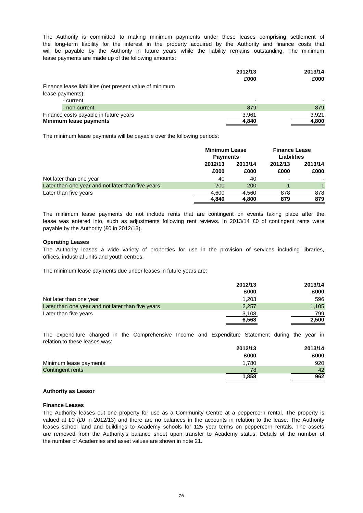lease payments are made up of the following amounts: will be payable by the Authority in future years while the liability remains outstanding. The minimum The Authority is committed to making minimum payments under these leases comprising settlement of the long-term liability for the interest in the property acquired by the Authority and finance costs that

| 2012/13                  | 2013/14 |
|--------------------------|---------|
| £000                     | £000    |
|                          |         |
|                          |         |
| $\overline{\phantom{0}}$ |         |
| 879                      | 879     |
| 3,961                    | 3,921   |
| 4,840                    | 4,800   |
|                          |         |

The minimum lease payments will be payable over the following periods:

|                                                   |         | <b>Minimum Lease</b><br><b>Payments</b> |         | <b>Finance Lease</b><br><b>Liabilities</b> |
|---------------------------------------------------|---------|-----------------------------------------|---------|--------------------------------------------|
|                                                   | 2012/13 | 2013/14                                 | 2012/13 | 2013/14                                    |
|                                                   | £000    | £000                                    | £000    | £000                                       |
| Not later than one year                           | 40      | 40                                      | -       |                                            |
| Later than one year and not later than five years | 200     | 200                                     |         |                                            |
| Later than five years                             | 4.600   | 4.560                                   | 878     | 878                                        |
|                                                   | 4.840   | 4,800                                   | 879     | 879                                        |

payable by the Authority (£0 in 2012/13). lease was entered into, such as adjustments following rent reviews. In 2013/14 £0 of contingent rents were The minimum lease payments do not include rents that are contingent on events taking place after the

### **Operating Leases**

offices, industrial units and youth centres. The Authority leases a wide variety of properties for use in the provision of services including libraries,

The minimum lease payments due under leases in future years are:

|                                                   | 2012/13 | 2013/14 |
|---------------------------------------------------|---------|---------|
|                                                   | £000    | £000    |
| Not later than one year                           | 1,203   | 596     |
| Later than one year and not later than five years | 2,257   | 1,105   |
| Later than five years                             | 3,108   | 799     |
|                                                   | 6,568   | 2.500   |

relation to these leases was: The expenditure charged in the Comprehensive Income and Expenditure Statement during the year in

|                        | 2012/13 | 2013/14 |
|------------------------|---------|---------|
|                        | £000    | £000    |
| Minimum lease payments | 1,780   | 920     |
| Contingent rents       | 78      | 42      |
|                        | 1,858   | 962     |

## **Authority as Lessor**

### **Finance Leases**

the number of Academies and asset values are shown in note 21. The Authority leases out one property for use as a Community Centre at a peppercorn rental. The property is valued at £0 (£0 in 2012/13) and there are no balances in the accounts in relation to the lease. The Authority leases school land and buildings to Academy schools for 125 year terms on peppercorn rentals. The assets are removed from the Authority's balance sheet upon transfer to Academy status. Details of the number of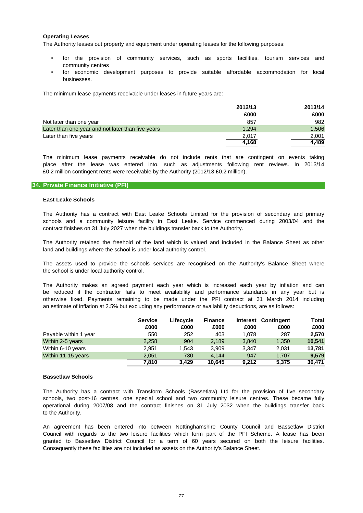## **Operating Leases**

The Authority leases out property and equipment under operating leases for the following purposes:

- community centres for the provision of community services, such as sports facilities, tourism services and
- businesses. for economic development purposes to provide suitable affordable accommodation for local

The minimum lease payments receivable under leases in future years are:

|                                                   | 2012/13 | 2013/14 |
|---------------------------------------------------|---------|---------|
|                                                   | £000    | £000    |
| Not later than one year                           | 857     | 982     |
| Later than one year and not later than five years | 1.294   | 1,506   |
| Later than five years                             | 2.017   | 2.001   |
|                                                   | 4,168   | 4.489   |

£0.2 million contingent rents were receivable by the Authority (2012/13 £0.2 million). The minimum lease payments receivable do not include rents that are contingent on events taking place after the lease was entered into, such as adjustments following rent reviews. In 2013/14

## **34. Private Finance Initiative (PFI)**

### **East Leake Schools**

contract finishes on 31 July 2027 when the buildings transfer back to the Authority. schools and a community leisure facility in East Leake. Service commenced during 2003/04 and the The Authority has a contract with East Leake Schools Limited for the provision of secondary and primary

land and buildings where the school is under local authority control. The Authority retained the freehold of the land which is valued and included in the Balance Sheet as other

The assets used to provide the schools services are recognised on the Authority's Balance Sheet where the school is under local authority control.

The Authority makes an agreed payment each year which is increased each year by inflation and can be reduced if the contractor fails to meet availability and performance standards in any year but is otherwise fixed. Payments remaining to be made under the PFI contract at 31 March 2014 including an estimate of inflation at 2.5% but excluding any performance or availability deductions, are as follows:

|                       | <b>Service</b> | Lifecycle | <b>Finance</b> |       | Interest Contingent | Total  |
|-----------------------|----------------|-----------|----------------|-------|---------------------|--------|
|                       | £000           | £000      | £000           | £000  | £000                | £000   |
| Payable within 1 year | 550            | 252       | 403            | 1.078 | 287                 | 2,570  |
| Within 2-5 years      | 2,258          | 904       | 2,189          | 3,840 | 1,350               | 10,541 |
| Within 6-10 years     | 2.951          | 1.543     | 3.909          | 3.347 | 2.031               | 13.781 |
| Within 11-15 years    | 2.051          | 730       | 4.144          | 947   | 1.707               | 9,579  |
|                       | 7,810          | 3.429     | 10.645         | 9.212 | 5.375               | 36,471 |

### **Bassetlaw Schools**

to the Authority. The Authority has a contract with Transform Schools (Bassetlaw) Ltd for the provision of five secondary schools, two post-16 centres, one special school and two community leisure centres. These became fully operational during 2007/08 and the contract finishes on 31 July 2032 when the buildings transfer back

Council with regards to the two leisure facilities which form part of the PFI Scheme. A lease has been granted to Bassetlaw District Council for a term of 60 years secured on both the leisure facilities. Consequently these facilities are not included as assets on the Authority's Balance Sheet. An agreement has been entered into between Nottinghamshire County Council and Bassetlaw District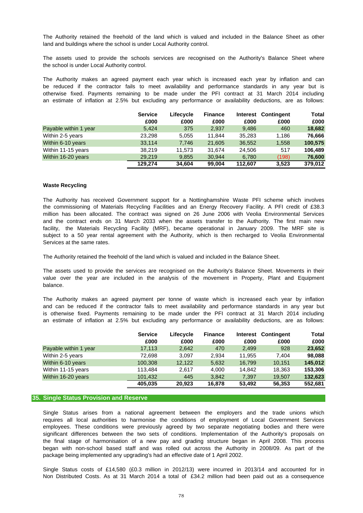land and buildings where the school is under Local Authority control. The Authority retained the freehold of the land which is valued and included in the Balance Sheet as other

the school is under Local Authority control. The assets used to provide the schools services are recognised on the Authority's Balance Sheet where

be reduced if the contractor fails to meet availability and performance standards in any year but is otherwise fixed. Payments remaining to be made under the PFI contract at 31 March 2014 including an estimate of inflation at 2.5% but excluding any performance or availability deductions, are as follows: The Authority makes an agreed payment each year which is increased each year by inflation and can

|                       | <b>Service</b> | Lifecycle | <b>Finance</b> |         | Interest Contingent | Total   |
|-----------------------|----------------|-----------|----------------|---------|---------------------|---------|
|                       | £000           | £000      | £000           | £000    | £000                | £000    |
| Payable within 1 year | 5.424          | 375       | 2.937          | 9.486   | 460                 | 18,682  |
| Within 2-5 years      | 23.298         | 5,055     | 11.844         | 35,283  | 1.186               | 76.666  |
| Within 6-10 years     | 33,114         | 7,746     | 21,605         | 36,552  | 1,558               | 100,575 |
| Within 11-15 years    | 38.219         | 11.573    | 31.674         | 24.506  | 517                 | 106,489 |
| Within 16-20 years    | 29.219         | 9,855     | 30.944         | 6.780   | (198)               | 76,600  |
|                       | 129,274        | 34.604    | 99,004         | 112.607 | 3.523               | 379,012 |

### **Waste Recycling**

Services at the same rates. million has been allocated. The contract was signed on 26 June 2006 with Veolia Environmental Services and the contract ends on 31 March 2033 when the assets transfer to the Authority. The first main new subject to a 50 year rental agreement with the Authority, which is then recharged to Veolia Environmental facility, the Materials Recycling Facility (MRF), became operational in January 2009. The MRF site is The Authority has received Government support for a Nottinghamshire Waste PFI scheme which involves the commissioning of Materials Recycling Facilities and an Energy Recovery Facility. A PFI credit of £38.3

The Authority retained the freehold of the land which is valued and included in the Balance Sheet.

balance. value over the year are included in the analysis of the movement in Property, Plant and Equipment The assets used to provide the services are recognised on the Authority's Balance Sheet. Movements in their

The Authority makes an agreed payment per tonne of waste which is increased each year by inflation and can be reduced if the contractor fails to meet availability and performance standards in any year but is otherwise fixed. Payments remaining to be made under the PFI contract at 31 March 2014 including an estimate of inflation at 2.5% but excluding any performance or availability deductions, are as follows:

|                       | <b>Service</b><br>£000 | Lifecycle<br>£000 | <b>Finance</b><br>£000 | £000   | Interest Contingent<br>£000 | <b>Total</b><br>£000 |
|-----------------------|------------------------|-------------------|------------------------|--------|-----------------------------|----------------------|
| Payable within 1 year | 17,113                 | 2,642             | 470                    | 2.499  | 928                         | 23,652               |
| Within 2-5 years      | 72.698                 | 3.097             | 2.934                  | 11.955 | 7.404                       | 98,088               |
| Within 6-10 years     | 100,308                | 12.122            | 5,632                  | 16.799 | 10.151                      | 145,012              |
| Within 11-15 years    | 113.484                | 2,617             | 4,000                  | 14.842 | 18,363                      | 153,306              |
| Within 16-20 years    | 101.432                | 445               | 3,842                  | 7.397  | 19.507                      | 132,623              |
|                       | 405.035                | 20.923            | 16,878                 | 53.492 | 56,353                      | 552,681              |

### **35. Single Status Provision and Reserve**

package being implemented any upgrading's had an effective date of 1 April 2002. significant differences between the two sets of conditions. Implementation of the Authority's proposals on the final stage of harmonisation of a new pay and grading structure began in April 2008. This process began with non-school based staff and was rolled out across the Authority in 2008/09. As part of the Single Status arises from a national agreement between the employers and the trade unions which requires all local authorities to harmonise the conditions of employment of Local Government Services employees. These conditions were previously agreed by two separate negotiating bodies and there were

Non Distributed Costs. As at 31 March 2014 a total of £34.2 million had been paid out as a consequence Single Status costs of £14,580 (£0.3 million in 2012/13) were incurred in 2013/14 and accounted for in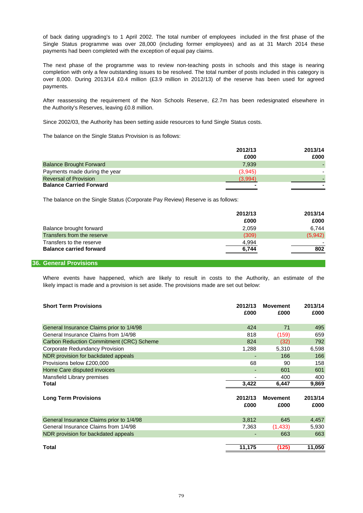payments had been completed with the exception of equal pay claims. of back dating upgrading's to 1 April 2002. The total number of employees included in the first phase of the Single Status programme was over 28,000 (including former employees) and as at 31 March 2014 these

payments. The next phase of the programme was to review non-teaching posts in schools and this stage is nearing completion with only a few outstanding issues to be resolved. The total number of posts included in this category is over 8,000. During 2013/14 £0.4 million (£3.9 million in 2012/13) of the reserve has been used for agreed

the Authority's Reserves, leaving £0.8 million. After reassessing the requirement of the Non Schools Reserve, £2.7m has been redesignated elsewhere in

Since 2002/03, the Authority has been setting aside resources to fund Single Status costs.

The balance on the Single Status Provision is as follows:

|                                | 2012/13 | 2013/14 |
|--------------------------------|---------|---------|
|                                | £000    | £000    |
| <b>Balance Brought Forward</b> | 7.939   |         |
| Payments made during the year  | (3,945) |         |
| <b>Reversal of Provision</b>   | (3.994) |         |
| <b>Balance Carried Forward</b> |         |         |

The balance on the Single Status (Corporate Pay Review) Reserve is as follows:

|                                | 2012/13 | 2013/14 |
|--------------------------------|---------|---------|
|                                | £000    | £000    |
| Balance brought forward        | 2,059   | 6.744   |
| Transfers from the reserve     | (309)   | (5,942) |
| Transfers to the reserve       | 4,994   |         |
| <b>Balance carried forward</b> | 6,744   | 802     |
|                                |         |         |

### **36. General Provisions**

likely impact is made and a provision is set aside. The provisions made are set out below: Where events have happened, which are likely to result in costs to the Authority, an estimate of the

| <b>Short Term Provisions</b>                    | 2012/13<br>£000 | <b>Movement</b><br>£000 | 2013/14<br>£000 |
|-------------------------------------------------|-----------------|-------------------------|-----------------|
| General Insurance Claims prior to 1/4/98        | 424             | 71                      | 495             |
| General Insurance Claims from 1/4/98            | 818             | (159)                   | 659             |
| <b>Carbon Reduction Commitment (CRC) Scheme</b> | 824             | (32)                    | 792             |
| Corporate Redundancy Provision                  | 1,288           | 5,310                   | 6,598           |
| NDR provision for backdated appeals             |                 | 166                     | 166             |
| Provisions below £200,000                       | 68              | 90                      | 158             |
| Home Care disputed invoices                     | -               | 601                     | 601             |
| Mansfield Library premises                      |                 | 400                     | 400             |
| Total                                           | 3,422           | 6,447                   | 9,869           |
| <b>Long Term Provisions</b>                     | 2012/13<br>£000 | <b>Movement</b><br>£000 | 2013/14<br>£000 |
| General Insurance Claims prior to 1/4/98        | 3,812           | 645                     | 4,457           |
| General Insurance Claims from 1/4/98            | 7,363           | (1,433)                 | 5,930           |
| NDR provision for backdated appeals             |                 | 663                     | 663             |
| <b>Total</b>                                    | 11,175          | (125)                   | 11,050          |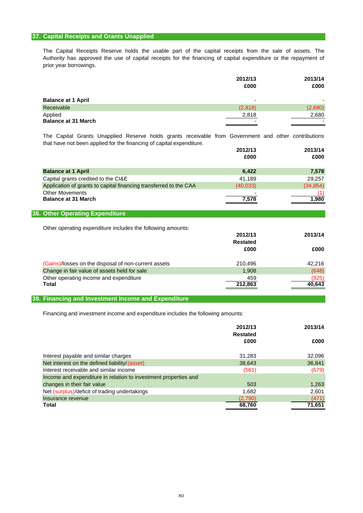## **37. Capital Receipts and Grants Unapplied**

prior year borrowings. The Capital Receipts Reserve holds the usable part of the capital receipts from the sale of assets. The Authority has approved the use of capital receipts for the financing of capital expenditure or the repayment of

|                                       | 2012/13 | 2013/14 |
|---------------------------------------|---------|---------|
|                                       | £000    | £000    |
| <b>Balance at 1 April</b>             | ٠       |         |
| Receivable                            | (2,818) | (2,680) |
| Applied<br><b>Balance at 31 March</b> | 2,818   | 2,680   |

that have not been applied for the financing of capital expenditure. The Capital Grants Unapplied Reserve holds grants receivable from Government and other contributions

|                                                                   | 2012/13  | 2013/14   |
|-------------------------------------------------------------------|----------|-----------|
|                                                                   | £000     | £000      |
| <b>Balance at 1 April</b>                                         | 6,422    | 7,578     |
| Capital grants credited to the CI&E                               | 41.189   | 29.257    |
| Application of grants to capital financing transferred to the CAA | (40,033) | (34, 854) |
| <b>Other Movements</b><br><b>Balance at 31 March</b>              | 7,578    | 1.980     |

## **38. Other Operating Expenditure**

Other operating expenditure includes the following amounts:

|                                                      | 2012/13<br><b>Restated</b> | 2013/14         |
|------------------------------------------------------|----------------------------|-----------------|
|                                                      | £000                       | £000            |
| (Gains)/losses on the disposal of non-current assets | 210.496                    | 42.216          |
| Change in fair value of assets held for sale         | 1.908                      | (648)           |
| Other operating income and expenditure<br>Total      | 459<br>212,863             | (925)<br>40,643 |

## **39. Financing and Investment Income and Expenditure**

Financing and investment income and expenditure includes the following amounts:

|                                                                 | 2012/13<br><b>Restated</b> | 2013/14 |
|-----------------------------------------------------------------|----------------------------|---------|
|                                                                 | £000                       | £000    |
| Interest payable and similar charges                            | 31,283                     | 32,096  |
| Net interest on the defined liability/(asset)                   | 38,643                     | 36,841  |
| Interest receivable and similar income                          | (561)                      | (679)   |
| Income and expenditure in relation to investment properties and |                            |         |
| changes in their fair value                                     | 503                        | 1,263   |
| Net (surplus)/deficit of trading undertakings                   | 1,682                      | 2,601   |
| Insurance revenue                                               | (2,790)                    | (471)   |
| Total                                                           | 68,760                     | 71,651  |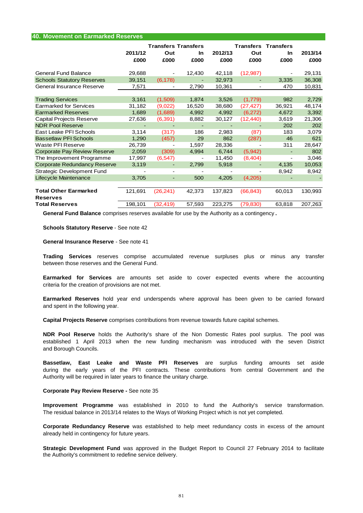| <b>40. Movement on Earmarked Reserves</b> |         |                            |           |         |                          |                  |         |
|-------------------------------------------|---------|----------------------------|-----------|---------|--------------------------|------------------|---------|
|                                           |         | <b>Transfers Transfers</b> |           |         | <b>Transfers</b>         | <b>Transfers</b> |         |
|                                           | 2011/12 | Out                        | <b>In</b> | 2012/13 | Out                      | In               | 2013/14 |
|                                           | £000    | £000                       | £000      | £000    | £000                     | £000             | £000    |
|                                           |         |                            |           |         |                          |                  |         |
| General Fund Balance                      | 29,688  | -                          | 12,430    | 42,118  | (12, 987)                |                  | 29,131  |
| <b>Schools Statutory Reserves</b>         | 39,151  | (6, 178)                   |           | 32,973  |                          | 3,335            | 36,308  |
| General Insurance Reserve                 | 7,571   | $\overline{\phantom{a}}$   | 2,790     | 10,361  | $\overline{\phantom{a}}$ | 470              | 10,831  |
|                                           |         |                            |           |         |                          |                  |         |
| <b>Trading Services</b>                   | 3,161   | (1,509)                    | 1,874     | 3,526   | (1,779)                  | 982              | 2,729   |
| <b>Earmarked for Services</b>             | 31,182  | (9,022)                    | 16,520    | 38,680  | (27, 427)                | 36,921           | 48,174  |
| <b>Earmarked Reserves</b>                 | 1,689   | (1,689)                    | 4,992     | 4,992   | (6, 272)                 | 4,672            | 3,392   |
| Capital Projects Reserve                  | 27,636  | (6, 391)                   | 8,882     | 30,127  | (12, 440)                | 3,619            | 21,306  |
| <b>NDR Pool Reserve</b>                   |         |                            |           |         |                          | 202              | 202     |
| East Leake PFI Schools                    | 3,114   | (317)                      | 186       | 2,983   | (87)                     | 183              | 3,079   |
| <b>Bassetlaw PFI Schools</b>              | 1,290   | (457)                      | 29        | 862     | (287)                    | 46               | 621     |
| Waste PFI Reserve                         | 26,739  | -                          | 1,597     | 28,336  |                          | 311              | 28,647  |
| <b>Corporate Pay Review Reserve</b>       | 2,059   | (309)                      | 4,994     | 6,744   | (5,942)                  | $\blacksquare$   | 802     |
| The Improvement Programme                 | 17,997  | (6, 547)                   |           | 11,450  | (8,404)                  | $\overline{a}$   | 3,046   |
| <b>Corporate Redundancy Reserve</b>       | 3,119   |                            | 2,799     | 5,918   |                          | 4,135            | 10,053  |
| <b>Strategic Development Fund</b>         |         | $\overline{\phantom{a}}$   |           |         |                          | 8,942            | 8,942   |
| Lifecycle Maintenance                     | 3,705   | $\overline{\phantom{a}}$   | 500       | 4,205   | (4,205)                  |                  |         |
|                                           |         |                            |           |         |                          |                  |         |
| <b>Total Other Earmarked</b>              | 121,691 | (26, 241)                  | 42,373    | 137,823 | (66, 843)                | 60,013           | 130,993 |
| <b>Reserves</b>                           |         |                            |           |         |                          |                  |         |
| <b>Total Reserves</b>                     | 198,101 | (32, 419)                  | 57,593    | 223,275 | (79, 830)                | 63,818           | 207,263 |

**General Fund Balance** comprises reserves available for use by the Authority as a contingency **.**

**Schools Statutory Reserve** - See note 42

**General Insurance Reserve** - See note 41

between those reserves and the General Fund. **Trading Services** reserves comprise accumulated revenue surpluses plus or minus any transfer

criteria for the creation of provisions are not met. **Earmarked for Services** are amounts set aside to cover expected events where the accounting

and spent in the following year. **Earmarked Reserves** hold year end underspends where approval has been given to be carried forward

**Capital Projects Reserve** comprises contributions from revenue towards future capital schemes.

**NDR Pool Reserve** holds the Authority's share of the Non Domestic Rates pool surplus. The pool was established 1 April 2013 when the new funding mechanism was introduced with the seven District and Borough Councils.

Authority will be required in later years to finance the unitary charge. **Bassetlaw, East Leake and Waste PFI Reserves** are surplus funding amounts set aside during the early years of the PFI contracts. These contributions from central Government and the

#### **Corporate Pay Review Reserve -** See note 35

The residual balance in 2013/14 relates to the Ways of Working Project which is not yet completed. **Improvement Programme** was established in 2010 to fund the Authority's service transformation.

already held in contingency for future years. **Corporate Redundancy Reserve** was established to help meet redundancy costs in excess of the amount

the Authority's commitment to redefine service delivery. **Strategic Development Fund** was approved in the Budget Report to Council 27 February 2014 to facilitate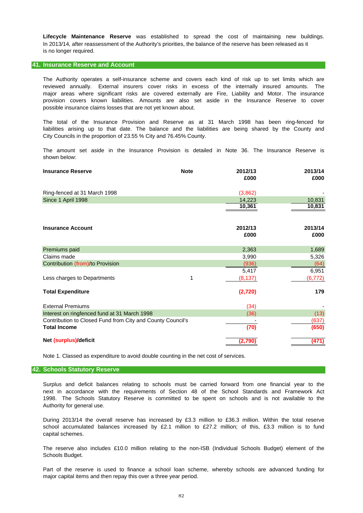In 2013/14, after reassessment of the Authority's priorities, the balance of the reserve has been released as it is no longer required. **Lifecycle Maintenance Reserve** was established to spread the cost of maintaining new buildings.

### **41. Insurance Reserve and Account**

possible insurance claims losses that are not yet known about. The Authority operates a self-insurance scheme and covers each kind of risk up to set limits which are reviewed annually. External insurers cover risks in excess of the internally insured amounts. The provision covers known liabilities. Amounts are also set aside in the Insurance Reserve to cover major areas where significant risks are covered externally are Fire, Liability and Motor. The insurance

City Councils in the proportion of 23.55 % City and 76.45% County. liabilities arising up to that date. The balance and the liabilities are being shared by the County and The total of the Insurance Provision and Reserve as at 31 March 1998 has been ring-fenced for

shown below: The amount set aside in the Insurance Provision is detailed in Note 36. The Insurance Reserve is

| <b>Insurance Reserve</b>                                   | <b>Note</b> | 2012/13<br>£000 | 2013/14<br>£000 |
|------------------------------------------------------------|-------------|-----------------|-----------------|
| Ring-fenced at 31 March 1998                               |             | (3,862)         |                 |
| Since 1 April 1998                                         |             | 14,223          | 10,831          |
|                                                            |             | 10,361          | 10,831          |
| <b>Insurance Account</b>                                   |             | 2012/13<br>£000 | 2013/14<br>£000 |
| Premiums paid                                              |             | 2,363           | 1,689           |
| Claims made                                                |             | 3,990           | 5,326           |
| Contribution (from)/to Provision                           |             | (936)           | (64)            |
|                                                            |             | 5,417           | 6,951           |
| Less charges to Departments                                | 1           | (8, 137)        | (6, 772)        |
| <b>Total Expenditure</b>                                   |             | (2,720)         | 179             |
| <b>External Premiums</b>                                   |             | (34)            |                 |
| Interest on ringfenced fund at 31 March 1998               |             | (36)            | (13)            |
| Contribution to Closed Fund from City and County Council's |             |                 | (637)           |
| <b>Total Income</b>                                        |             | (70)            | (650)           |
| Net (surplus)/deficit                                      |             | (2,790          | (471)           |

Note 1. Classed as expenditure to avoid double counting in the net cost of services.

## **42. Schools Statutory Reserve**

Authority for general use. next in accordance with the requirements of Section 48 of the School Standards and Framework Act 1998. The Schools Statutory Reserve is committed to be spent on schools and is not available to the Surplus and deficit balances relating to schools must be carried forward from one financial year to the

During 2013/14 the overall reserve has increased by £3.3 million to £36.3 million. Within the total reserve school accumulated balances increased by £2.1 million to £27.2 million; of this, £3.3 million is to fund capital schemes.

Schools Budget. The reserve also includes £10.0 million relating to the non-ISB (Individual Schools Budget) element of the

major capital items and then repay this over a three year period. Part of the reserve is used to finance a school loan scheme, whereby schools are advanced funding for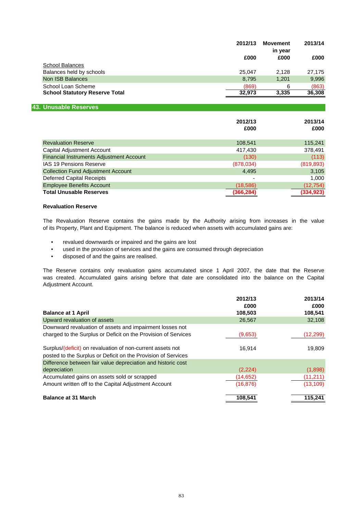|                                       | 2012/13 | <b>Movement</b><br>in year | 2013/14 |
|---------------------------------------|---------|----------------------------|---------|
|                                       | £000    | £000                       | £000    |
| <b>School Balances</b>                |         |                            |         |
| Balances held by schools              | 25.047  | 2.128                      | 27.175  |
| Non ISB Balances                      | 8.795   | 1,201                      | 9,996   |
| School Loan Scheme                    | (869)   | 6                          | (863)   |
| <b>School Statutory Reserve Total</b> | 32,973  | 3.335                      | 36,308  |

### **43. Unusable Reserves**

|                                           | 2012/13<br>£000 | 2013/14<br>£000 |
|-------------------------------------------|-----------------|-----------------|
| <b>Revaluation Reserve</b>                | 108,541         | 115,241         |
| Capital Adjustment Account                | 417,430         | 378,491         |
| Financial Instruments Adjustment Account  | (130)           | (113)           |
| <b>IAS 19 Pensions Reserve</b>            | (878, 034)      | (819, 893)      |
| <b>Collection Fund Adjustment Account</b> | 4,495           | 3,105           |
| <b>Deferred Capital Receipts</b>          |                 | 1,000           |
| <b>Employee Benefits Account</b>          | (18, 586)       | (12, 754)       |
| <b>Total Unusable Reserves</b>            | (366,284        | (334, 923)      |

### **Revaluation Reserve**

The Revaluation Reserve contains the gains made by the Authority arising from increases in the value of its Property, Plant and Equipment. The balance is reduced when assets with accumulated gains are:

- revalued downwards or impaired and the gains are lost
- used in the provision of services and the gains are consumed through depreciation
- disposed of and the gains are realised.

was created. Accumulated gains arising before that date are consolidated into the balance on the Capital The Reserve contains only revaluation gains accumulated since 1 April 2007, the date that the Reserve Adjustment Account.

|                                                                | 2012/13   | 2013/14   |
|----------------------------------------------------------------|-----------|-----------|
|                                                                | £000      | £000      |
| <b>Balance at 1 April</b>                                      | 108,503   | 108,541   |
| Upward revaluation of assets                                   | 26,567    | 32,108    |
| Downward revaluation of assets and impairment losses not       |           |           |
| charged to the Surplus or Deficit on the Provision of Services | (9,653)   | (12, 299) |
| Surplus/(deficit) on revaluation of non-current assets not     | 16.914    | 19,809    |
| posted to the Surplus or Deficit on the Provision of Services  |           |           |
| Difference between fair value depreciation and historic cost   |           |           |
| depreciation                                                   | (2,224)   | (1,898)   |
| Accumulated gains on assets sold or scrapped                   | (14, 652) | (11, 211) |
| Amount written off to the Capital Adjustment Account           | (16, 876) | (13, 109) |
| <b>Balance at 31 March</b>                                     | 108,541   | 115,241   |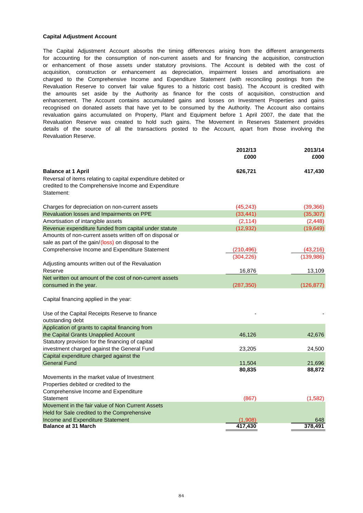### **Capital Adjustment Account**

Revaluation Reserve. the amounts set aside by the Authority as finance for the costs of acquisition, construction and The Capital Adjustment Account absorbs the timing differences arising from the different arrangements or enhancement of those assets under statutory provisions. The Account is debited with the cost of for accounting for the consumption of non-current assets and for financing the acquisition, construction Revaluation Reserve to convert fair value figures to a historic cost basis). The Account is credited with enhancement. The Account contains accumulated gains and losses on Investment Properties and gains recognised on donated assets that have yet to be consumed by the Authority. The Account also contains details of the source of all the transactions posted to the Account, apart from those involving the revaluation gains accumulated on Property, Plant and Equipment before 1 April 2007, the date that the Revaluation Reserve was created to hold such gains. The Movement in Reserves Statement provides acquisition, construction or enhancement as depreciation, impairment losses and amortisations are charged to the Comprehensive Income and Expenditure Statement (with reconciling postings from the

|                                                                                                                                    | 2012/13<br>£000 | 2013/14<br>£000 |
|------------------------------------------------------------------------------------------------------------------------------------|-----------------|-----------------|
| <b>Balance at 1 April</b>                                                                                                          | 626,721         | 417,430         |
| Reversal of items relating to capital expenditure debited or<br>credited to the Comprehensive Income and Expenditure<br>Statement: |                 |                 |
| Charges for depreciation on non-current assets                                                                                     | (45, 243)       | (39, 366)       |
| Revaluation losses and Impairments on PPE                                                                                          | (33, 441)       | (35, 307)       |
| Amortisation of intangible assets                                                                                                  | (2, 114)        | (2, 448)        |
| Revenue expenditure funded from capital under statute                                                                              | (12, 932)       | (19, 649)       |
| Amounts of non-current assets written off on disposal or                                                                           |                 |                 |
| sale as part of the gain/(loss) on disposal to the                                                                                 |                 |                 |
| Comprehensive Income and Expenditure Statement                                                                                     | (210, 496)      | (43, 216)       |
|                                                                                                                                    | (304, 226)      | (139,986)       |
| Adjusting amounts written out of the Revaluation                                                                                   |                 |                 |
| Reserve                                                                                                                            | 16,876          | 13,109          |
| Net written out amount of the cost of non-current assets                                                                           |                 |                 |
| consumed in the year.                                                                                                              | (287, 350)      | (126, 877)      |
| Capital financing applied in the year:<br>Use of the Capital Receipts Reserve to finance<br>outstanding debt                       |                 |                 |
| Application of grants to capital financing from                                                                                    |                 |                 |
| the Capital Grants Unapplied Account                                                                                               | 46,126          | 42,676          |
| Statutory provision for the financing of capital                                                                                   |                 |                 |
| investment charged against the General Fund                                                                                        | 23,205          | 24,500          |
| Capital expenditure charged against the                                                                                            |                 |                 |
| <b>General Fund</b>                                                                                                                | 11,504          | 21,696          |
|                                                                                                                                    | 80,835          | 88,872          |
| Movements in the market value of Investment                                                                                        |                 |                 |
| Properties debited or credited to the                                                                                              |                 |                 |
| Comprehensive Income and Expenditure                                                                                               |                 |                 |
| Statement                                                                                                                          | (867)           | (1,582)         |
| Movement in the fair value of Non Current Assets                                                                                   |                 |                 |
| Held for Sale credited to the Comprehensive                                                                                        |                 |                 |
| Income and Expenditure Statement                                                                                                   | (1,908)         | 648             |
| <b>Balance at 31 March</b>                                                                                                         | 417,430         | 378,491         |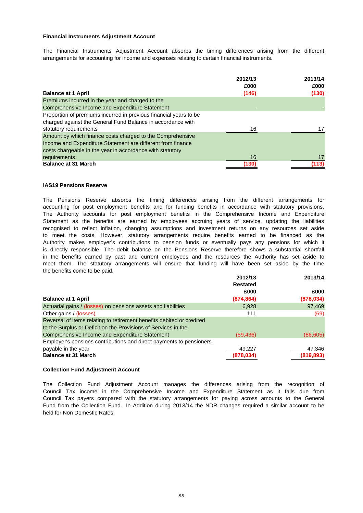## **Financial Instruments Adjustment Account**

arrangements for accounting for income and expenses relating to certain financial instruments. The Financial Instruments Adjustment Account absorbs the timing differences arising from the different

| <b>Balance at 1 April</b>                                         | 2012/13<br>£000<br>(146) | 2013/14<br>£000<br>(130) |
|-------------------------------------------------------------------|--------------------------|--------------------------|
| Premiums incurred in the year and charged to the                  |                          |                          |
| Comprehensive Income and Expenditure Statement                    |                          |                          |
| Proportion of premiums incurred in previous financial years to be |                          |                          |
| charged against the General Fund Balance in accordance with       |                          |                          |
| statutory requirements                                            | 16                       |                          |
| Amount by which finance costs charged to the Comprehensive        |                          |                          |
| Income and Expenditure Statement are different from finance       |                          |                          |
| costs chargeable in the year in accordance with statutory         |                          |                          |
| requirements                                                      | 16                       | 17                       |
| <b>Balance at 31 March</b>                                        | (130)                    | (113)                    |

### **IAS19 Pensions Reserve**

the benefits come to be paid. recognised to reflect inflation, changing assumptions and investment returns on any resources set aside to meet the costs. However, statutory arrangements require benefits earned to be financed as the in the benefits earned by past and current employees and the resources the Authority has set aside to is directly responsible. The debit balance on the Pensions Reserve therefore shows a substantial shortfall meet them. The statutory arrangements will ensure that funding will have been set aside by the time The Pensions Reserve absorbs the timing differences arising from the different arrangements for accounting for post employment benefits and for funding benefits in accordance with statutory provisions. The Authority accounts for post employment benefits in the Comprehensive Income and Expenditure Statement as the benefits are earned by employees accruing years of service, updating the liabilities Authority makes employer's contributions to pension funds or eventually pays any pensions for which it

|                                                                                                                                         | 2012/13<br><b>Restated</b> | 2013/14            |
|-----------------------------------------------------------------------------------------------------------------------------------------|----------------------------|--------------------|
| <b>Balance at 1 April</b>                                                                                                               | £000<br>(874, 864)         | £000<br>(878, 034) |
| Actuarial gains / (losses) on pensions assets and liabilities                                                                           | 6.928                      | 97,469             |
| Other gains / (losses)                                                                                                                  | 111                        | (69)               |
| Reversal of items relating to retirement benefits debited or credited<br>to the Surplus or Deficit on the Provisions of Services in the |                            |                    |
| Comprehensive Income and Expenditure Statement                                                                                          | (59, 436)                  | (86, 605)          |
| Employer's pensions contributions and direct payments to pensioners                                                                     |                            |                    |
| payable in the year                                                                                                                     | 49,227                     | 47,346             |
| <b>Balance at 31 March</b>                                                                                                              | (878,034)                  | (819,893)          |

### **Collection Fund Adjustment Account**

The Collection Fund Adjustment Account manages the differences arising from the recognition of Fund from the Collection Fund. In Addition during 2013/14 the NDR changes required a similar account to be held for Non Domestic Rates. Council Tax income in the Comprehensive Income and Expenditure Statement as it falls due from Council Tax payers compared with the statutory arrangements for paying across amounts to the General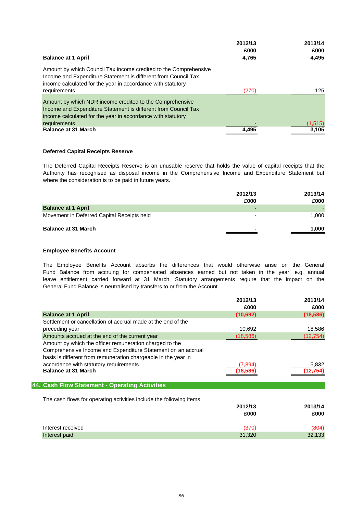|                                                                                                                                                                                                   | 2012/13       | 2013/14       |
|---------------------------------------------------------------------------------------------------------------------------------------------------------------------------------------------------|---------------|---------------|
| <b>Balance at 1 April</b>                                                                                                                                                                         | £000<br>4,765 | £000<br>4,495 |
| Amount by which Council Tax income credited to the Comprehensive<br>Income and Expenditure Statement is different from Council Tax<br>income calculated for the year in accordance with statutory |               |               |
| requirements                                                                                                                                                                                      | (270)         | 125           |
| Amount by which NDR income credited to the Comprehensive<br>Income and Expenditure Statement is different from Council Tax<br>income calculated for the year in accordance with statutory         |               |               |
| requirements                                                                                                                                                                                      |               | (1,515)       |
| <b>Balance at 31 March</b>                                                                                                                                                                        | 4,495         | 3,105         |

## **Deferred Capital Receipts Reserve**

where the consideration is to be paid in future years. Authority has recognised as disposal income in the Comprehensive Income and Expenditure Statement but The Deferred Capital Receipts Reserve is an unusable reserve that holds the value of capital receipts that the

|                                            | 2012/13<br>£000 | 2013/14<br>£000 |
|--------------------------------------------|-----------------|-----------------|
| <b>Balance at 1 April</b>                  | -               |                 |
| Movement in Deferred Capital Receipts held | ۰               | 1.000           |
| <b>Balance at 31 March</b>                 |                 | 1,000           |

## **Employee Benefits Account**

General Fund Balance is neutralised by transfers to or from the Account. The Employee Benefits Account absorbs the differences that would otherwise arise on the General Fund Balance from accruing for compensated absences earned but not taken in the year, e.g. annual leave entitlement carried forward at 31 March. Statutory arrangements require that the impact on the

|                                                                                                                                                                                                                                     | 2012/13<br>£000 | 2013/14<br>£000 |
|-------------------------------------------------------------------------------------------------------------------------------------------------------------------------------------------------------------------------------------|-----------------|-----------------|
| <b>Balance at 1 April</b>                                                                                                                                                                                                           | (10, 692)       | (18, 586)       |
| Settlement or cancellation of accrual made at the end of the                                                                                                                                                                        |                 |                 |
| preceding year                                                                                                                                                                                                                      | 10,692          | 18,586          |
| Amounts accrued at the end of the current year                                                                                                                                                                                      | (18, 586)       | (12, 754)       |
| Amount by which the officer remuneration charged to the<br>Comprehensive Income and Expenditure Statement on an accrual<br>basis is different from remuneration chargeable in the year in<br>accordance with statutory requirements | (7,894)         | 5,832           |
| <b>Balance at 31 March</b>                                                                                                                                                                                                          | 18.586          | 12,754)         |
| 44. Cash Flow Statement - Operating Activities                                                                                                                                                                                      |                 |                 |
| The cash flows for operating activities include the following items:                                                                                                                                                                |                 |                 |
|                                                                                                                                                                                                                                     | 2012/13         | 2013/14         |
|                                                                                                                                                                                                                                     | £000            | £000            |
| Interest received                                                                                                                                                                                                                   | (370)           | (804)           |
| Interest paid                                                                                                                                                                                                                       | 31,320          | 32,133          |
|                                                                                                                                                                                                                                     |                 |                 |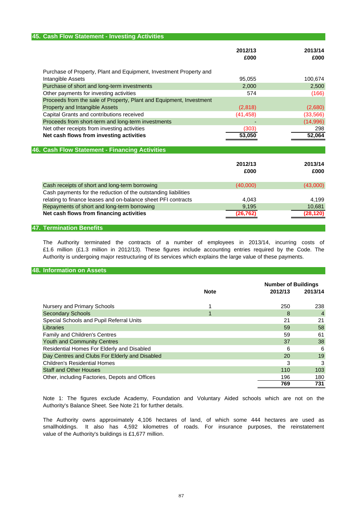| 45. Cash Flow Statement - Investing Activities                      |                 |                 |
|---------------------------------------------------------------------|-----------------|-----------------|
|                                                                     | 2012/13<br>£000 | 2013/14<br>£000 |
| Purchase of Property, Plant and Equipment, Investment Property and  |                 |                 |
| Intangible Assets                                                   | 95.055          | 100,674         |
| Purchase of short and long-term investments                         | 2,000           | 2,500           |
| Other payments for investing activities                             | 574             | (166)           |
| Proceeds from the sale of Property, Plant and Equipment, Investment |                 |                 |
| Property and Intangible Assets                                      | (2,818)         | (2,680)         |
| Capital Grants and contributions received                           | (41, 458)       | (33, 566)       |
| Proceeds from short-term and long-term investments                  |                 | (14,996)        |
| Net other receipts from investing activities                        | (303)           | 298             |
| Net cash flows from investing activities                            | 53,050          | 52,064          |
| 46. Cash Flow Statement - Financing Activities                      |                 |                 |
|                                                                     |                 |                 |
|                                                                     | 2012/13         | 2013/14         |
|                                                                     | £000            | £000            |
| Cash receipts of short and long-term borrowing                      | (40,000)        | (43,000)        |
| Cash payments for the reduction of the outstanding liabilities      |                 |                 |
| relating to finance leases and on-balance sheet PFI contracts       | 4,043           | 4,199           |
| Repayments of short and long-term borrowing                         | 9,195           | 10,681          |
| Net cash flows from financing activities                            | 26.762          | (28,120)        |
|                                                                     |                 |                 |

### **47. Termination Benefits**

The Authority terminated the contracts of a number of employees in 2013/14, incurring costs of £1.6 million (£1.3 million in 2012/13). These figures include accounting entries required by the Code. The Authority is undergoing major restructuring of its services which explains the large value of these payments.

## **48. Information on Assets**

|                                                |             | <b>Number of Buildings</b> |                |
|------------------------------------------------|-------------|----------------------------|----------------|
|                                                | <b>Note</b> | 2012/13                    | 2013/14        |
|                                                |             |                            |                |
| Nursery and Primary Schools                    |             | 250                        | 238            |
| <b>Secondary Schools</b>                       |             | 8                          | $\overline{4}$ |
| Special Schools and Pupil Referral Units       |             | 21                         | 21             |
| Libraries                                      |             | 59                         | 58             |
| <b>Family and Children's Centres</b>           |             | 59                         | 61             |
| <b>Youth and Community Centres</b>             |             | 37                         | 38             |
| Residential Homes For Elderly and Disabled     |             | 6                          | 6              |
| Day Centres and Clubs For Elderly and Disabled |             | 20                         | 19             |
| <b>Children's Residential Homes</b>            |             | 3                          | 3              |
| <b>Staff and Other Houses</b>                  |             | 110                        | 103            |
| Other, including Factories, Depots and Offices |             | 196                        | 180            |
|                                                |             | 769                        | 731            |

Authority's Balance Sheet. See Note 21 for further details. Note 1: The figures exclude Academy, Foundation and Voluntary Aided schools which are not on the

value of the Authority's buildings is £1,677 million. The Authority owns approximately 4,106 hectares of land, of which some 444 hectares are used as smallholdings. It also has 4,592 kilometres of roads. For insurance purposes, the reinstatement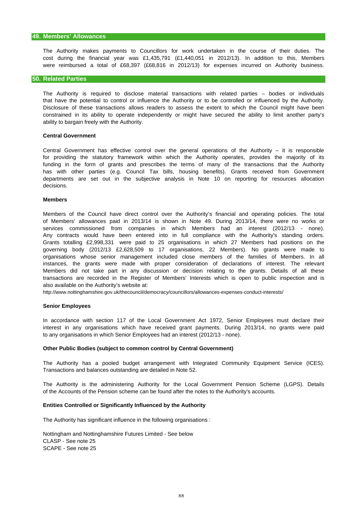were reimbursed a total of £68,397 (£68,816 in 2012/13) for expenses incurred on Authority business. The Authority makes payments to Councillors for work undertaken in the course of their duties. The cost during the financial year was £1,435,791 (£1,440,051 in 2012/13). In addition to this, Members

### **50. Related Parties**

ability to bargain freely with the Authority. The Authority is required to disclose material transactions with related parties – bodies or individuals that have the potential to control or influence the Authority or to be controlled or influenced by the Authority. constrained in its ability to operate independently or might have secured the ability to limit another party's Disclosure of these transactions allows readers to assess the extent to which the Council might have been

### **Central Government**

decisions. for providing the statutory framework within which the Authority operates, provides the majority of its funding in the form of grants and prescribes the terms of many of the transactions that the Authority departments are set out in the subjective analysis in Note 10 on reporting for resources allocation Central Government has effective control over the general operations of the Authority – it is responsible has with other parties (e.g. Council Tax bills, housing benefits). Grants received from Government

### **Members**

also available on the Authority's website at: Grants totalling £2,998,331 were paid to 25 organisations in which 27 Members had positions on the governing body (2012/13 £2,628,509 to 17 organisations, 22 Members). No grants were made to services commissioned from companies in which Members had an interest (2012/13 - none). Any contracts would have been entered into in full compliance with the Authority's standing orders. Members of the Council have direct control over the Authority's financial and operating policies. The total Members did not take part in any discussion or decision relating to the grants. Details of all these organisations whose senior management included close members of the families of Members. In all of Members' allowances paid in 2013/14 is shown in Note 49. During 2013/14, there were no works or instances, the grants were made with proper consideration of declarations of interest. The relevant transactions are recorded in the Register of Members' Interests which is open to public inspection and is

http://www.nottinghamshire.gov.uk/thecouncil/democracy/councillors/allowances-expenses-conduct-interests/

### **Senior Employees**

interest in any organisations which have received grant payments. During 2013/14, no grants were paid In accordance with section 117 of the Local Government Act 1972, Senior Employees must declare their to any organisations in which Senior Employees had an interest (2012/13 - none).

### **Other Public Bodies (subject to common control by Central Government)**

Transactions and balances outstanding are detailed in Note 52. The Authority has a pooled budget arrangement with Integrated Community Equipment Service (ICES).

of the Accounts of the Pension scheme can be found after the notes to the Authority's accounts. The Authority is the administering Authority for the Local Government Pension Scheme (LGPS). Details

### **Entities Controlled or Significantly Influenced by the Authority**

The Authority has significant influence in the following organisations :

Nottingham and Nottinghamshire Futures Limited - See below CLASP - See note 25 SCAPE - See note 25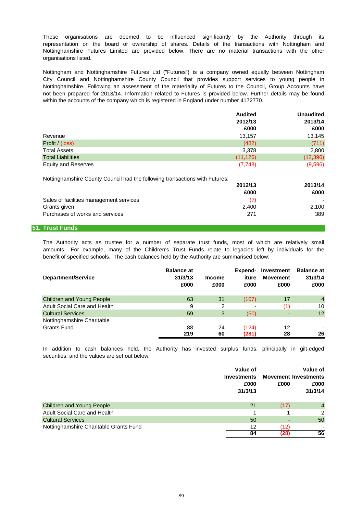organisations listed. These organisations are deemed to be influenced significantly by the Authority through its representation on the board or ownership of shares. Details of the transactions with Nottingham and Nottinghamshire Futures Limited are provided below. There are no material transactions with the other

within the accounts of the company which is registered in England under number 4172770. Nottingham and Nottinghamshire Futures Ltd ("Futures") is a company owned equally between Nottingham City Council and Nottinghamshire County Council that provides support services to young people in Nottinghamshire. Following an assessment of the materiality of Futures to the Council, Group Accounts have not been prepared for 2013/14. Information related to Futures is provided below. Further details may be found

|                                                                             | <b>Audited</b> | <b>Unaudited</b><br>2013/14<br>£000 |
|-----------------------------------------------------------------------------|----------------|-------------------------------------|
|                                                                             | 2012/13        |                                     |
|                                                                             | £000           |                                     |
| Revenue                                                                     | 13.157         | 13,145                              |
| Profit / (loss)                                                             | (482)          | (711)                               |
| <b>Total Assets</b>                                                         | 3,378          | 2,800                               |
| <b>Total Liabilities</b>                                                    | (11, 126)      | (12, 396)                           |
| <b>Equity and Reserves</b>                                                  | (7,748)        | (9,596)                             |
| Nottinghamshire County Council had the following transactions with Futures: |                |                                     |
|                                                                             | 2012/13        | 2013/14                             |
|                                                                             | £000           | £000                                |
| Sales of facilities management services                                     | (7)            |                                     |
| Grants given                                                                | 2.400          | 2,100                               |

### **51. Trust Funds**

benefit of specified schools. The cash balances held by the Authority are summarised below: The Authority acts as trustee for a number of separate trust funds, most of which are relatively small amounts. For example, many of the Children's Trust Funds relate to legacies left by individuals for the

Purchases of works and services 271 389

| <b>Department/Service</b>        | <b>Balance at</b><br>31/3/13<br>£000 | <b>Income</b><br>£000 | Expend-<br>iture<br>£000 | Investment<br><b>Movement</b><br>£000 | <b>Balance at</b><br>31/3/14<br>£000 |
|----------------------------------|--------------------------------------|-----------------------|--------------------------|---------------------------------------|--------------------------------------|
| <b>Children and Young People</b> | 63                                   | 31                    | (107)                    | 17                                    | $\overline{4}$                       |
| Adult Social Care and Health     | 9                                    | 2                     |                          | (1)                                   | 10                                   |
| <b>Cultural Services</b>         | 59                                   | 3                     | (50)                     |                                       | 12                                   |
| Nottinghamshire Charitable       |                                      |                       |                          |                                       |                                      |
| <b>Grants Fund</b>               | 88                                   | 24                    | (124)                    | 12                                    |                                      |
|                                  | 219                                  | 60                    | (281)                    | 28                                    | 26                                   |

securities, and the values are set out below: In addition to cash balances held, the Authority has invested surplus funds, principally in gilt-edged

|                                        | Value of<br><b>Investments</b><br>£000<br>31/3/13 | £000 | Value of<br><b>Movement Investments</b><br>£000<br>31/3/14 |
|----------------------------------------|---------------------------------------------------|------|------------------------------------------------------------|
| <b>Children and Young People</b>       | 21                                                | (17) | $\overline{4}$                                             |
| <b>Adult Social Care and Health</b>    |                                                   |      | 2                                                          |
| <b>Cultural Services</b>               | 50                                                |      | 50                                                         |
| Nottinghamshire Charitable Grants Fund | 12                                                | (12) |                                                            |
|                                        | 84                                                | (28) | 56                                                         |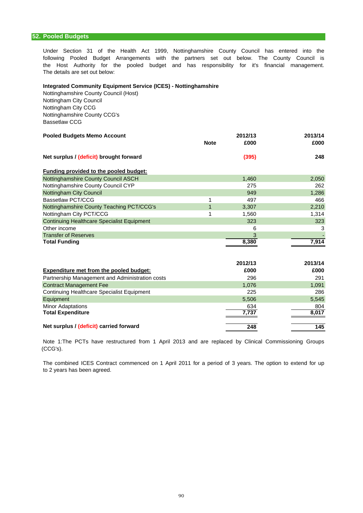Under Section 31 of the Health Act 1999, Nottinghamshire County Council has entered into the following Pooled Budget Arrangements with the partners set out below. The County Council is the Host Authority for the pooled budget and has responsibility for it's financial management. The details are set out below:

## **Integrated Community Equipment Service (ICES) - Nottinghamshire**

Nottinghamshire County Council (Host) Nottingham City Council Nottingham City CCG Nottinghamshire County CCG's Bassetlaw CCG

| <b>Pooled Budgets Memo Account</b>      |             | 2012/13 |      |  |
|-----------------------------------------|-------------|---------|------|--|
|                                         | <b>Note</b> | £000    | £000 |  |
| Net surplus / (deficit) brought forward |             | (395)   | 248  |  |

| <b>Funding provided to the pooled budget:</b>     |       |       |
|---------------------------------------------------|-------|-------|
| Nottinghamshire County Council ASCH               | 1,460 | 2,050 |
| Nottinghamshire County Council CYP                | 275   | 262   |
| Nottingham City Council                           | 949   | 1,286 |
| Bassetlaw PCT/CCG                                 | 497   | 466   |
| Nottinghamshire County Teaching PCT/CCG's         | 3,307 | 2,210 |
| Nottingham City PCT/CCG                           | 1,560 | 1,314 |
| <b>Continuing Healthcare Specialist Equipment</b> | 323   | 323   |
| Other income                                      | 6     | 3     |
| <b>Transfer of Reserves</b>                       | 3     |       |
| <b>Total Funding</b>                              | 8,380 | 7.914 |

|                                                 | 2012/13 | 2013/14 |
|-------------------------------------------------|---------|---------|
| Expenditure met from the pooled budget:         | £000    | £000    |
| Partnership Management and Administration costs | 296     | 291     |
| <b>Contract Management Fee</b>                  | 1,076   | 1,091   |
| Continuing Healthcare Specialist Equipment      | 225     | 286     |
| Equipment                                       | 5,506   | 5,545   |
| <b>Minor Adaptations</b>                        | 634     | 804     |
| <b>Total Expenditure</b>                        | 7.737   | 8,017   |
| Net surplus / (deficit) carried forward         | 248     | 145     |

(CCG's). Note 1:The PCTs have restructured from 1 April 2013 and are replaced by Clinical Commissioning Groups

The combined ICES Contract commenced on 1 April 2011 for a period of 3 years. The option to extend for up to 2 years has been agreed.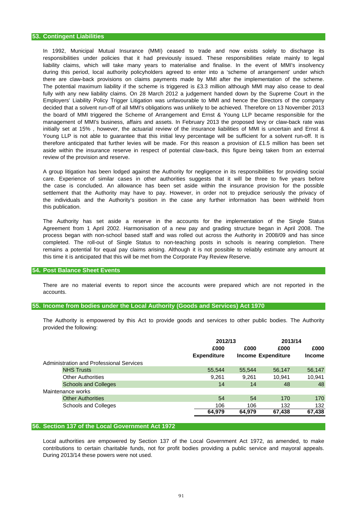aside within the insurance reserve in respect of potential claw-back, this figure being taken from an external review of the provision and reserve. responsibilities under policies that it had previously issued. These responsibilities relate mainly to legal liability claims, which will take many years to materialise and finalise. In the event of MMI's insolvency during this period, local authority policyholders agreed to enter into a 'scheme of arrangement' under which The potential maximum liability if the scheme is triggered is £3.3 million although MMI may also cease to deal Employers' Liability Policy Trigger Litigation was unfavourable to MMI and hence the Directors of the company there are claw-back provisions on claims payments made by MMI after the implementation of the scheme. management of MMI's business, affairs and assets. In February 2013 the proposed levy or claw-back rate was In 1992, Municipal Mutual Insurance (MMI) ceased to trade and now exists solely to discharge its Young LLP is not able to guarantee that this initial levy percentage will be sufficient for a solvent run-off. It is therefore anticipated that further levies will be made. For this reason a provision of £1.5 million has been set fully with any new liability claims. On 28 March 2012 a judgement handed down by the Supreme Court in the initially set at 15% , however, the actuarial review of the insurance liabilities of MMI is uncertain and Ernst & the board of MMI triggered the Scheme of Arrangement and Ernst & Young LLP became responsible for the decided that a solvent run-off of all MMI's obligations was unlikely to be achieved. Therefore on 13 November 2013

the individuals and the Authority's position in the case any further information has been withheld from care. Experience of similar cases in other authorities suggests that it will be three to five years before the case is concluded. An allowance has been set aside within the insurance provision for the possible settlement that the Authority may have to pay. However, in order not to prejudice seriously the privacy of A group litigation has been lodged against the Authority for negligence in its responsibilities for providing social this publication.

this time it is anticipated that this will be met from the Corporate Pay Review Reserve. process began with non-school based staff and was rolled out across the Authority in 2008/09 and has since completed. The roll-out of Single Status to non-teaching posts in schools is nearing completion. There The Authority has set aside a reserve in the accounts for the implementation of the Single Status Agreement from 1 April 2002. Harmonisation of a new pay and grading structure began in April 2008. The remains a potential for equal pay claims arising. Although it is not possible to reliably estimate any amount at

### **54. Post Balance Sheet Events**

accounts. There are no material events to report since the accounts were prepared which are not reported in the

### **55. Income from bodies under the Local Authority (Goods and Services) Act 1970**

provided the following: The Authority is empowered by this Act to provide goods and services to other public bodies. The Authority

|                                          | 2012/13            |        | 2013/14                   |               |
|------------------------------------------|--------------------|--------|---------------------------|---------------|
|                                          | £000               | £000   | £000                      | £000          |
|                                          | <b>Expenditure</b> |        | <b>Income Expenditure</b> | <b>Income</b> |
| Administration and Professional Services |                    |        |                           |               |
| <b>NHS Trusts</b>                        | 55,544             | 55.544 | 56.147                    | 56,147        |
| <b>Other Authorities</b>                 | 9,261              | 9.261  | 10.941                    | 10,941        |
| <b>Schools and Colleges</b>              | 14                 | 14     | 48                        | 48            |
| Maintenance works                        |                    |        |                           |               |
| <b>Other Authorities</b>                 | 54                 | 54     | 170                       | 170           |
| <b>Schools and Colleges</b>              | 106                | 106    | 132                       | 132           |
|                                          | 64,979             | 64,979 | 67,438                    | 67,438        |

### **56. Section 137 of the Local Government Act 1972**

During 2013/14 these powers were not used. contributions to certain charitable funds, not for profit bodies providing a public service and mayoral appeals. Local authorities are empowered by Section 137 of the Local Government Act 1972, as amended, to make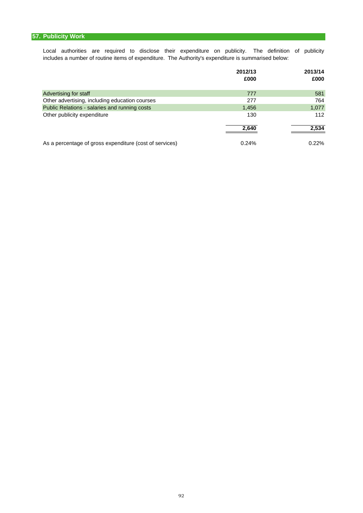## **57. Publicity Work**

Local authorities are required to disclose their expenditure on publicity. The definition of publicity includes a number of routine items of expenditure. The Authority's expenditure is summarised below:

|                                                         | 2012/13<br>£000 | 2013/14<br>£000 |
|---------------------------------------------------------|-----------------|-----------------|
| Advertising for staff                                   | 777             | 581             |
| Other advertising, including education courses          | 277             | 764             |
| Public Relations - salaries and running costs           | 1,456           | 1,077           |
| Other publicity expenditure                             | 130             | 112             |
|                                                         | 2,640           | 2,534           |
| As a percentage of gross expenditure (cost of services) | 0.24%           | $0.22\%$        |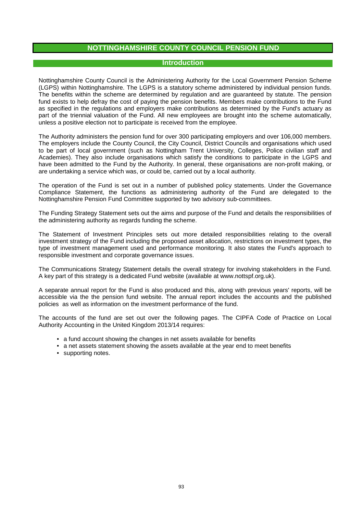## **Introduction**

Nottinghamshire County Council is the Administering Authority for the Local Government Pension Scheme (LGPS) within Nottinghamshire. The LGPS is a statutory scheme administered by individual pension funds. The benefits within the scheme are determined by regulation and are guaranteed by statute. The pension fund exists to help defray the cost of paying the pension benefits. Members make contributions to the Fund as specified in the regulations and employers make contributions as determined by the Fund's actuary as part of the triennial valuation of the Fund. All new employees are brought into the scheme automatically, unless a positive election not to participate is received from the employee.

The Authority administers the pension fund for over 300 participating employers and over 106,000 members. The employers include the County Council, the City Council, District Councils and organisations which used to be part of local government (such as Nottingham Trent University, Colleges, Police civilian staff and Academies). They also include organisations which satisfy the conditions to participate in the LGPS and have been admitted to the Fund by the Authority. In general, these organisations are non-profit making, or are undertaking a service which was, or could be, carried out by a local authority.

The operation of the Fund is set out in a number of published policy statements. Under the Governance Compliance Statement, the functions as administering authority of the Fund are delegated to the Nottinghamshire Pension Fund Committee supported by two advisory sub-committees.

The Funding Strategy Statement sets out the aims and purpose of the Fund and details the responsibilities of the administering authority as regards funding the scheme.

The Statement of Investment Principles sets out more detailed responsibilities relating to the overall investment strategy of the Fund including the proposed asset allocation, restrictions on investment types, the type of investment management used and performance monitoring. It also states the Fund's approach to responsible investment and corporate governance issues.

The Communications Strategy Statement details the overall strategy for involving stakeholders in the Fund. A key part of this strategy is a dedicated Fund website (available at www.nottspf.org.uk).

A separate annual report for the Fund is also produced and this, along with previous years' reports, will be accessible via the the pension fund website. The annual report includes the accounts and the published policies as well as information on the investment performance of the fund.

The accounts of the fund are set out over the following pages. The CIPFA Code of Practice on Local Authority Accounting in the United Kingdom 2013/14 requires:

- a fund account showing the changes in net assets available for benefits
- a net assets statement showing the assets available at the year end to meet benefits
- supporting notes.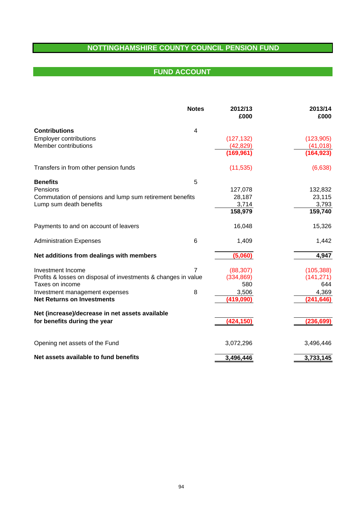# **FUND ACCOUNT FUND ACCOUNT**

|                                                                | <b>Notes</b>    | 2012/13<br>£000 | 2013/14<br>£000 |
|----------------------------------------------------------------|-----------------|-----------------|-----------------|
| <b>Contributions</b>                                           | $\overline{4}$  |                 |                 |
| <b>Employer contributions</b>                                  |                 | (127, 132)      | (123, 905)      |
| Member contributions                                           |                 | (42, 829)       | (41, 018)       |
|                                                                |                 | (169, 961)      | (164, 923)      |
| Transfers in from other pension funds                          |                 | (11, 535)       | (6,638)         |
| <b>Benefits</b>                                                | 5               |                 |                 |
| Pensions                                                       |                 | 127,078         | 132,832         |
| Commutation of pensions and lump sum retirement benefits       |                 | 28,187          | 23,115          |
| Lump sum death benefits                                        |                 | 3,714           | 3,793           |
|                                                                |                 | 158,979         | 159,740         |
| Payments to and on account of leavers                          |                 | 16,048          | 15,326          |
| <b>Administration Expenses</b>                                 | $6\phantom{1}6$ | 1,409           | 1,442           |
| Net additions from dealings with members                       |                 | (5,060)         | 4,947           |
| Investment Income                                              | 7               | (88, 307)       | (105, 388)      |
| Profits & losses on disposal of investments & changes in value |                 | (334, 869)      | (141, 271)      |
| Taxes on income                                                |                 | 580             | 644             |
| Investment management expenses                                 | 8               | 3,506           | 4,369           |
| <b>Net Returns on Investments</b>                              |                 | (419,090)       | (241, 646)      |
| Net (increase)/decrease in net assets available                |                 |                 |                 |
| for benefits during the year                                   |                 | (424, 150)      | (236, 699)      |
| Opening net assets of the Fund                                 |                 | 3,072,296       | 3,496,446       |
| Net assets available to fund benefits                          |                 | 3,496,446       | 3,733,145       |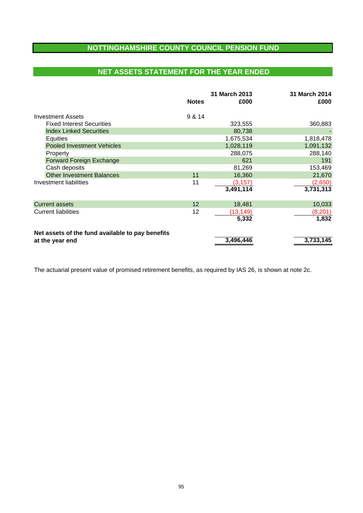# **NET ASSETS STATEMENT FOR THE YEAR ENDED**

|                                                  | <b>Notes</b> | 31 March 2013<br>£000 | 31 March 2014<br>£000 |
|--------------------------------------------------|--------------|-----------------------|-----------------------|
| <b>Investment Assets</b>                         | 9 & 14       |                       |                       |
| <b>Fixed Interest Securities</b>                 |              | 323,555               | 360,883               |
| <b>Index Linked Securities</b>                   |              | 80,738                |                       |
| Equities                                         |              | 1,675,534             | 1,818,478             |
| <b>Pooled Investment Vehicles</b>                |              | 1,028,119             | 1,091,132             |
| Property                                         |              | 288,075               | 288,140               |
| Forward Foreign Exchange                         |              | 621                   | 191                   |
| Cash deposits                                    |              | 81,269                | 153,469               |
| <b>Other Investment Balances</b>                 | 11           | 16,360                | 21,670                |
| Investment liabilities                           | 11           | (3, 157)              | (2,650)               |
|                                                  |              | 3,491,114             | 3,731,313             |
| <b>Current assets</b>                            | 12           | 18,481                | 10,033                |
| <b>Current liabilities</b>                       | 12           | (13,149)              | (8, 201)              |
|                                                  |              | 5,332                 | 1,832                 |
| Net assets of the fund available to pay benefits |              |                       |                       |
| at the year end                                  |              | 3,496,446             | 3,733,145             |

The actuarial present value of promised retirement benefits, as required by IAS 26, is shown at note 2c.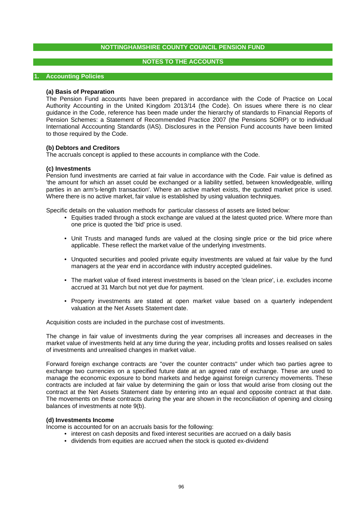## **NOTES TO THE ACCOUNTS**

## **1. Accounting Policies**

## **(a) Basis of Preparation**

The Pension Fund accounts have been prepared in accordance with the Code of Practice on Local Authority Accounting in the United Kingdom 2013/14 (the Code). On issues where there is no clear guidance in the Code, reference has been made under the hierarchy of standards to Financial Reports of Pension Schemes: a Statement of Recommended Practice 2007 (the Pensions SORP) or to individual International Acccounting Standards (IAS). Disclosures in the Pension Fund accounts have been limited to those required by the Code.

## **(b) Debtors and Creditors**

The accruals concept is applied to these accounts in compliance with the Code.

### **(c) Investments**

Pension fund investments are carried at fair value in accordance with the Code. Fair value is defined as 'the amount for which an asset could be exchanged or a liability settled, between knowledgeable, willing parties in an arm's-length transaction'. Where an active market exists, the quoted market price is used. Where there is no active market, fair value is established by using valuation techniques.

Specific details on the valuation methods for particular classess of assets are listed below:

- Equities traded through a stock exchange are valued at the latest quoted price. Where more than one price is quoted the 'bid' price is used.
- Unit Trusts and managed funds are valued at the closing single price or the bid price where applicable. These reflect the market value of the underlying investments.
- Unquoted securities and pooled private equity investments are valued at fair value by the fund managers at the year end in accordance with industry accepted guidelines.
- The market value of fixed interest investments is based on the 'clean price', i.e. excludes income accrued at 31 March but not yet due for payment.
- Property investments are stated at open market value based on a quarterly independent valuation at the Net Assets Statement date.

Acquisition costs are included in the purchase cost of investments.

The change in fair value of investments during the year comprises all increases and decreases in the market value of investments held at any time during the year, including profits and losses realised on sales of investments and unrealised changes in market value.

Forward foreign exchange contracts are "over the counter contracts" under which two parties agree to exchange two currencies on a specified future date at an agreed rate of exchange. These are used to manage the economic exposure to bond markets and hedge against foreign currency movements. These contracts are included at fair value by determining the gain or loss that would arise from closing out the contract at the Net Assets Statement date by entering into an equal and opposite contract at that date. The movements on these contracts during the year are shown in the reconciliation of opening and closing balances of investments at note 9(b).

### **(d) Investments Income**

Income is accounted for on an accruals basis for the following:

- interest on cash deposits and fixed interest securities are accrued on a daily basis
- dividends from equities are accrued when the stock is quoted ex-dividend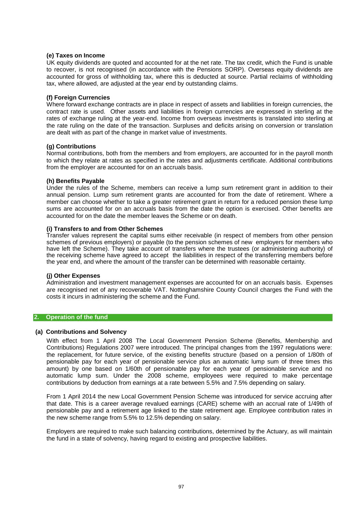## **(e) Taxes on Income**

UK equity dividends are quoted and accounted for at the net rate. The tax credit, which the Fund is unable to recover, is not recognised (in accordance with the Pensions SORP). Overseas equity dividends are accounted for gross of withholding tax, where this is deducted at source. Partial reclaims of withholding tax, where allowed, are adjusted at the year end by outstanding claims.

## **(f) Foreign Currencies**

Where forward exchange contracts are in place in respect of assets and liabilities in foreign currencies, the contract rate is used. Other assets and liabilities in foreign currencies are expressed in sterling at the rates of exchange ruling at the year-end. Income from overseas investments is translated into sterling at the rate ruling on the date of the transaction. Surpluses and deficits arising on conversion or translation are dealt with as part of the change in market value of investments.

### **(g) Contributions**

Normal contributions, both from the members and from employers, are accounted for in the payroll month to which they relate at rates as specified in the rates and adjustments certificate. Additional contributions from the employer are accounted for on an accruals basis.

## **(h) Benefits Payable**

Under the rules of the Scheme, members can receive a lump sum retirement grant in addition to their annual pension. Lump sum retirement grants are accounted for from the date of retirement. Where a member can choose whether to take a greater retirement grant in return for a reduced pension these lump sums are accounted for on an accruals basis from the date the option is exercised. Other benefits are accounted for on the date the member leaves the Scheme or on death.

## **(i) Transfers to and from Other Schemes**

Transfer values represent the capital sums either receivable (in respect of members from other pension schemes of previous employers) or payable (to the pension schemes of new employers for members who have left the Scheme). They take account of transfers where the trustees (or administering authority) of the receiving scheme have agreed to accept the liabilities in respect of the transferring members before the year end, and where the amount of the transfer can be determined with reasonable certainty.

## **(j) Other Expenses**

Administration and investment management expenses are accounted for on an accruals basis. Expenses are recognised net of any recoverable VAT. Nottinghamshire County Council charges the Fund with the costs it incurs in administering the scheme and the Fund.

## **2. Operation of the fund**

### **(a) Contributions and Solvency**

With effect from 1 April 2008 The Local Government Pension Scheme (Benefits, Membership and Contributions) Regulations 2007 were introduced. The principal changes from the 1997 regulations were: the replacement, for future service, of the existing benefits structure (based on a pension of 1/80th of pensionable pay for each year of pensionable service plus an automatic lump sum of three times this amount) by one based on 1/60th of pensionable pay for each year of pensionable service and no automatic lump sum. Under the 2008 scheme, employees were required to make percentage contributions by deduction from earnings at a rate between 5.5% and 7.5% depending on salary.

From 1 April 2014 the new Local Government Pension Scheme was introduced for service accruing after that date. This is a career average revalued earnings (CARE) scheme with an accrual rate of 1/49th of pensionable pay and a retirement age linked to the state retirement age. Employee contribution rates in the new scheme range from 5.5% to 12.5% depending on salary.

Employers are required to make such balancing contributions, determined by the Actuary, as will maintain the fund in a state of solvency, having regard to existing and prospective liabilities.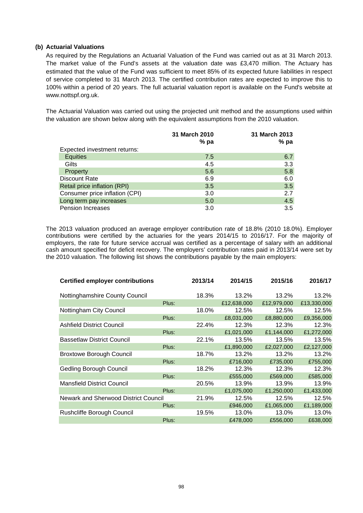## **(b) Actuarial Valuations**

As required by the Regulations an Actuarial Valuation of the Fund was carried out as at 31 March 2013. The market value of the Fund's assets at the valuation date was £3,470 million. The Actuary has estimated that the value of the Fund was sufficient to meet 85% of its expected future liabilities in respect of service completed to 31 March 2013. The certified contribution rates are expected to improve this to 100% within a period of 20 years. The full actuarial valuation report is available on the Fund's website at www.nottspf.org.uk.

The Actuarial Valuation was carried out using the projected unit method and the assumptions used within the valuation are shown below along with the equivalent assumptions from the 2010 valuation.

|                                | 31 March 2010<br>$%$ pa | 31 March 2013<br>% pa |
|--------------------------------|-------------------------|-----------------------|
| Expected investment returns:   |                         |                       |
| <b>Equities</b>                | 7.5                     | 6.7                   |
| Gilts                          | 4.5                     | 3.3                   |
| <b>Property</b>                | 5.6                     | 5.8                   |
| Discount Rate                  | 6.9                     | 6.0                   |
| Retail price inflation (RPI)   | 3.5                     | 3.5                   |
| Consumer price inflation (CPI) | 3.0                     | 2.7                   |
| Long term pay increases        | 5.0                     | 4.5                   |
| <b>Pension Increases</b>       | 3.0                     | 3.5                   |

The 2013 valuation produced an average employer contribution rate of 18.8% (2010 18.0%). Employer contributions were certified by the actuaries for the years 2014/15 to 2016/17. For the majority of employers, the rate for future service accrual was certified as a percentage of salary with an additional cash amount specified for deficit recovery. The employers' contribution rates paid in 2013/14 were set by the 2010 valuation. The following list shows the contributions payable by the main employers:

| <b>Certified employer contributions</b> |       | 2013/14 | 2014/15     | 2015/16     | 2016/17     |
|-----------------------------------------|-------|---------|-------------|-------------|-------------|
| Nottinghamshire County Council          |       | 18.3%   | 13.2%       | 13.2%       | 13.2%       |
|                                         | Plus: |         | £12,638,000 | £12,979,000 | £13,330,000 |
| Nottingham City Council                 |       | 18.0%   | 12.5%       | 12.5%       | 12.5%       |
|                                         | Plus: |         | £8,031,000  | £8,880,000  | £9,356,000  |
| <b>Ashfield District Council</b>        |       | 22.4%   | 12.3%       | 12.3%       | 12.3%       |
|                                         | Plus: |         | £1,021,000  | £1,144,000  | £1,272,000  |
| <b>Bassetlaw District Council</b>       |       | 22.1%   | 13.5%       | 13.5%       | 13.5%       |
|                                         | Plus: |         | £1,890,000  | £2,027,000  | £2,127,000  |
| <b>Broxtowe Borough Council</b>         |       | 18.7%   | 13.2%       | 13.2%       | 13.2%       |
|                                         | Plus: |         | £716,000    | £735,000    | £755,000    |
| <b>Gedling Borough Council</b>          |       | 18.2%   | 12.3%       | 12.3%       | 12.3%       |
|                                         | Plus: |         | £555,000    | £569,000    | £585,000    |
| <b>Mansfield District Council</b>       |       | 20.5%   | 13.9%       | 13.9%       | 13.9%       |
|                                         | Plus: |         | £1,075,000  | £1,250,000  | £1,433,000  |
| Newark and Sherwood District Council    |       | 21.9%   | 12.5%       | 12.5%       | 12.5%       |
|                                         | Plus: |         | £946,000    | £1,065,000  | £1,189,000  |
| Rushcliffe Borough Council              |       | 19.5%   | 13.0%       | 13.0%       | 13.0%       |
|                                         | Plus: |         | £478,000    | £556,000    | £638,000    |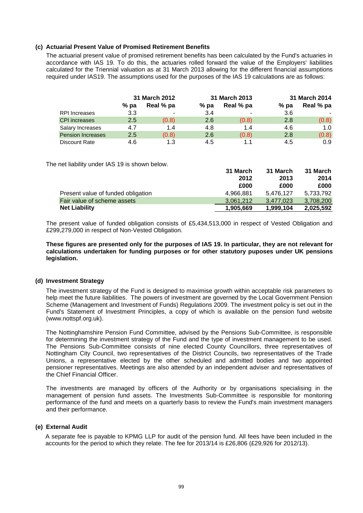## **(c) Actuarial Present Value of Promised Retirement Benefits**

The actuarial present value of promised retirement benefits has been calculated by the Fund's actuaries in accordance with IAS 19. To do this, the actuaries rolled forward the value of the Employers' liabilities calculated for the Triennial valuation as at 31 March 2013 allowing for the different financial assumptions required under IAS19. The assumptions used for the purposes of the IAS 19 calculations are as follows:

|                          |      | 31 March 2012 |        | 31 March 2013  |      | 31 March 2014 |
|--------------------------|------|---------------|--------|----------------|------|---------------|
|                          | % pa | Real % pa     | $%$ pa | Real % pa      | % pa | Real % pa     |
| RPI Increases            | 3.3  |               | 3.4    | $\blacksquare$ | 3.6  |               |
| <b>CPI</b> increases     | 2.5  | (0.8)         | 2.6    | (0.8)          | 2.8  | (0.8)         |
| Salary Increases         | 4.7  | 1.4           | 4.8    | 1.4            | 4.6  | 1.0           |
| <b>Pension Increases</b> | 2.5  | (0.8)         | 2.6    | (0.8)          | 2.8  | (0.8)         |
| Discount Rate            | 4.6  | 1.3           | 4.5    | 1.1            | 4.5  | 0.9           |

The net liability under IAS 19 is shown below.

|                                    | 31 March  | 31 March  | 31 March  |
|------------------------------------|-----------|-----------|-----------|
|                                    | 2012      | 2013      | 2014      |
|                                    | £000      | £000      | £000      |
| Present value of funded obligation | 4.966.881 | 5.476.127 | 5,733,792 |
| Fair value of scheme assets        | 3.061.212 | 3.477.023 | 3,708,200 |
| <b>Net Liability</b>               | 1,905,669 | 1.999.104 | 2,025,592 |

The present value of funded obligation consists of £5,434,513,000 in respect of Vested Obligation and £299,279,000 in respect of Non-Vested Obligation.

**These figures are presented only for the purposes of IAS 19. In particular, they are not relevant for calculations undertaken for funding purposes or for other statutory puposes under UK pensions legislation.**

## **(d) Investment Strategy**

The investment strategy of the Fund is designed to maximise growth within acceptable risk parameters to help meet the future liabilities. The powers of investment are governed by the Local Government Pension Scheme (Management and Investment of Funds) Regulations 2009. The investment policy is set out in the Fund's Statement of Investment Principles, a copy of which is available on the pension fund website (www.nottspf.org.uk).

The Nottinghamshire Pension Fund Committee, advised by the Pensions Sub-Committee, is responsible for determining the investment strategy of the Fund and the type of investment management to be used. The Pensions Sub-Committee consists of nine elected County Councillors, three representatives of Nottingham City Council, two representatives of the District Councils, two representatives of the Trade Unions, a representative elected by the other scheduled and admitted bodies and two appointed pensioner representatives. Meetings are also attended by an independent adviser and representatives of the Chief Financial Officer.

The investments are managed by officers of the Authority or by organisations specialising in the management of pension fund assets. The Investments Sub-Committee is responsible for monitoring performance of the fund and meets on a quarterly basis to review the Fund's main investment managers and their performance.

## **(e) External Audit**

A separate fee is payable to KPMG LLP for audit of the pension fund. All fees have been included in the accounts for the period to which they relate. The fee for 2013/14 is £26,806 (£29,926 for 2012/13).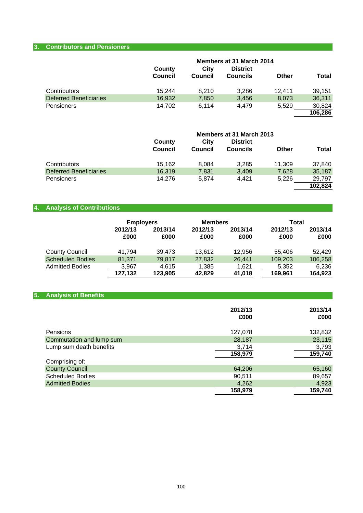## **3. Contributors and Pensioners**

|                               | County<br><b>Council</b> | City<br>Council | Members at 31 March 2014<br><b>District</b><br><b>Councils</b> | Other  | Total   |
|-------------------------------|--------------------------|-----------------|----------------------------------------------------------------|--------|---------|
| Contributors                  | 15.244                   | 8.210           | 3.286                                                          | 12.411 | 39.151  |
| <b>Deferred Beneficiaries</b> | 16,932                   | 7,850           | 3,456                                                          | 8.073  | 36,311  |
| Pensioners                    | 14.702                   | 6.114           | 4.479                                                          | 5,529  | 30,824  |
|                               |                          |                 |                                                                |        | 106,286 |

|                               | Members at 31 March 2013 |         |                 |        |              |
|-------------------------------|--------------------------|---------|-----------------|--------|--------------|
|                               | County                   | City    | <b>District</b> |        |              |
|                               | Council                  | Council | <b>Councils</b> | Other  | <b>Total</b> |
| Contributors                  | 15,162                   | 8.084   | 3.285           | 11.309 | 37,840       |
| <b>Deferred Beneficiaries</b> | 16.319                   | 7,831   | 3,409           | 7,628  | 35,187       |
| <b>Pensioners</b>             | 14.276                   | 5.874   | 4.421           | 5,226  | 29,797       |
|                               |                          |         |                 |        | 102,824      |

# **4. Analysis of Contributions**

|                         | <b>Employers</b> |                 | <b>Members</b>  |                 | Total           |                 |
|-------------------------|------------------|-----------------|-----------------|-----------------|-----------------|-----------------|
|                         | 2012/13<br>£000  | 2013/14<br>£000 | 2012/13<br>£000 | 2013/14<br>£000 | 2012/13<br>£000 | 2013/14<br>£000 |
| <b>County Council</b>   | 41.794           | 39.473          | 13.612          | 12.956          | 55.406          | 52.429          |
| <b>Scheduled Bodies</b> | 81,371           | 79.817          | 27,832          | 26.441          | 109,203         | 106,258         |
| <b>Admitted Bodies</b>  | 3.967            | 4.615           | 1,385           | 1,621           | 5,352           | 6,236           |
|                         | 127,132          | 123,905         | 42,829          | 41,018          | 169,961         | 164,923         |

| <b>Analysis of Benefits</b><br>5. |                 |                 |
|-----------------------------------|-----------------|-----------------|
|                                   | 2012/13<br>£000 | 2013/14<br>£000 |
| Pensions                          | 127,078         | 132,832         |
| Commutation and lump sum          | 28,187          | 23,115          |
| Lump sum death benefits           | 3,714           | 3,793           |
|                                   | 158,979         | 159,740         |
| Comprising of:                    |                 |                 |
| <b>County Council</b>             | 64,206          | 65,160          |
| <b>Scheduled Bodies</b>           | 90,511          | 89,657          |
| <b>Admitted Bodies</b>            | 4,262           | 4,923           |
|                                   | 158,979         | 159,740         |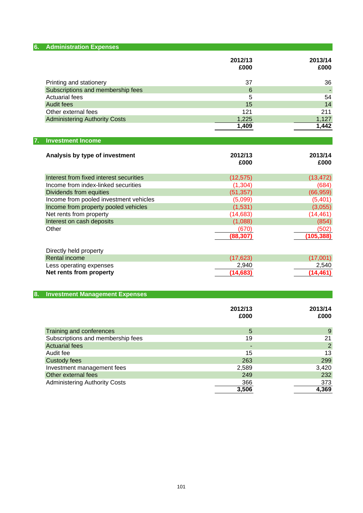| <b>Administration Expenses</b><br>6.        |                 |                |
|---------------------------------------------|-----------------|----------------|
|                                             |                 | 2013/14        |
|                                             | 2012/13<br>£000 | £000           |
|                                             |                 |                |
| Printing and stationery                     | 37              | 36             |
| Subscriptions and membership fees           | 6               |                |
| <b>Actuarial fees</b>                       | 5               | 54             |
| <b>Audit fees</b>                           | 15              | 14             |
| Other external fees                         | 121             | 211            |
| <b>Administering Authority Costs</b>        | 1,225           | 1,127          |
|                                             | 1,409           | 1,442          |
|                                             |                 |                |
| <b>Investment Income</b><br>7.              |                 |                |
|                                             |                 |                |
| Analysis by type of investment              | 2012/13         | 2013/14        |
|                                             | £000            | £000           |
|                                             |                 |                |
| Interest from fixed interest securities     | (12, 575)       | (13, 472)      |
| Income from index-linked securities         | (1, 304)        | (684)          |
| Dividends from equities                     | (51, 357)       | (66, 959)      |
| Income from pooled investment vehicles      | (5,099)         | (5,401)        |
| Income from property pooled vehicles        | (1,531)         | (3,055)        |
| Net rents from property                     | (14, 683)       | (14, 461)      |
| Interest on cash deposits                   | (1,088)         | (854)          |
| Other                                       | (670)           | (502)          |
|                                             | (88, 307)       | (105, 388)     |
|                                             |                 |                |
| Directly held property                      |                 |                |
| <b>Rental income</b>                        | (17, 623)       | (17,001)       |
| Less operating expenses                     | 2,940           | 2,540          |
| Net rents from property                     | (14, 683)       | (14, 461)      |
|                                             |                 |                |
| <b>Investment Management Expenses</b><br>8. |                 |                |
|                                             |                 |                |
|                                             | 2012/13         | 2013/14        |
|                                             | £000            | £000           |
|                                             |                 |                |
| Training and conferences                    | 5               | $9\,$          |
| Subscriptions and membership fees           | 19              | 21             |
| <b>Actuarial fees</b>                       |                 | $\overline{2}$ |
| Audit fee                                   | 15              | 13             |
| <b>Custody fees</b>                         | 263             | 299            |
| Investment management fees                  | 2,589           | 3,420          |
| Other external fees                         | 249             | 232            |
| <b>Administering Authority Costs</b>        | 366             | 373            |
|                                             | 3,506           | 4,369          |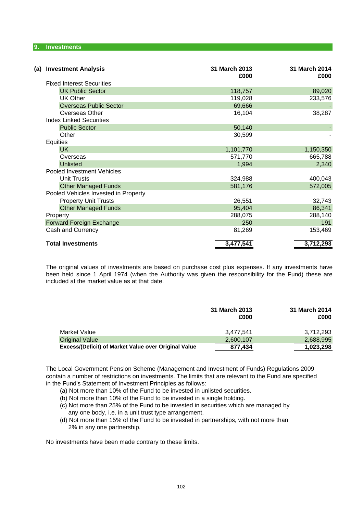### **9. Investments**

| <b>Investment Analysis</b><br>(a)    | 31 March 2013<br>£000 | 31 March 2014<br>£000 |
|--------------------------------------|-----------------------|-----------------------|
| <b>Fixed Interest Securities</b>     |                       |                       |
| <b>UK Public Sector</b>              | 118,757               | 89,020                |
| <b>UK Other</b>                      | 119,028               | 233,576               |
| <b>Overseas Public Sector</b>        | 69,666                |                       |
| Overseas Other                       | 16,104                | 38,287                |
| <b>Index Linked Securities</b>       |                       |                       |
| <b>Public Sector</b>                 | 50,140                |                       |
| Other                                | 30,599                |                       |
| <b>Equities</b>                      |                       |                       |
| <b>UK</b>                            | 1,101,770             | 1,150,350             |
| Overseas                             | 571,770               | 665,788               |
| <b>Unlisted</b>                      | 1,994                 | 2,340                 |
| <b>Pooled Investment Vehicles</b>    |                       |                       |
| <b>Unit Trusts</b>                   | 324,988               | 400,043               |
| <b>Other Managed Funds</b>           | 581,176               | 572,005               |
| Pooled Vehicles Invested in Property |                       |                       |
| <b>Property Unit Trusts</b>          | 26,551                | 32,743                |
| <b>Other Managed Funds</b>           | 95,404                | 86,341                |
| Property                             | 288,075               | 288,140               |
| Forward Foreign Exchange             | 250                   | 191                   |
| Cash and Currency                    | 81,269                | 153,469               |
| <b>Total Investments</b>             | 3,477,541             | 3,712,293             |

The original values of investments are based on purchase cost plus expenses. If any investments have been held since 1 April 1974 (when the Authority was given the responsibility for the Fund) these are included at the market value as at that date.

|                                                      | 31 March 2013<br>£000 | 31 March 2014<br>£000 |
|------------------------------------------------------|-----------------------|-----------------------|
| Market Value                                         | 3.477.541             | 3.712.293             |
| <b>Original Value</b>                                | 2,600,107             | 2,688,995             |
| Excess/(Deficit) of Market Value over Original Value | 877,434               | 1,023,298             |

The Local Government Pension Scheme (Management and Investment of Funds) Regulations 2009 contain a number of restrictions on investments. The limits that are relevant to the Fund are specified in the Fund's Statement of Investment Principles as follows:

- (a) Not more than 10% of the Fund to be invested in unlisted securities.
- (b) Not more than 10% of the Fund to be invested in a single holding.
- (c) Not more than 25% of the Fund to be invested in securities which are managed by any one body, i.e. in a unit trust type arrangement.
- (d) Not more than 15% of the Fund to be invested in partnerships, with not more than 2% in any one partnership.

No investments have been made contrary to these limits.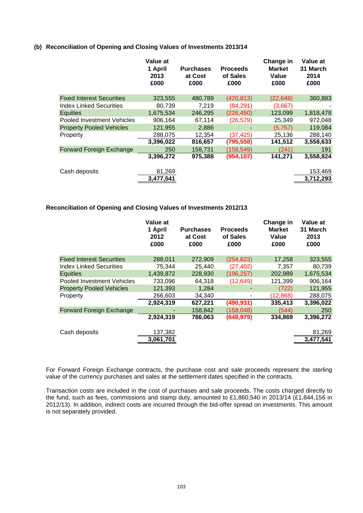## **(b) Reconciliation of Opening and Closing Values of Investments 2013/14**

|                                  | Value at<br>1 April<br>2013<br>£000 | <b>Purchases</b><br>at Cost<br>£000 | <b>Proceeds</b><br>of Sales<br>£000 | Change in<br><b>Market</b><br>Value<br>£000 | Value at<br>31 March<br>2014<br>£000 |
|----------------------------------|-------------------------------------|-------------------------------------|-------------------------------------|---------------------------------------------|--------------------------------------|
| <b>Fixed Interest Securities</b> | 323,555                             | 480,789                             | (420, 813)                          | (22, 648)                                   | 360,883                              |
| <b>Index Linked Securities</b>   | 80.739                              | 7,219                               | (84, 291)                           | (3,667)                                     |                                      |
| <b>Equities</b>                  | 1,675,534                           | 246,295                             | (226, 450)                          | 123,099                                     | 1,818,478                            |
| Pooled Investment Vehicles       | 906,164                             | 67,114                              | (26, 579)                           | 25,349                                      | 972,048                              |
| <b>Property Pooled Vehicles</b>  | 121,955                             | 2,886                               |                                     | (5,757)                                     | 119,084                              |
| Property                         | 288,075                             | 12,354                              | (37, 425)                           | 25,136                                      | 288,140                              |
|                                  | 3,396,022                           | 816,657                             | (795, 558)                          | 141,512                                     | 3,558,633                            |
| Forward Foreign Exchange         | 250                                 | 158,731                             | (158, 549)                          | (241)                                       | 191                                  |
|                                  | 3,396,272                           | 975,388                             | (954, 107)                          | 141,271                                     | 3,558,824                            |
| Cash deposits                    | 81,269                              |                                     |                                     |                                             | 153,469                              |
|                                  | 3,477,541                           |                                     |                                     |                                             | 3,712,293                            |

## **Reconciliation of Opening and Closing Values of Investments 2012/13**

|                                  | Value at<br>1 April<br>2012<br>£000 | <b>Purchases</b><br>at Cost<br>£000 | <b>Proceeds</b><br>of Sales<br>£000 | Change in<br><b>Market</b><br>Value<br>£000 | Value at<br>31 March<br>2013<br>£000 |
|----------------------------------|-------------------------------------|-------------------------------------|-------------------------------------|---------------------------------------------|--------------------------------------|
| <b>Fixed Interest Securities</b> | 288,011                             | 272,909                             | (254, 623)                          | 17,258                                      | 323,555                              |
| <b>Index Linked Securities</b>   | 75,344                              | 25,440                              | (27, 402)                           | 7,357                                       | 80,739                               |
| <b>Equities</b>                  | 1,439,872                           | 228,930                             | (196, 257)                          | 202,989                                     | 1,675,534                            |
| Pooled Investment Vehicles       | 733,096                             | 64,318                              | (12, 649)                           | 121,399                                     | 906,164                              |
| <b>Property Pooled Vehicles</b>  | 121,393                             | 1,284                               |                                     | (722)                                       | 121,955                              |
| Property                         | 266,603                             | 34.340                              |                                     | (12,868)                                    | 288,075                              |
|                                  | 2,924,319                           | 627,221                             | (490, 931)                          | 335,413                                     | 3,396,022                            |
| <b>Forward Foreign Exchange</b>  |                                     | 158,842                             | (158, 048)                          | (544)                                       | 250                                  |
|                                  | 2,924,319                           | 786,063                             | (648, 979)                          | 334,869                                     | 3,396,272                            |
| Cash deposits                    | 137,382                             |                                     |                                     |                                             | 81,269                               |
|                                  | 3,061,701                           |                                     |                                     |                                             | 3,477,541                            |
|                                  |                                     |                                     |                                     |                                             |                                      |

For Forward Foreign Exchange contracts, the purchase cost and sale proceeds represent the sterling value of the currency purchases and sales at the settlement dates specified in the contracts.

Transaction costs are included in the cost of purchases and sale proceeds. The costs charged directly to the fund, such as fees, commissions and stamp duty, amounted to £1,860,540 in 2013/14 (£1,844,156 in 2012/13). In addition, indirect costs are incurred through the bid-offer spread on investments. This amount is not separately provided.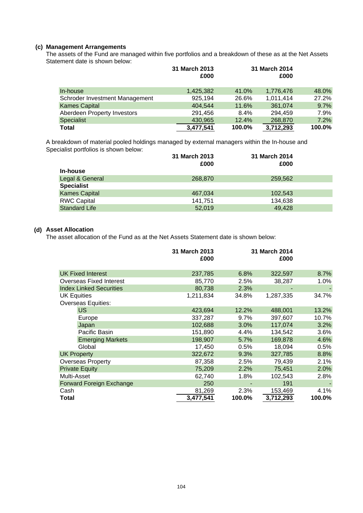## **(c) Management Arrangements**

The assets of the Fund are managed within five portfolios and a breakdown of these as at the Net Assets Statement date is shown below:

|                                | 31 March 2013<br>£000 |        | 31 March 2014<br>£000 |        |
|--------------------------------|-----------------------|--------|-----------------------|--------|
| In-house                       | 1,425,382             | 41.0%  | 1,776,476             | 48.0%  |
| Schroder Investment Management | 925.194               | 26.6%  | 1,011,414             | 27.2%  |
| <b>Kames Capital</b>           | 404.544               | 11.6%  | 361.074               | 9.7%   |
| Aberdeen Property Investors    | 291,456               | 8.4%   | 294.459               | 7.9%   |
| Specialist                     | 430,965               | 12.4%  | 268,870               | 7.2%   |
| Total                          | 3,477,541             | 100.0% | 3,712,293             | 100.0% |

A breakdown of material pooled holdings managed by external managers within the In-house and Specialist portfolios is shown below:

|                      | 31 March 2013 | 31 March 2014 |  |
|----------------------|---------------|---------------|--|
|                      | £000          | £000          |  |
| In-house             |               |               |  |
| Legal & General      | 268,870       | 259.562       |  |
| <b>Specialist</b>    |               |               |  |
| <b>Kames Capital</b> | 467,034       | 102.543       |  |
| <b>RWC Capital</b>   | 141,751       | 134,638       |  |
| <b>Standard Life</b> | 52,019        | 49.428        |  |

## **(d) Asset Allocation**

The asset allocation of the Fund as at the Net Assets Statement date is shown below:

|                    |                                | 31 March 2013<br>£000 |        | 31 March 2014<br>£000 |         |
|--------------------|--------------------------------|-----------------------|--------|-----------------------|---------|
|                    | <b>UK Fixed Interest</b>       | 237,785               | 6.8%   | 322,597               | 8.7%    |
|                    | <b>Overseas Fixed Interest</b> | 85.770                | 2.5%   | 38,287                | $1.0\%$ |
|                    | <b>Index Linked Securities</b> | 80,738                | 2.3%   |                       |         |
| <b>UK Equities</b> |                                | 1,211,834             | 34.8%  | 1,287,335             | 34.7%   |
|                    | <b>Overseas Equities:</b>      |                       |        |                       |         |
|                    | <b>US</b>                      | 423,694               | 12.2%  | 488,001               | 13.2%   |
|                    | Europe                         | 337,287               | 9.7%   | 397,607               | 10.7%   |
|                    | Japan                          | 102,688               | 3.0%   | 117,074               | 3.2%    |
|                    | Pacific Basin                  | 151,890               | 4.4%   | 134,542               | 3.6%    |
|                    | <b>Emerging Markets</b>        | 198,907               | 5.7%   | 169,878               | 4.6%    |
|                    | Global                         | 17,450                | 0.5%   | 18,094                | 0.5%    |
|                    | <b>UK Property</b>             | 322,672               | 9.3%   | 327,785               | 8.8%    |
|                    | <b>Overseas Property</b>       | 87,358                | 2.5%   | 79,439                | 2.1%    |
|                    | <b>Private Equity</b>          | 75,209                | 2.2%   | 75,451                | 2.0%    |
| Multi-Asset        |                                | 62,740                | 1.8%   | 102,543               | 2.8%    |
|                    | Forward Foreign Exchange       | 250                   |        | 191                   |         |
| Cash               |                                | 81,269                | 2.3%   | 153,469               | 4.1%    |
| Total              |                                | 3,477,541             | 100.0% | 3,712,293             | 100.0%  |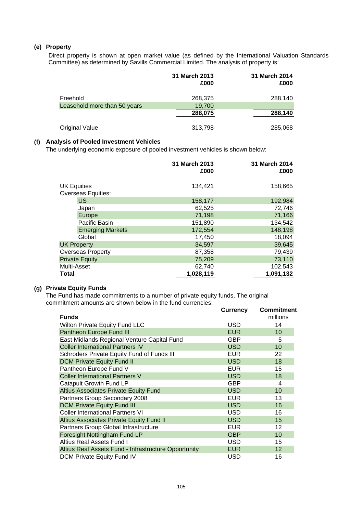## **(e) Property**

Direct property is shown at open market value (as defined by the International Valuation Standards Committee) as determined by Savills Commercial Limited. The analysis of property is:

|                              | 31 March 2013<br>£000 | <b>31 March 2014</b><br>£000 |
|------------------------------|-----------------------|------------------------------|
| Freehold                     | 268,375               | 288,140                      |
| Leasehold more than 50 years | 19,700                |                              |
|                              | 288,075               | 288,140                      |
| <b>Original Value</b>        | 313,798               | 285,068                      |

# **(f) Analysis of Pooled Investment Vehicles**

The underlying economic exposure of pooled investment vehicles is shown below:

|                    |                           | 31 March 2013<br>£000 | 31 March 2014<br>£000 |
|--------------------|---------------------------|-----------------------|-----------------------|
| <b>UK Equities</b> | <b>Overseas Equities:</b> | 134,421               | 158,665               |
|                    | <b>US</b>                 | 158,177               | 192,984               |
|                    | Japan                     | 62,525                | 72,746                |
|                    | Europe                    | 71,198                | 71,166                |
|                    | Pacific Basin             | 151,890               | 134,542               |
|                    | <b>Emerging Markets</b>   | 172,554               | 148,198               |
|                    | Global                    | 17,450                | 18,094                |
| <b>UK Property</b> |                           | 34,597                | 39,645                |
|                    | <b>Overseas Property</b>  | 87,358                | 79,439                |
|                    | <b>Private Equity</b>     | 75,209                | 73,110                |
| Multi-Asset        |                           | 62,740                | 102,543               |
| <b>Total</b>       |                           | 1,028,119             | 1,091,132             |

# **(g) Private Equity Funds**

The Fund has made commitments to a number of private equity funds. The original commitment amounts are shown below in the fund currencies:

|                                                      | <b>Currency</b> | Commitment      |
|------------------------------------------------------|-----------------|-----------------|
| <b>Funds</b>                                         |                 | millions        |
| <b>Wilton Private Equity Fund LLC</b>                | <b>USD</b>      | 14              |
| Pantheon Europe Fund III                             | <b>EUR</b>      | 10              |
| East Midlands Regional Venture Capital Fund          | GBP             | 5               |
| <b>Coller International Partners IV</b>              | <b>USD</b>      | 10              |
| Schroders Private Equity Fund of Funds III           | <b>EUR</b>      | 22              |
| <b>DCM Private Equity Fund II</b>                    | <b>USD</b>      | 18              |
| Pantheon Europe Fund V                               | <b>EUR</b>      | 15              |
| <b>Coller International Partners V</b>               | <b>USD</b>      | 18              |
| Catapult Growth Fund LP                              | <b>GBP</b>      | 4               |
| Altius Associates Private Equity Fund                | <b>USD</b>      | 10              |
| Partners Group Secondary 2008                        | <b>EUR</b>      | 13              |
| <b>DCM Private Equity Fund III</b>                   | <b>USD</b>      | 16              |
| <b>Coller International Partners VI</b>              | <b>USD</b>      | 16              |
| Altius Associates Private Equity Fund II             | <b>USD</b>      | 15              |
| Partners Group Global Infrastructure                 | <b>EUR</b>      | 12              |
| Foresight Nottingham Fund LP                         | <b>GBP</b>      | 10              |
| Altius Real Assets Fund I                            | <b>USD</b>      | 15              |
| Altius Real Assets Fund - Infrastructure Opportunity | <b>EUR</b>      | 12 <sup>2</sup> |
| <b>DCM Private Equity Fund IV</b>                    | USD             | 16              |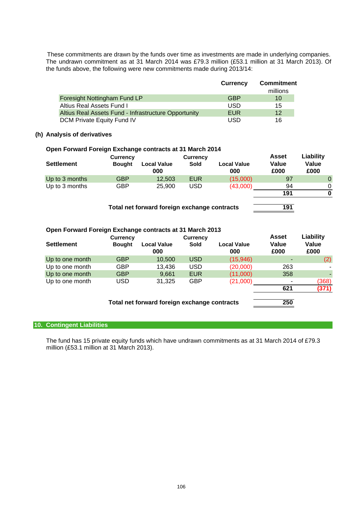the funds above, the following were new commitments made during 2013/14: The undrawn commitment as at 31 March 2014 was £79.3 million (£53.1 million at 31 March 2013). Of These commitments are drawn by the funds over time as investments are made in underlying companies.

|                                                      | <b>Currency</b> | <b>Commitment</b><br>millions |
|------------------------------------------------------|-----------------|-------------------------------|
| Foresight Nottingham Fund LP                         | <b>GBP</b>      | 10                            |
| Altius Real Assets Fund I                            | USD             | 15                            |
| Altius Real Assets Fund - Infrastructure Opportunity | EUR             | $12 \overline{ }$             |
| DCM Private Equity Fund IV                           | USD             | 16                            |

## **(h) Analysis of derivatives**

## **Open Forward Foreign Exchange contracts at 31 March 2014**

|                   | <b>Currency</b> |                           | <b>Currency</b> |                           | <b>Asset</b>  | Liability      |
|-------------------|-----------------|---------------------------|-----------------|---------------------------|---------------|----------------|
| <b>Settlement</b> | <b>Bought</b>   | <b>Local Value</b><br>000 | Sold            | <b>Local Value</b><br>000 | Value<br>£000 | Value<br>£000  |
| Up to 3 months    | GBP             | 12,503                    | <b>EUR</b>      | (15,000)                  | 97            | $\overline{0}$ |
| Up to 3 months    | GBP             | 25,900                    | <b>USD</b>      | (43,000)                  | 94            |                |
|                   |                 |                           |                 |                           | 191           | 0              |

**Total net forward foreign exchange contracts 191**

## **Open Forward Foreign Exchange contracts at 31 March 2013**

|                   | <b>Currency</b> |                                              | <b>Currency</b> |                           | <b>Asset</b>  | <b>Liability</b> |
|-------------------|-----------------|----------------------------------------------|-----------------|---------------------------|---------------|------------------|
| <b>Settlement</b> | <b>Bought</b>   | <b>Local Value</b><br>000                    | Sold            | <b>Local Value</b><br>000 | Value<br>£000 | Value<br>£000    |
| Up to one month   | GBP             | 10,500                                       | <b>USD</b>      | (15,946)                  |               | (2)              |
| Up to one month   | GBP             | 13,436                                       | <b>USD</b>      | (20,000)                  | 263           |                  |
| Up to one month   | <b>GBP</b>      | 9,661                                        | <b>EUR</b>      | (11,000)                  | 358           |                  |
| Up to one month   | USD             | 31.325                                       | <b>GBP</b>      | (21,000)                  |               | (368)            |
|                   |                 |                                              |                 |                           | 621           | (371)            |
|                   |                 | Total net forward foreign exchange contracts |                 |                           | 250           |                  |

## **10. Contingent Liabilities**

The fund has 15 private equity funds which have undrawn commitments as at 31 March 2014 of £79.3 million (£53.1 million at 31 March 2013).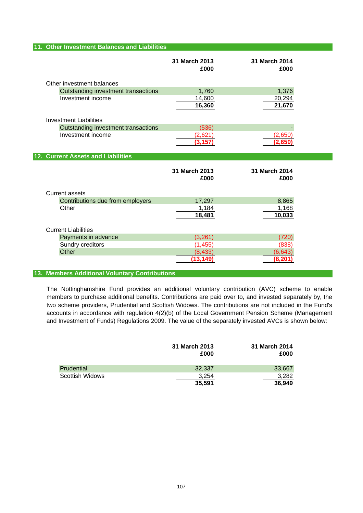## **11. Other Investment Balances and Liabilities**

|                                     | 31 March 2013<br>£000 | 31 March 2014<br>£000 |
|-------------------------------------|-----------------------|-----------------------|
| Other investment balances           |                       |                       |
| Outstanding investment transactions | 1,760                 | 1,376                 |
| Investment income                   | 14,600                | 20,294                |
|                                     | 16,360                | 21,670                |
| <b>Investment Liabilities</b>       |                       |                       |
| Outstanding investment transactions | (536)                 |                       |
| Investment income                   | (2,621)               | (2,650)               |
|                                     | (3, 157)              | (2,650)               |
| 12. Current Assets and Liabilities  |                       |                       |
|                                     |                       |                       |
|                                     | 31 March 2013<br>£000 | 31 March 2014<br>£000 |
| <b>Current assets</b>               |                       |                       |
| Contributions due from employers    | 17,297                | 8,865                 |
| Other                               | 1,184                 | 1,168                 |
|                                     | 18,481                | 10,033                |
| <b>Current Liabilities</b>          |                       |                       |
| Payments in advance                 | (3,261)               | (720)                 |
| Sundry creditors                    | (1, 455)              | (838)                 |
| Other                               | (8, 433)              | (6, 643)              |

## **13. Members Additional Voluntary Contributions**

The Nottinghamshire Fund provides an additional voluntary contribution (AVC) scheme to enable members to purchase additional benefits. Contributions are paid over to, and invested separately by, the two scheme providers, Prudential and Scottish Widows. The contributions are not included in the Fund's accounts in accordance with regulation 4(2)(b) of the Local Government Pension Scheme (Management and Investment of Funds) Regulations 2009. The value of the separately invested AVCs is shown below:

|                 | 31 March 2013<br>£000 | 31 March 2014<br>£000 |
|-----------------|-----------------------|-----------------------|
| Prudential      | 32,337                | 33,667                |
| Scottish Widows | 3.254                 | 3,282                 |
|                 | 35,591                | 36.949                |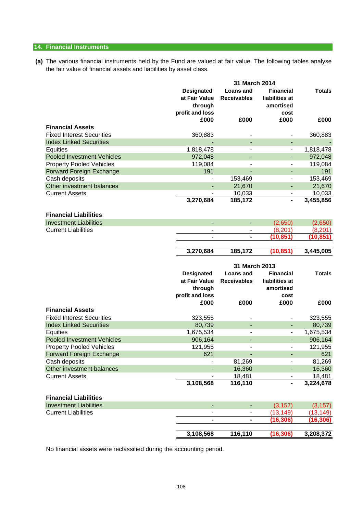## **14. Financial Instruments**

**(a)** The various financial instruments held by the Fund are valued at fair value. The following tables analyse the fair value of financial assets and liabilities by asset class.

|                                               |                                                                  | 31 March 2014                          |                                                         |                     |
|-----------------------------------------------|------------------------------------------------------------------|----------------------------------------|---------------------------------------------------------|---------------------|
|                                               | <b>Designated</b><br>at Fair Value<br>through<br>profit and loss | <b>Loans and</b><br><b>Receivables</b> | <b>Financial</b><br>liabilities at<br>amortised<br>cost | <b>Totals</b>       |
|                                               | £000                                                             | £000                                   | £000                                                    | £000                |
| <b>Financial Assets</b>                       |                                                                  |                                        |                                                         |                     |
| <b>Fixed Interest Securities</b>              | 360,883                                                          |                                        |                                                         | 360,883             |
| <b>Index Linked Securities</b>                |                                                                  |                                        | ٠                                                       |                     |
| Equities                                      | 1,818,478                                                        |                                        | $\qquad \qquad \blacksquare$                            | 1,818,478           |
| <b>Pooled Investment Vehicles</b>             | 972,048                                                          |                                        | ٠                                                       | 972,048             |
| <b>Property Pooled Vehicles</b>               | 119,084                                                          |                                        | $\overline{\phantom{0}}$                                | 119,084             |
| Forward Foreign Exchange                      | 191                                                              |                                        |                                                         | 191                 |
| Cash deposits                                 |                                                                  | 153,469                                | $\qquad \qquad \blacksquare$                            | 153,469             |
| Other investment balances                     |                                                                  | 21,670                                 | ٠                                                       | 21,670              |
| <b>Current Assets</b>                         | 3,270,684                                                        | 10,033<br>185,172                      | $\qquad \qquad \blacksquare$<br>$\blacksquare$          | 10,033<br>3,455,856 |
|                                               |                                                                  |                                        |                                                         |                     |
| <b>Financial Liabilities</b>                  |                                                                  |                                        |                                                         |                     |
| <b>Investment Liabilities</b>                 |                                                                  | $\overline{\phantom{a}}$               | (2,650)                                                 | (2,650)             |
| <b>Current Liabilities</b>                    |                                                                  |                                        | (8, 201)                                                | (8, 201)            |
|                                               |                                                                  |                                        | (10, 851)                                               | (10, 851)           |
|                                               |                                                                  |                                        |                                                         |                     |
|                                               | 3,270,684                                                        | 185,172                                | (10, 851)                                               | 3,445,005           |
|                                               |                                                                  |                                        |                                                         |                     |
|                                               |                                                                  |                                        |                                                         |                     |
|                                               |                                                                  | 31 March 2013                          |                                                         |                     |
|                                               | <b>Designated</b>                                                | <b>Loans and</b>                       | <b>Financial</b>                                        | <b>Totals</b>       |
|                                               | at Fair Value                                                    | <b>Receivables</b>                     | liabilities at                                          |                     |
|                                               | through                                                          |                                        | amortised                                               |                     |
|                                               | profit and loss                                                  |                                        | cost                                                    |                     |
|                                               | £000                                                             | £000                                   | £000                                                    | £000                |
| <b>Financial Assets</b>                       |                                                                  |                                        |                                                         |                     |
| <b>Fixed Interest Securities</b>              | 323,555                                                          | $\overline{\phantom{m}}$               | ٠                                                       | 323,555             |
| <b>Index Linked Securities</b>                | 80,739                                                           | $\overline{\phantom{0}}$               | $\qquad \qquad \blacksquare$                            | 80,739              |
| Equities<br><b>Pooled Investment Vehicles</b> | 1,675,534                                                        | ٠                                      | ٠                                                       | 1,675,534           |
| <b>Property Pooled Vehicles</b>               | 906,164<br>121,955                                               | ÷                                      | ٠                                                       | 906,164<br>121,955  |
| <b>Forward Foreign Exchange</b>               | 621                                                              |                                        |                                                         | 621                 |
| Cash deposits                                 |                                                                  | 81,269                                 |                                                         | 81,269              |
| Other investment balances                     |                                                                  | 16,360                                 | ٠                                                       | 16,360              |
| <b>Current Assets</b>                         |                                                                  | 18,481                                 |                                                         | 18,481              |
|                                               | 3,108,568                                                        | 116,110                                | $\blacksquare$                                          | 3,224,678           |
|                                               |                                                                  |                                        |                                                         |                     |
| <b>Financial Liabilities</b>                  |                                                                  |                                        |                                                         |                     |
| <b>Investment Liabilities</b>                 | $\blacksquare$                                                   | ٠                                      | (3, 157)                                                | (3, 157)            |
| <b>Current Liabilities</b>                    |                                                                  |                                        | (13, 149)                                               | (13, 149)           |
|                                               |                                                                  |                                        | (16, 306)                                               | (16, 306)           |

No financial assets were reclassified during the accounting period.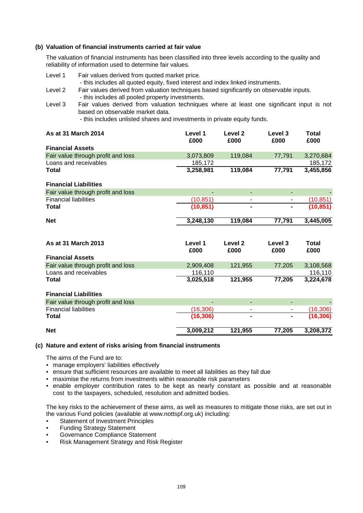## **(b) Valuation of financial instruments carried at fair value**

The valuation of financial instruments has been classified into three levels according to the quality and reliability of information used to determine fair values.

| Level 1                            | Fair values derived from quoted market price.<br>- this includes all quoted equity, fixed interest and index linked instruments.            |                 |                 |                          |               |
|------------------------------------|---------------------------------------------------------------------------------------------------------------------------------------------|-----------------|-----------------|--------------------------|---------------|
| Level 2                            | Fair values derived from valuation techniques based significantly on observable inputs.<br>- this includes all pooled property investments. |                 |                 |                          |               |
| Level 3                            | Fair values derived from valuation techniques where at least one significant input is not<br>based on observable market data.               |                 |                 |                          |               |
|                                    | - this includes unlisted shares and investments in private equity funds.                                                                    |                 |                 |                          |               |
| As at 31 March 2014                |                                                                                                                                             | Level 1<br>£000 | Level 2<br>£000 | Level 3<br>£000          | Total<br>£000 |
| <b>Financial Assets</b>            |                                                                                                                                             |                 |                 |                          |               |
|                                    | Fair value through profit and loss                                                                                                          | 3,073,809       | 119,084         | 77,791                   | 3,270,684     |
| Loans and receivables              |                                                                                                                                             | 185,172         |                 |                          | 185,172       |
| Total                              |                                                                                                                                             | 3,258,981       | 119,084         | 77,791                   | 3,455,856     |
| <b>Financial Liabilities</b>       |                                                                                                                                             |                 |                 |                          |               |
| Fair value through profit and loss |                                                                                                                                             |                 | ÷,              |                          |               |
| <b>Financial liabilities</b>       |                                                                                                                                             | (10, 851)       | $\blacksquare$  | $\overline{\phantom{a}}$ | (10, 851)     |
| <b>Total</b>                       |                                                                                                                                             | (10, 851)       |                 |                          | (10, 851)     |
| <b>Net</b>                         |                                                                                                                                             | 3,248,130       | 119,084         | 77,791                   | 3,445,005     |
|                                    |                                                                                                                                             |                 |                 |                          |               |
| As at 31 March 2013                |                                                                                                                                             | Level 1         | Level 2         | Level 3                  | <b>Total</b>  |
|                                    |                                                                                                                                             | £000            | £000            | £000                     | £000          |
| <b>Financial Assets</b>            |                                                                                                                                             |                 |                 |                          |               |
|                                    | Fair value through profit and loss                                                                                                          | 2,909,408       | 121,955         | 77,205                   | 3,108,568     |
| Loans and receivables              |                                                                                                                                             | 116,110         |                 |                          | 116,110       |
| Total                              |                                                                                                                                             | 3,025,518       | 121,955         | 77,205                   | 3,224,678     |

| <b>Financial Liabilities</b> |                                    |
|------------------------------|------------------------------------|
|                              | Fair value through profit and loss |

| <b>Net</b>                         | 3,009,212 | 121.955        | 77.205         | 3,208,372 |
|------------------------------------|-----------|----------------|----------------|-----------|
| <b>Total</b>                       | (16, 306) | $\blacksquare$ | $\blacksquare$ | (16, 306) |
| <b>Financial liabilities</b>       | (16.306)  | ۰              |                | (16,306)  |
| Fair value through profit and loss | -         | -              | -              |           |

## **(c) Nature and extent of risks arising from financial instruments**

The aims of the Fund are to:

- manage employers' liabilities effectively
- ensure that sufficient resources are available to meet all liabilities as they fall due
- maximise the returns from investments within reasonable risk parameters
- enable employer contribution rates to be kept as nearly constant as possible and at reasonable cost to the taxpayers, scheduled, resolution and admitted bodies.

The key risks to the achievement of these aims, as well as measures to mitigate those risks, are set out in the various Fund policies (available at www.nottspf.org.uk) including:

- Statement of Investment Principles
- Funding Strategy Statement
- Governance Compliance Statement
- Risk Management Strategy and Risk Register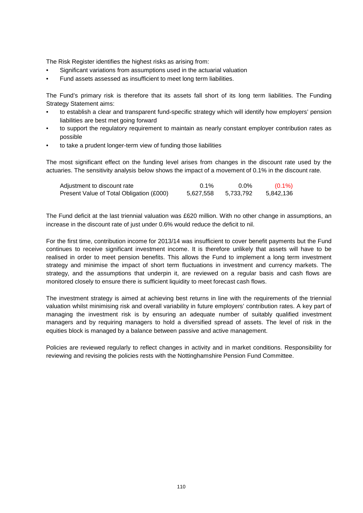The Risk Register identifies the highest risks as arising from:

- Significant variations from assumptions used in the actuarial valuation
- Fund assets assessed as insufficient to meet long term liabilities.

The Fund's primary risk is therefore that its assets fall short of its long term liabilities. The Funding Strategy Statement aims:

- to establish a clear and transparent fund-specific strategy which will identify how employers' pension liabilities are best met going forward
- to support the regulatory requirement to maintain as nearly constant employer contribution rates as possible
- to take a prudent longer-term view of funding those liabilities

The most significant effect on the funding level arises from changes in the discount rate used by the actuaries. The sensitivity analysis below shows the impact of a movement of 0.1% in the discount rate.

| Adjustment to discount rate              | $0.1\%$   | $0.0\%$   | $(0.1\%)$ |
|------------------------------------------|-----------|-----------|-----------|
| Present Value of Total Obligation (£000) | 5,627,558 | 5,733,792 | 5,842,136 |

The Fund deficit at the last triennial valuation was £620 million. With no other change in assumptions, an increase in the discount rate of just under 0.6% would reduce the deficit to nil.

For the first time, contribution income for 2013/14 was insufficient to cover benefit payments but the Fund continues to receive significant investment income. It is therefore unlikely that assets will have to be realised in order to meet pension benefits. This allows the Fund to implement a long term investment strategy and minimise the impact of short term fluctuations in investment and currency markets. The strategy, and the assumptions that underpin it, are reviewed on a regular basis and cash flows are monitored closely to ensure there is sufficient liquidity to meet forecast cash flows.

The investment strategy is aimed at achieving best returns in line with the requirements of the triennial valuation whilst minimising risk and overall variability in future employers' contribution rates. A key part of managing the investment risk is by ensuring an adequate number of suitably qualified investment managers and by requiring managers to hold a diversified spread of assets. The level of risk in the equities block is managed by a balance between passive and active management.

Policies are reviewed regularly to reflect changes in activity and in market conditions. Responsibility for reviewing and revising the policies rests with the Nottinghamshire Pension Fund Committee.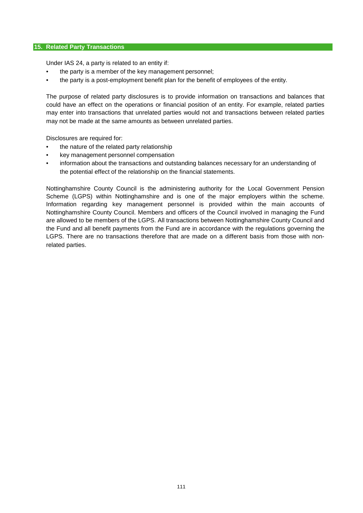## **15. Related Party Transactions**

Under IAS 24, a party is related to an entity if:

- the party is a member of the key management personnel;
- the party is a post-employment benefit plan for the benefit of employees of the entity.

The purpose of related party disclosures is to provide information on transactions and balances that could have an effect on the operations or financial position of an entity. For example, related parties may enter into transactions that unrelated parties would not and transactions between related parties may not be made at the same amounts as between unrelated parties.

Disclosures are required for:

- the nature of the related party relationship
- key management personnel compensation
- information about the transactions and outstanding balances necessary for an understanding of the potential effect of the relationship on the financial statements.

Nottinghamshire County Council is the administering authority for the Local Government Pension Scheme (LGPS) within Nottinghamshire and is one of the major employers within the scheme. Information regarding key management personnel is provided within the main accounts of Nottinghamshire County Council. Members and officers of the Council involved in managing the Fund are allowed to be members of the LGPS. All transactions between Nottinghamshire County Council and the Fund and all benefit payments from the Fund are in accordance with the regulations governing the LGPS. There are no transactions therefore that are made on a different basis from those with nonrelated parties.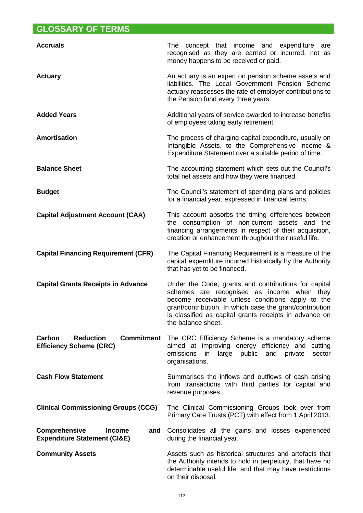## **GLOSSARY OF TERMS**

| <b>Accruals</b>                                                                         | The concept that income and expenditure are<br>recognised as they are earned or incurred, not as<br>money happens to be received or paid.                                                                                                                                                          |
|-----------------------------------------------------------------------------------------|----------------------------------------------------------------------------------------------------------------------------------------------------------------------------------------------------------------------------------------------------------------------------------------------------|
| <b>Actuary</b>                                                                          | An actuary is an expert on pension scheme assets and<br>liabilities. The Local Government Pension Scheme<br>actuary reassesses the rate of employer contributions to<br>the Pension fund every three years.                                                                                        |
| <b>Added Years</b>                                                                      | Additional years of service awarded to increase benefits<br>of employees taking early retirement.                                                                                                                                                                                                  |
| <b>Amortisation</b>                                                                     | The process of charging capital expenditure, usually on<br>Intangible Assets, to the Comprehensive Income &<br>Expenditure Statement over a suitable period of time.                                                                                                                               |
| <b>Balance Sheet</b>                                                                    | The accounting statement which sets out the Council's<br>total net assets and how they were financed.                                                                                                                                                                                              |
| <b>Budget</b>                                                                           | The Council's statement of spending plans and policies<br>for a financial year, expressed in financial terms.                                                                                                                                                                                      |
| <b>Capital Adjustment Account (CAA)</b>                                                 | This account absorbs the timing differences between<br>the consumption of non-current assets and the<br>financing arrangements in respect of their acquisition,<br>creation or enhancement throughout their useful life.                                                                           |
| <b>Capital Financing Requirement (CFR)</b>                                              | The Capital Financing Requirement is a measure of the<br>capital expenditure incurred historically by the Authority<br>that has yet to be financed.                                                                                                                                                |
| <b>Capital Grants Receipts in Advance</b>                                               | Under the Code, grants and contributions for capital<br>schemes are recognised as income when they<br>become receivable unless conditions apply to the<br>grant/contribution. In which case the grant/contribution<br>is classified as capital grants receipts in advance on<br>the balance sheet. |
| <b>Reduction</b><br><b>Commitment</b><br>Carbon<br><b>Efficiency Scheme (CRC)</b>       | The CRC Efficiency Scheme is a mandatory scheme<br>aimed at improving energy efficiency and cutting<br>public<br>emissions<br>large<br>and<br>in<br>private<br>sector<br>organisations.                                                                                                            |
| <b>Cash Flow Statement</b>                                                              | Summarises the inflows and outflows of cash arising<br>from transactions with third parties for capital and<br>revenue purposes.                                                                                                                                                                   |
| <b>Clinical Commissioning Groups (CCG)</b>                                              | The Clinical Commissioning Groups took over from<br>Primary Care Trusts (PCT) with effect from 1 April 2013.                                                                                                                                                                                       |
| <b>Comprehensive</b><br><b>Income</b><br>and<br><b>Expenditure Statement (CI&amp;E)</b> | Consolidates all the gains and losses experienced<br>during the financial year.                                                                                                                                                                                                                    |
| <b>Community Assets</b>                                                                 | Assets such as historical structures and artefacts that<br>the Authority intends to hold in perpetuity, that have no<br>determinable useful life, and that may have restrictions<br>on their disposal.                                                                                             |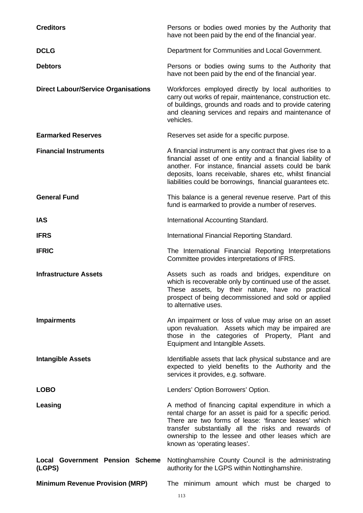| <b>Creditors</b>                                 | Persons or bodies owed monies by the Authority that<br>have not been paid by the end of the financial year.                                                                                                                                                                                                            |  |  |
|--------------------------------------------------|------------------------------------------------------------------------------------------------------------------------------------------------------------------------------------------------------------------------------------------------------------------------------------------------------------------------|--|--|
| <b>DCLG</b>                                      | Department for Communities and Local Government.                                                                                                                                                                                                                                                                       |  |  |
| <b>Debtors</b>                                   | Persons or bodies owing sums to the Authority that<br>have not been paid by the end of the financial year.                                                                                                                                                                                                             |  |  |
| <b>Direct Labour/Service Organisations</b>       | Workforces employed directly by local authorities to<br>carry out works of repair, maintenance, construction etc.<br>of buildings, grounds and roads and to provide catering<br>and cleaning services and repairs and maintenance of<br>vehicles.                                                                      |  |  |
| <b>Earmarked Reserves</b>                        | Reserves set aside for a specific purpose.                                                                                                                                                                                                                                                                             |  |  |
| <b>Financial Instruments</b>                     | A financial instrument is any contract that gives rise to a<br>financial asset of one entity and a financial liability of<br>another. For instance, financial assets could be bank<br>deposits, loans receivable, shares etc, whilst financial<br>liabilities could be borrowings, financial guarantees etc.           |  |  |
| <b>General Fund</b>                              | This balance is a general revenue reserve. Part of this<br>fund is earmarked to provide a number of reserves.                                                                                                                                                                                                          |  |  |
| <b>IAS</b>                                       | International Accounting Standard.                                                                                                                                                                                                                                                                                     |  |  |
| <b>IFRS</b>                                      | International Financial Reporting Standard.                                                                                                                                                                                                                                                                            |  |  |
| <b>IFRIC</b>                                     | The International Financial Reporting Interpretations<br>Committee provides interpretations of IFRS.                                                                                                                                                                                                                   |  |  |
| <b>Infrastructure Assets</b>                     | Assets such as roads and bridges, expenditure on<br>which is recoverable only by continued use of the asset.<br>These assets, by their nature, have no practical<br>prospect of being decommissioned and sold or applied<br>to alternative uses.                                                                       |  |  |
| <b>Impairments</b>                               | An impairment or loss of value may arise on an asset<br>upon revaluation. Assets which may be impaired are<br>those in the categories of Property, Plant and<br>Equipment and Intangible Assets.                                                                                                                       |  |  |
| <b>Intangible Assets</b>                         | Identifiable assets that lack physical substance and are<br>expected to yield benefits to the Authority and the<br>services it provides, e.g. software.                                                                                                                                                                |  |  |
| <b>LOBO</b>                                      | Lenders' Option Borrowers' Option.                                                                                                                                                                                                                                                                                     |  |  |
| Leasing                                          | A method of financing capital expenditure in which a<br>rental charge for an asset is paid for a specific period.<br>There are two forms of lease: 'finance leases' which<br>transfer substantially all the risks and rewards of<br>ownership to the lessee and other leases which are<br>known as 'operating leases'. |  |  |
| <b>Local Government Pension Scheme</b><br>(LGPS) | Nottinghamshire County Council is the administrating<br>authority for the LGPS within Nottinghamshire.                                                                                                                                                                                                                 |  |  |
| <b>Minimum Revenue Provision (MRP)</b>           | The minimum amount which must be charged to                                                                                                                                                                                                                                                                            |  |  |